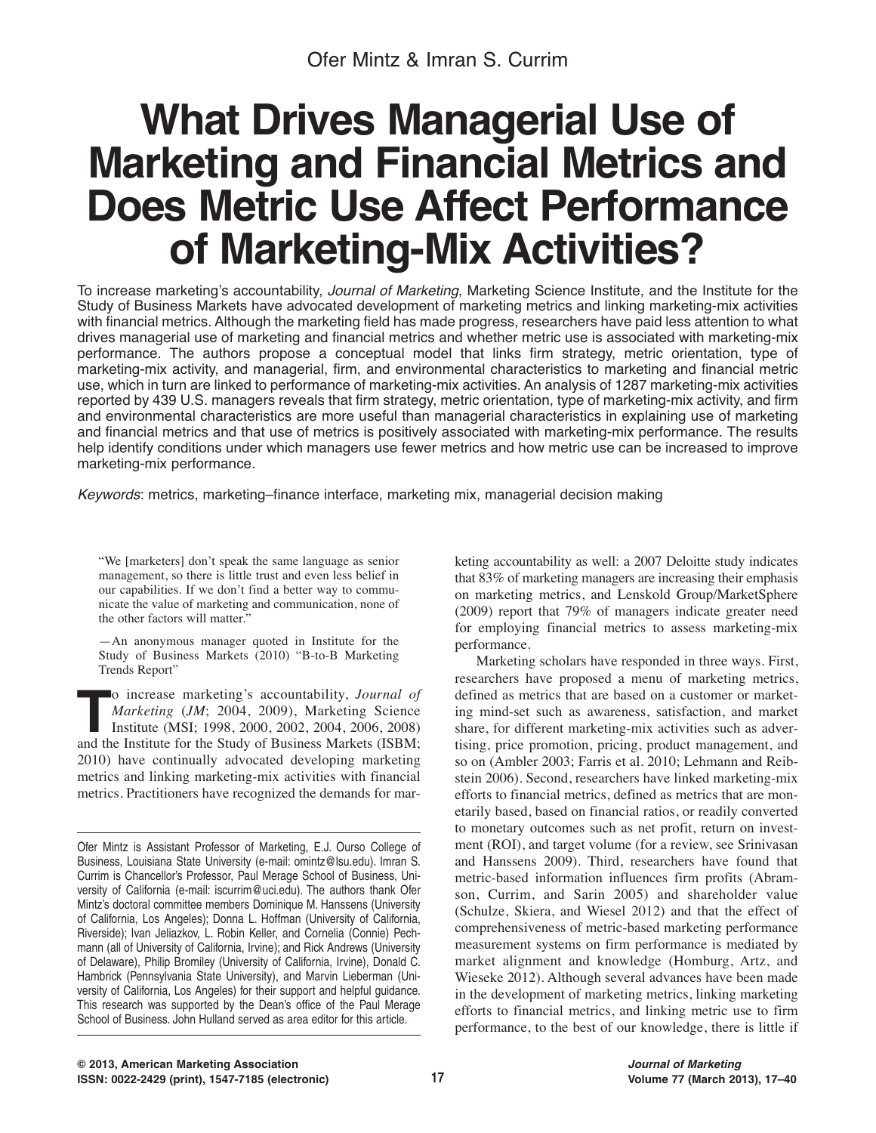# **What Drives Managerial Use of Marketing and Financial Metrics and Does Metric Use Affect Performance of Marketing-Mix Activities?**

To increase marketing's accountability, *Journal of Marketing*, Marketing Science Institute, and the Institute for the Study of Business Markets have advocated development of marketing metrics and linking marketing-mix activities with financial metrics. Although the marketing field has made progress, researchers have paid less attention to what drives managerial use of marketing and financial metrics and whether metric use is associated with marketing-mix performance. The authors propose a conceptual model that links firm strategy, metric orientation, type of marketing-mix activity, and managerial, firm, and environmental characteristics to marketing and financial metric use, which in turn are linked to performance of marketing-mix activities. An analysis of 1287 marketing-mix activities reported by 439 U.S. managers reveals that firm strategy, metric orientation, type of marketing-mix activity, and firm and environmental characteristics are more useful than managerial characteristics in explaining use of marketing and financial metrics and that use of metrics is positively associated with marketing-mix performance. The results help identify conditions under which managers use fewer metrics and how metric use can be increased to improve marketing-mix performance.

*Keywords*: metrics, marketing–finance interface, marketing mix, managerial decision making

"We [marketers] don't speak the same language as senior management, so there is little trust and even less belief in our capabilities. If we don't find a better way to communicate the value of marketing and communication, none of the other factors will matter.'

—An anonymous manager quoted in Institute for the Study of Business Markets (2010) "B-to-B Marketing Trends Report"

o increase marketing's accountability, *Journal of Marketing (JM*; 2004, 2009), Marketing Science Institute (MSI; 1998, 2000, 2002, 2004, 2006, 2008) and the Institute for the Study of Business Markets (ISBM; *Marketing* (*JM*; 2004, 2009), Marketing Science Institute (MSI; 1998, 2000, 2002, 2004, 2006, 2008) and the Institute for the Study of Business Markets (ISBM; 2010) have continually advocated developing marketing metrics and linking marketing-mix activities with financial metrics. Practitioners have recognized the demands for marketing accountability as well: a 2007 Deloitte study indicates that 83% of marketing managers are increasing their emphasis on marketing metrics, and Lenskold Group/MarketSphere (2009) report that 79% of managers indicate greater need for employing financial metrics to assess marketing-mix performance.

Marketing scholars have responded in three ways. First, researchers have proposed a menu of marketing metrics, defined as metrics that are based on a customer or marketing mind-set such as awareness, satisfaction, and market share, for different marketing-mix activities such as advertising, price promotion, pricing, product management, and so on (Ambler 2003; Farris et al. 2010; Lehmann and Reibstein 2006). Second, researchers have linked marketing-mix efforts to financial metrics, defined as metrics that are monetarily based, based on financial ratios, or readily converted to monetary outcomes such as net profit, return on investment (ROI), and target volume (for a review, see Srinivasan and Hanssens 2009). Third, researchers have found that metric-based information influences firm profits (Abramson, Currim, and Sarin 2005) and shareholder value (Schulze, Skiera, and Wiesel 2012) and that the effect of comprehensiveness of metric-based marketing performance measurement systems on firm performance is mediated by market alignment and knowledge (Homburg, Artz, and Wieseke 2012). Although several advances have been made in the development of marketing metrics, linking marketing efforts to financial metrics, and linking metric use to firm performance, to the best of our knowledge, there is little if

Ofer Mintz is Assistant Professor of Marketing, E.J. Ourso College of Business, Louisiana State University (e-mail: omintz@lsu.edu). Imran S. Currim is Chancellor's Professor, Paul Merage School of Business, University of California (e-mail: iscurrim@uci.edu). The authors thank Ofer Mintz's doctoral committee members Dominique M. Hanssens (University of California, Los Angeles); Donna L. Hoffman (University of California, Riverside); Ivan Jeliazkov, L. Robin Keller, and Cornelia (Connie) Pechmann (all of University of California, Irvine); and Rick Andrews (University of Delaware), Philip Bromiley (University of California, Irvine), Donald C. Hambrick (Pennsylvania State University), and Marvin Lieberman (University of California, Los Angeles) for their support and helpful guidance. This research was supported by the Dean's office of the Paul Merage School of Business. John Hulland served as area editor for this article.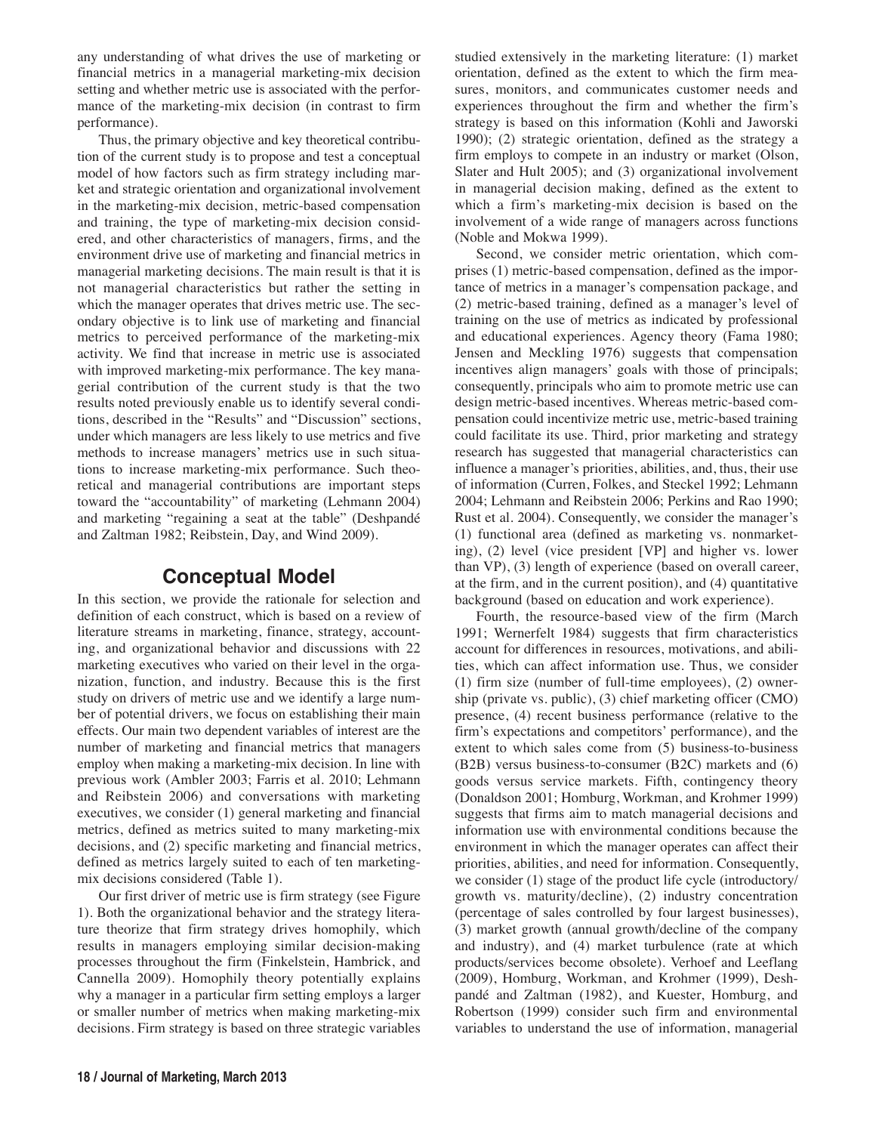any understanding of what drives the use of marketing or financial metrics in a managerial marketing-mix decision setting and whether metric use is associated with the performance of the marketing-mix decision (in contrast to firm performance).

Thus, the primary objective and key theoretical contribution of the current study is to propose and test a conceptual model of how factors such as firm strategy including market and strategic orientation and organizational involvement in the marketing-mix decision, metric-based compensation and training, the type of marketing-mix decision considered, and other characteristics of managers, firms, and the environment drive use of marketing and financial metrics in managerial marketing decisions. The main result is that it is not managerial characteristics but rather the setting in which the manager operates that drives metric use. The secondary objective is to link use of marketing and financial metrics to perceived performance of the marketing-mix activity. We find that increase in metric use is associated with improved marketing-mix performance. The key managerial contribution of the current study is that the two results noted previously enable us to identify several conditions, described in the "Results" and "Discussion" sections, under which managers are less likely to use metrics and five methods to increase managers' metrics use in such situations to increase marketing-mix performance. Such theoretical and managerial contributions are important steps toward the "accountability" of marketing (Lehmann 2004) and marketing "regaining a seat at the table" (Deshpandé and Zaltman 1982; Reibstein, Day, and Wind 2009).

# **Conceptual Model**

In this section, we provide the rationale for selection and definition of each construct, which is based on a review of literature streams in marketing, finance, strategy, accounting, and organizational behavior and discussions with 22 marketing executives who varied on their level in the organization, function, and industry. Because this is the first study on drivers of metric use and we identify a large number of potential drivers, we focus on establishing their main effects. Our main two dependent variables of interest are the number of marketing and financial metrics that managers employ when making a marketing-mix decision. In line with previous work (Ambler 2003; Farris et al. 2010; Lehmann and Reibstein 2006) and conversations with marketing executives, we consider (1) general marketing and financial metrics, defined as metrics suited to many marketing-mix decisions, and (2) specific marketing and financial metrics, defined as metrics largely suited to each of ten marketingmix decisions considered (Table 1).

Our first driver of metric use is firm strategy (see Figure 1). Both the organizational behavior and the strategy literature theorize that firm strategy drives homophily, which results in managers employing similar decision-making processes throughout the firm (Finkelstein, Hambrick, and Cannella 2009). Homophily theory potentially explains why a manager in a particular firm setting employs a larger or smaller number of metrics when making marketing-mix decisions. Firm strategy is based on three strategic variables

studied extensively in the marketing literature: (1) market orientation, defined as the extent to which the firm measures, monitors, and communicates customer needs and experiences throughout the firm and whether the firm's strategy is based on this information (Kohli and Jaworski 1990); (2) strategic orientation, defined as the strategy a firm employs to compete in an industry or market (Olson, Slater and Hult 2005); and (3) organizational involvement in managerial decision making, defined as the extent to which a firm's marketing-mix decision is based on the involvement of a wide range of managers across functions (Noble and Mokwa 1999).

Second, we consider metric orientation, which comprises (1) metric-based compensation, defined as the importance of metrics in a manager's compensation package, and (2) metric-based training, defined as a manager's level of training on the use of metrics as indicated by professional and educational experiences. Agency theory (Fama 1980; Jensen and Meckling 1976) suggests that compensation incentives align managers' goals with those of principals; consequently, principals who aim to promote metric use can design metric-based incentives. Whereas metric-based compensation could incentivize metric use, metric-based training could facilitate its use. Third, prior marketing and strategy research has suggested that managerial characteristics can influence a manager's priorities, abilities, and, thus, their use of information (Curren, Folkes, and Steckel 1992; Lehmann 2004; Lehmann and Reibstein 2006; Perkins and Rao 1990; Rust et al. 2004). Consequently, we consider the manager's (1) functional area (defined as marketing vs. nonmarketing), (2) level (vice president [VP] and higher vs. lower than VP), (3) length of experience (based on overall career, at the firm, and in the current position), and (4) quantitative background (based on education and work experience).

Fourth, the resource-based view of the firm (March 1991; Wernerfelt 1984) suggests that firm characteristics account for differences in resources, motivations, and abilities, which can affect information use. Thus, we consider (1) firm size (number of full-time employees), (2) ownership (private vs. public), (3) chief marketing officer (CMO) presence, (4) recent business performance (relative to the firm's expectations and competitors' performance), and the extent to which sales come from (5) business-to-business (B2B) versus business-to-consumer (B2C) markets and (6) goods versus service markets. Fifth, contingency theory (Donaldson 2001; Homburg, Workman, and Krohmer 1999) suggests that firms aim to match managerial decisions and information use with environmental conditions because the environment in which the manager operates can affect their priorities, abilities, and need for information. Consequently, we consider (1) stage of the product life cycle (introductory/ growth vs. maturity/decline), (2) industry concentration (percentage of sales controlled by four largest businesses), (3) market growth (annual growth/decline of the company and industry), and (4) market turbulence (rate at which products/services become obsolete). Verhoef and Leeflang (2009), Homburg, Workman, and Krohmer (1999), Deshpandé and Zaltman (1982), and Kuester, Homburg, and Robertson (1999) consider such firm and environmental variables to understand the use of information, managerial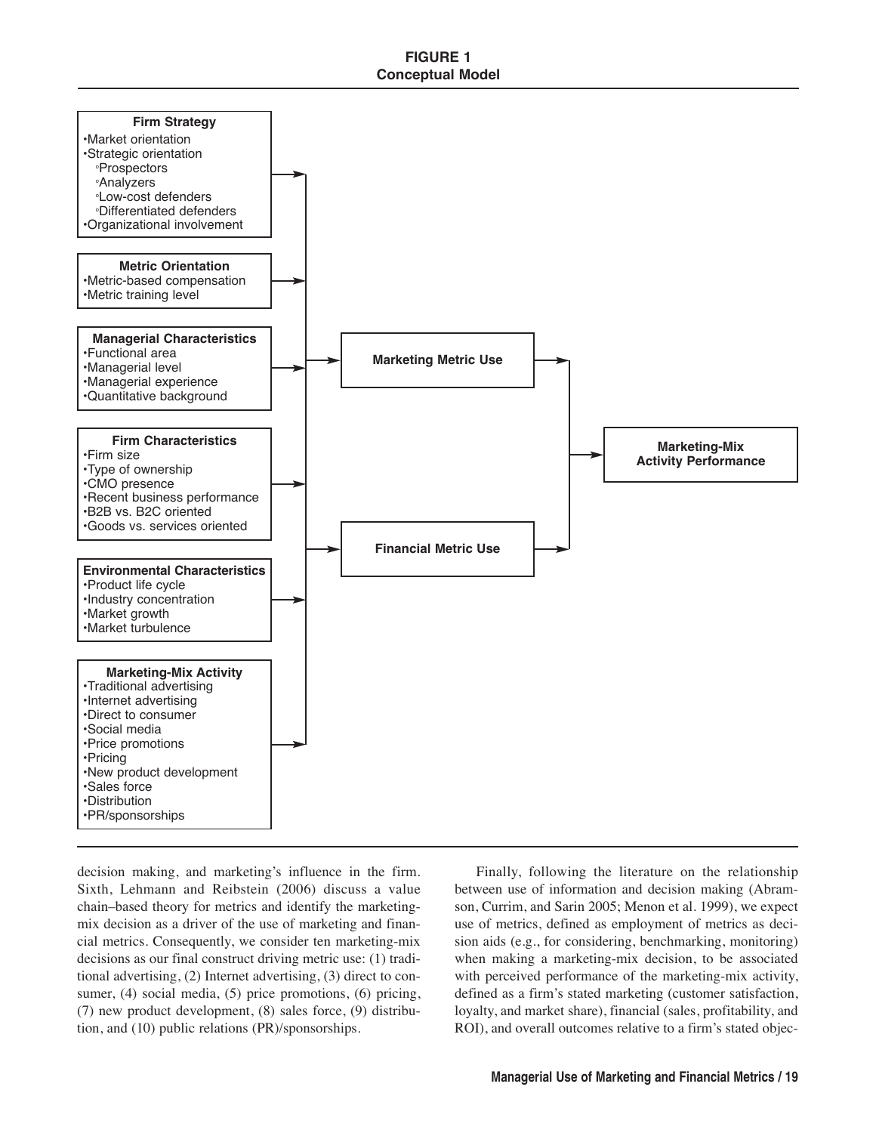**FIGURE 1 Conceptual Model**



decision making, and marketing's influence in the firm. Sixth, Lehmann and Reibstein (2006) discuss a value chain–based theory for metrics and identify the marketingmix decision as a driver of the use of marketing and financial metrics. Consequently, we consider ten marketing-mix decisions as our final construct driving metric use: (1) traditional advertising, (2) Internet advertising, (3) direct to consumer, (4) social media, (5) price promotions, (6) pricing, (7) new product development, (8) sales force, (9) distribution, and (10) public relations (PR)/sponsorships.

Finally, following the literature on the relationship between use of information and decision making (Abramson, Currim, and Sarin 2005; Menon et al. 1999), we expect use of metrics, defined as employment of metrics as decision aids (e.g., for considering, benchmarking, monitoring) when making a marketing-mix decision, to be associated with perceived performance of the marketing-mix activity, defined as a firm's stated marketing (customer satisfaction, loyalty, and market share), financial (sales, profitability, and ROI), and overall outcomes relative to a firm's stated objec-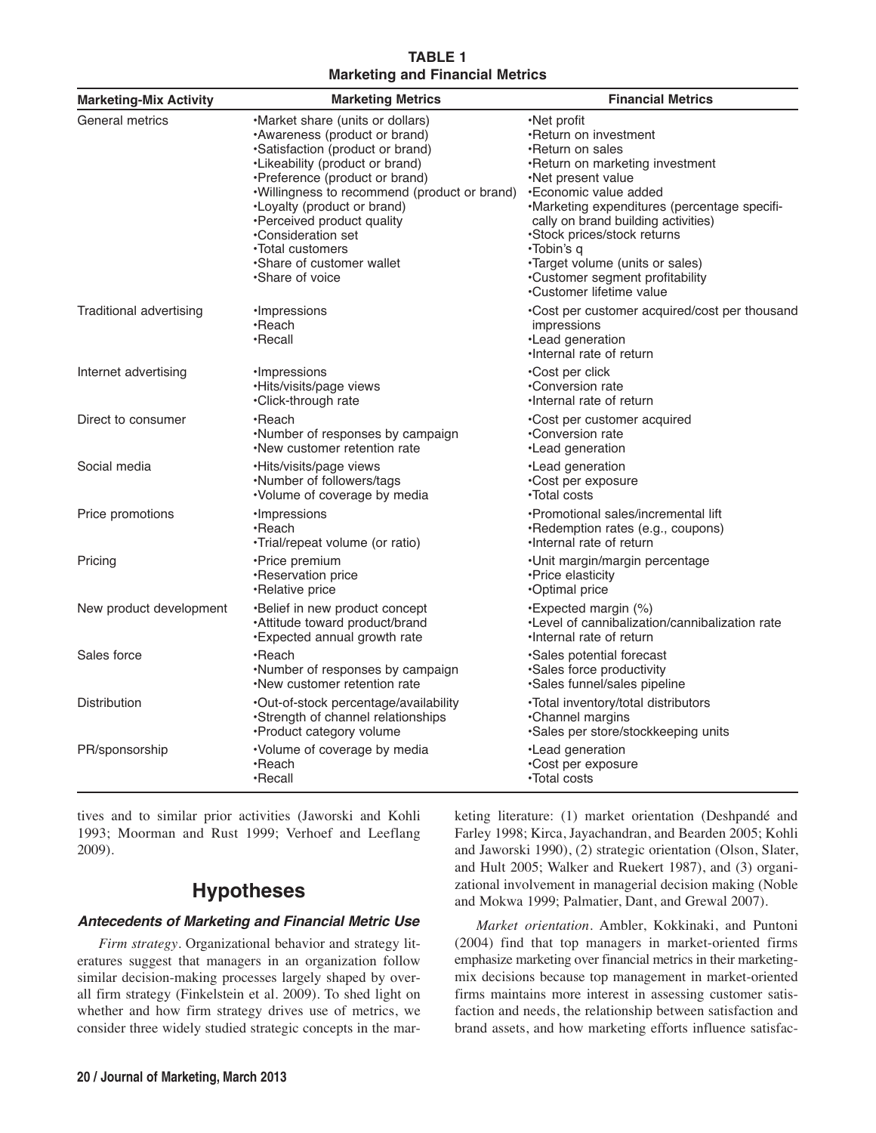### **TABLE 1 Marketing and Financial Metrics**

| <b>Marketing-Mix Activity</b> | <b>Marketing Metrics</b>                                                                                                                                                                                                                                                                                                                                                          | <b>Financial Metrics</b>                                                                                                                                                                                                                                                                                                                                                                                                                                                                                                                                                                                                                                                                           |  |
|-------------------------------|-----------------------------------------------------------------------------------------------------------------------------------------------------------------------------------------------------------------------------------------------------------------------------------------------------------------------------------------------------------------------------------|----------------------------------------------------------------------------------------------------------------------------------------------------------------------------------------------------------------------------------------------------------------------------------------------------------------------------------------------------------------------------------------------------------------------------------------------------------------------------------------------------------------------------------------------------------------------------------------------------------------------------------------------------------------------------------------------------|--|
| General metrics               | •Market share (units or dollars)<br>•Awareness (product or brand)<br>•Satisfaction (product or brand)<br>•Likeability (product or brand)<br>•Preference (product or brand)<br>.Willingness to recommend (product or brand)<br>•Loyalty (product or brand)<br>•Perceived product quality<br>•Consideration set<br>•Total customers<br>•Share of customer wallet<br>•Share of voice | •Net profit<br>•Return on investment<br>•Return on sales<br>•Return on marketing investment<br>•Net present value<br>•Economic value added<br>·Marketing expenditures (percentage specifi-<br>cally on brand building activities)<br>•Stock prices/stock returns<br>•Tobin's q<br>•Target volume (units or sales)<br>•Customer segment profitability<br>•Customer lifetime value<br>impressions<br>•Lead generation<br>. Internal rate of return<br>•Cost per click<br><b>Conversion rate</b><br>. Internal rate of return<br>•Cost per customer acquired<br>•Conversion rate<br>•Lead generation<br>•Lead generation<br>•Cost per exposure<br>•Total costs<br>•Promotional sales/incremental lift |  |
| Traditional advertising       | ·Impressions<br>$\cdot$ Reach<br>·Recall                                                                                                                                                                                                                                                                                                                                          | •Cost per customer acquired/cost per thousand                                                                                                                                                                                                                                                                                                                                                                                                                                                                                                                                                                                                                                                      |  |
| Internet advertising          | ·Impressions<br>•Hits/visits/page views<br>•Click-through rate                                                                                                                                                                                                                                                                                                                    |                                                                                                                                                                                                                                                                                                                                                                                                                                                                                                                                                                                                                                                                                                    |  |
| Direct to consumer            | •Reach<br>.Number of responses by campaign<br>•New customer retention rate                                                                                                                                                                                                                                                                                                        |                                                                                                                                                                                                                                                                                                                                                                                                                                                                                                                                                                                                                                                                                                    |  |
| Social media                  | •Hits/visits/page views<br>•Number of followers/tags<br>·Volume of coverage by media                                                                                                                                                                                                                                                                                              |                                                                                                                                                                                                                                                                                                                                                                                                                                                                                                                                                                                                                                                                                                    |  |
| Price promotions              | ·Impressions<br>•Reach<br>·Trial/repeat volume (or ratio)                                                                                                                                                                                                                                                                                                                         | •Redemption rates (e.g., coupons)<br>. Internal rate of return                                                                                                                                                                                                                                                                                                                                                                                                                                                                                                                                                                                                                                     |  |
| Pricing                       | ·Price premium<br>·Reservation price<br>·Relative price                                                                                                                                                                                                                                                                                                                           | •Unit margin/margin percentage<br>•Price elasticity<br>•Optimal price                                                                                                                                                                                                                                                                                                                                                                                                                                                                                                                                                                                                                              |  |
| New product development       | •Belief in new product concept<br>•Attitude toward product/brand<br><b>Expected annual growth rate</b>                                                                                                                                                                                                                                                                            | $\cdot$ Expected margin (%)<br>•Level of cannibalization/cannibalization rate<br>. Internal rate of return                                                                                                                                                                                                                                                                                                                                                                                                                                                                                                                                                                                         |  |
| Sales force                   | ∙Reach<br>.Number of responses by campaign<br>•New customer retention rate                                                                                                                                                                                                                                                                                                        | •Sales potential forecast<br>·Sales force productivity<br>·Sales funnel/sales pipeline                                                                                                                                                                                                                                                                                                                                                                                                                                                                                                                                                                                                             |  |
| <b>Distribution</b>           | .Out-of-stock percentage/availability<br>·Strength of channel relationships<br>•Product category volume                                                                                                                                                                                                                                                                           | •Total inventory/total distributors<br>•Channel margins<br>·Sales per store/stockkeeping units                                                                                                                                                                                                                                                                                                                                                                                                                                                                                                                                                                                                     |  |
| PR/sponsorship                | ·Volume of coverage by media<br>•Reach<br>·Recall                                                                                                                                                                                                                                                                                                                                 | •Lead generation<br>•Cost per exposure<br>•Total costs                                                                                                                                                                                                                                                                                                                                                                                                                                                                                                                                                                                                                                             |  |

tives and to similar prior activities (Jaworski and Kohli 1993; Moorman and Rust 1999; Verhoef and Leeflang 2009).

# **Hypotheses**

#### *Antecedents of Marketing and Financial Metric Use*

*Firm strategy*. Organizational behavior and strategy literatures suggest that managers in an organization follow similar decision-making processes largely shaped by overall firm strategy (Finkelstein et al. 2009). To shed light on whether and how firm strategy drives use of metrics, we consider three widely studied strategic concepts in the marketing literature: (1) market orientation (Deshpandé and Farley 1998; Kirca, Jayachandran, and Bearden 2005; Kohli and Jaworski 1990), (2) strategic orientation (Olson, Slater, and Hult 2005; Walker and Ruekert 1987), and (3) organizational involvement in managerial decision making (Noble and Mokwa 1999; Palmatier, Dant, and Grewal 2007).

*Market orientation*. Ambler, Kokkinaki, and Puntoni (2004) find that top managers in market-oriented firms emphasize marketing over financial metrics in their marketingmix decisions because top management in market-oriented firms maintains more interest in assessing customer satisfaction and needs, the relationship between satisfaction and brand assets, and how marketing efforts influence satisfac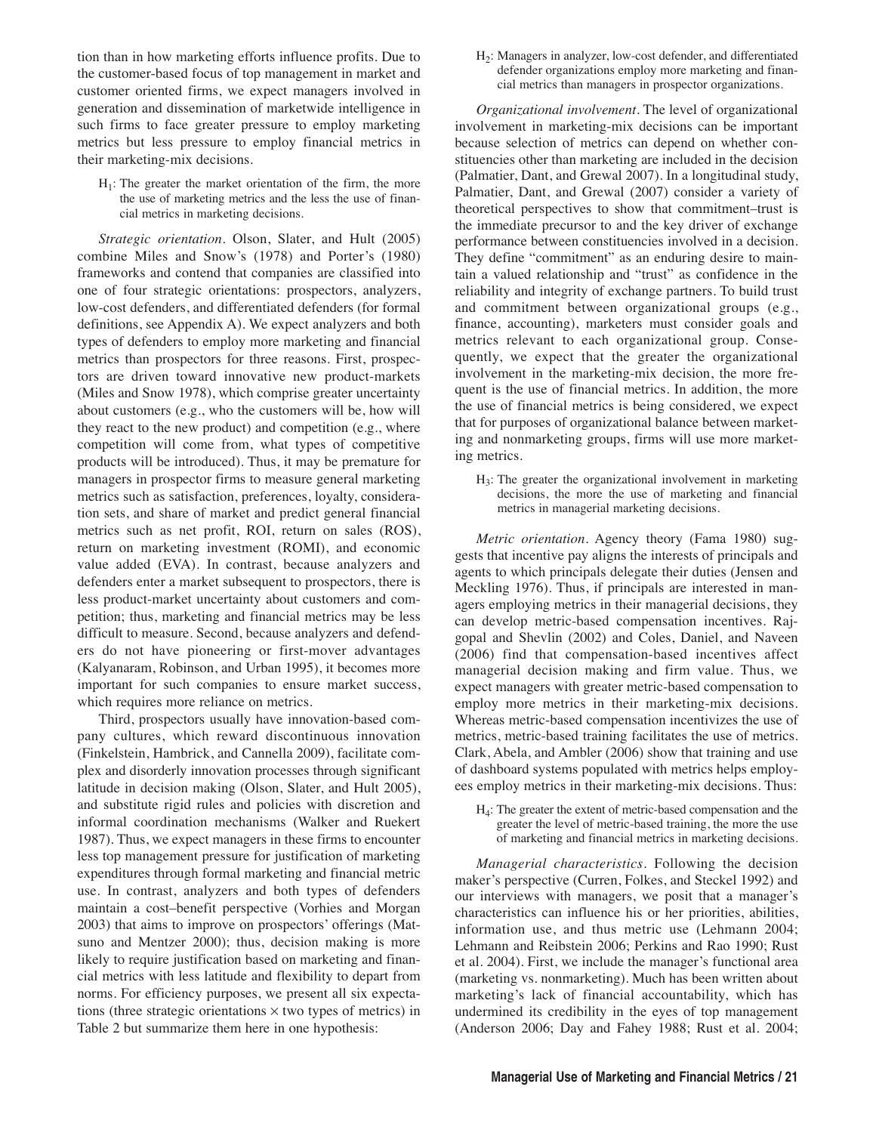tion than in how marketing efforts influence profits. Due to the customer-based focus of top management in market and customer oriented firms, we expect managers involved in generation and dissemination of marketwide intelligence in such firms to face greater pressure to employ marketing metrics but less pressure to employ financial metrics in their marketing-mix decisions.

 $H<sub>1</sub>$ : The greater the market orientation of the firm, the more the use of marketing metrics and the less the use of financial metrics in marketing decisions.

*Strategic orientation*. Olson, Slater, and Hult (2005) combine Miles and Snow's (1978) and Porter's (1980) frameworks and contend that companies are classified into one of four strategic orientations: prospectors, analyzers, low-cost defenders, and differentiated defenders (for formal definitions, see Appendix A). We expect analyzers and both types of defenders to employ more marketing and financial metrics than prospectors for three reasons. First, prospectors are driven toward innovative new product-markets (Miles and Snow 1978), which comprise greater uncertainty about customers (e.g., who the customers will be, how will they react to the new product) and competition (e.g., where competition will come from, what types of competitive products will be introduced). Thus, it may be premature for managers in prospector firms to measure general marketing metrics such as satisfaction, preferences, loyalty, consideration sets, and share of market and predict general financial metrics such as net profit, ROI, return on sales (ROS), return on marketing investment (ROMI), and economic value added (EVA). In contrast, because analyzers and defenders enter a market subsequent to prospectors, there is less product-market uncertainty about customers and competition; thus, marketing and financial metrics may be less difficult to measure. Second, because analyzers and defenders do not have pioneering or first-mover advantages (Kalyanaram, Robinson, and Urban 1995), it becomes more important for such companies to ensure market success, which requires more reliance on metrics.

Third, prospectors usually have innovation-based company cultures, which reward discontinuous innovation (Finkelstein, Hambrick, and Cannella 2009), facilitate complex and disorderly innovation processes through significant latitude in decision making (Olson, Slater, and Hult 2005), and substitute rigid rules and policies with discretion and informal coordination mechanisms (Walker and Ruekert 1987). Thus, we expect managers in these firms to encounter less top management pressure for justification of marketing expenditures through formal marketing and financial metric use. In contrast, analyzers and both types of defenders maintain a cost–benefit perspective (Vorhies and Morgan 2003) that aims to improve on prospectors' offerings (Matsuno and Mentzer 2000); thus, decision making is more likely to require justification based on marketing and financial metrics with less latitude and flexibility to depart from norms. For efficiency purposes, we present all six expectations (three strategic orientations  $\times$  two types of metrics) in Table 2 but summarize them here in one hypothesis:

H2: Managers in analyzer, low-cost defender, and differentiated defender organizations employ more marketing and financial metrics than managers in prospector organizations.

*Organizational involvement*. The level of organizational involvement in marketing-mix decisions can be important because selection of metrics can depend on whether constituencies other than marketing are included in the decision (Palmatier, Dant, and Grewal 2007). In a longitudinal study, Palmatier, Dant, and Grewal (2007) consider a variety of theoretical perspectives to show that commitment–trust is the immediate precursor to and the key driver of exchange performance between constituencies involved in a decision. They define "commitment" as an enduring desire to maintain a valued relationship and "trust" as confidence in the reliability and integrity of exchange partners. To build trust and commitment between organizational groups (e.g., finance, accounting), marketers must consider goals and metrics relevant to each organizational group. Consequently, we expect that the greater the organizational involvement in the marketing-mix decision, the more frequent is the use of financial metrics. In addition, the more the use of financial metrics is being considered, we expect that for purposes of organizational balance between marketing and nonmarketing groups, firms will use more marketing metrics.

 $H_3$ : The greater the organizational involvement in marketing decisions, the more the use of marketing and financial metrics in managerial marketing decisions.

*Metric orientation*. Agency theory (Fama 1980) suggests that incentive pay aligns the interests of principals and agents to which principals delegate their duties (Jensen and Meckling 1976). Thus, if principals are interested in managers employing metrics in their managerial decisions, they can develop metric-based compensation incentives. Rajgopal and Shevlin (2002) and Coles, Daniel, and Naveen (2006) find that compensation-based incentives affect managerial decision making and firm value. Thus, we expect managers with greater metric-based compensation to employ more metrics in their marketing-mix decisions. Whereas metric-based compensation incentivizes the use of metrics, metric-based training facilitates the use of metrics. Clark, Abela, and Ambler (2006) show that training and use of dashboard systems populated with metrics helps employees employ metrics in their marketing-mix decisions. Thus:

H4: The greater the extent of metric-based compensation and the greater the level of metric-based training, the more the use of marketing and financial metrics in marketing decisions.

*Managerial characteristics*. Following the decision maker's perspective (Curren, Folkes, and Steckel 1992) and our interviews with managers, we posit that a manager's characteristics can influence his or her priorities, abilities, information use, and thus metric use (Lehmann 2004; Lehmann and Reibstein 2006; Perkins and Rao 1990; Rust et al. 2004). First, we include the manager's functional area (marketing vs. nonmarketing). Much has been written about marketing's lack of financial accountability, which has undermined its credibility in the eyes of top management (Anderson 2006; Day and Fahey 1988; Rust et al. 2004;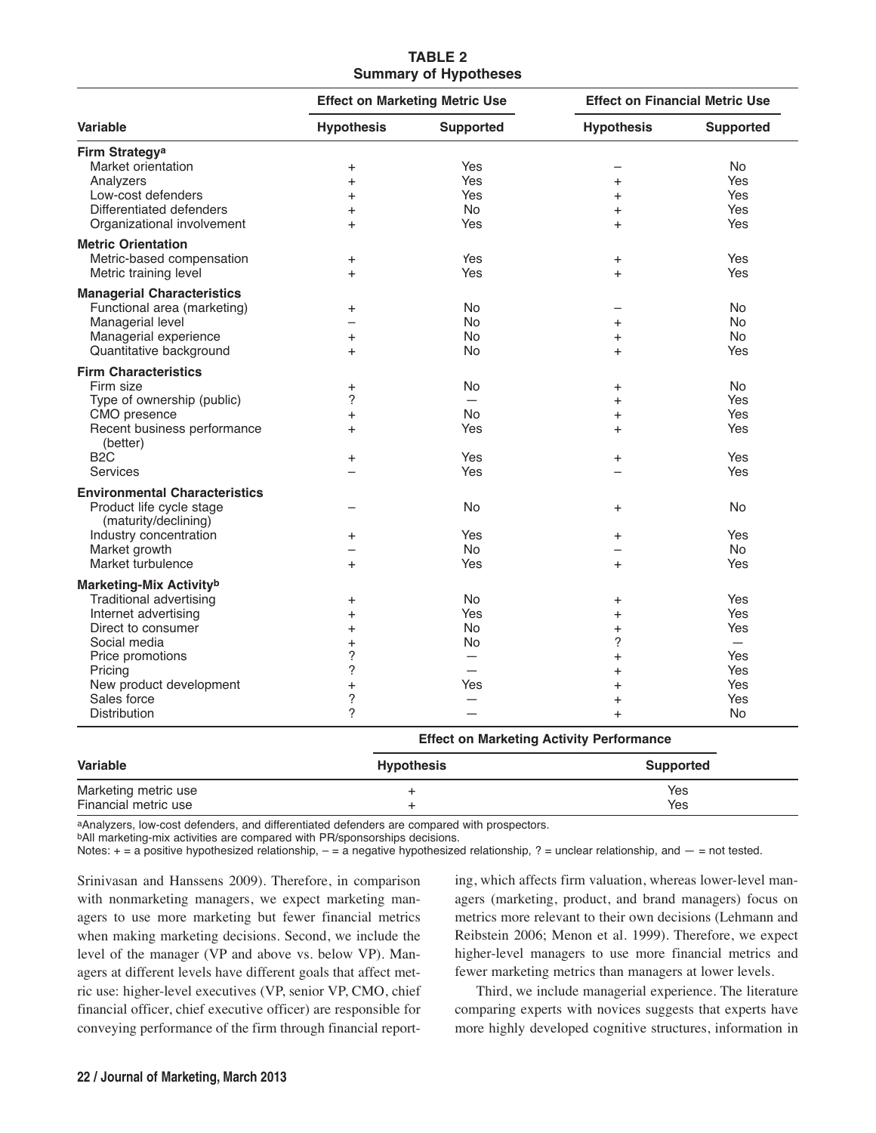| <b>TABLE 2</b>               |
|------------------------------|
| <b>Summary of Hypotheses</b> |

|                                      | <b>Effect on Financial Metric Use</b><br><b>Effect on Marketing Metric Use</b> |                          |                                                 |                  |  |  |
|--------------------------------------|--------------------------------------------------------------------------------|--------------------------|-------------------------------------------------|------------------|--|--|
| <b>Variable</b>                      | <b>Hypothesis</b>                                                              | <b>Supported</b>         | <b>Hypothesis</b>                               | <b>Supported</b> |  |  |
| Firm Strategy <sup>a</sup>           |                                                                                |                          |                                                 |                  |  |  |
| Market orientation                   | $\ddot{}$                                                                      | Yes                      |                                                 | No               |  |  |
| Analyzers                            | $\ddot{}$                                                                      | Yes                      | $\ddot{}$                                       | Yes              |  |  |
| Low-cost defenders                   | $+$                                                                            | Yes                      | $\ddot{}$                                       | Yes              |  |  |
| Differentiated defenders             | $+$                                                                            | <b>No</b>                | $+$                                             | Yes              |  |  |
| Organizational involvement           | $+$                                                                            | Yes                      | $\ddot{}$                                       | Yes              |  |  |
| <b>Metric Orientation</b>            |                                                                                |                          |                                                 |                  |  |  |
| Metric-based compensation            | $\ddot{}$                                                                      | Yes                      | $\ddot{}$                                       | Yes              |  |  |
| Metric training level                | $+$                                                                            | Yes                      | $+$                                             | Yes              |  |  |
| <b>Managerial Characteristics</b>    |                                                                                |                          |                                                 |                  |  |  |
| Functional area (marketing)          | $\ddot{}$                                                                      | No                       |                                                 | No               |  |  |
| Managerial level                     |                                                                                | No                       | $\ddot{}$                                       | No               |  |  |
| Managerial experience                | $+$                                                                            | No                       | $\ddot{}$                                       | <b>No</b>        |  |  |
| Quantitative background              | $\ddot{}$                                                                      | No                       | $\ddot{}$                                       | Yes              |  |  |
| <b>Firm Characteristics</b>          |                                                                                |                          |                                                 |                  |  |  |
| Firm size                            | $\ddot{}$                                                                      | No                       | $\ddot{}$                                       | <b>No</b>        |  |  |
| Type of ownership (public)           | $\overline{\phantom{a}}$                                                       |                          | $\ddot{}$                                       | Yes              |  |  |
| CMO presence                         | $\ddot{}$                                                                      | No                       | $\ddot{}$                                       | Yes              |  |  |
| Recent business performance          | $\ddot{}$                                                                      | Yes                      | $\ddot{}$                                       | Yes              |  |  |
| (better)                             |                                                                                |                          |                                                 |                  |  |  |
| B <sub>2</sub> C                     | $\ddot{}$                                                                      | Yes                      | $\ddot{}$                                       | Yes              |  |  |
| Services                             |                                                                                | Yes                      | ÷                                               | Yes              |  |  |
| <b>Environmental Characteristics</b> |                                                                                |                          |                                                 |                  |  |  |
| Product life cycle stage             |                                                                                | No                       | $\ddot{}$                                       | <b>No</b>        |  |  |
| (maturity/declining)                 |                                                                                |                          |                                                 |                  |  |  |
| Industry concentration               | $\ddot{}$                                                                      | Yes                      | $\ddot{}$                                       | Yes              |  |  |
| Market growth                        |                                                                                | <b>No</b>                |                                                 | <b>No</b>        |  |  |
| Market turbulence                    |                                                                                | Yes                      | $\ddot{}$                                       | Yes              |  |  |
|                                      | $\ddot{}$                                                                      |                          |                                                 |                  |  |  |
| <b>Marketing-Mix Activityb</b>       |                                                                                |                          |                                                 |                  |  |  |
| Traditional advertising              | $\ddot{}$                                                                      | No                       | $\ddot{}$                                       | Yes              |  |  |
| Internet advertising                 | $\ddot{}$                                                                      | Yes                      | $\ddot{}$                                       | Yes              |  |  |
| Direct to consumer                   | $\ddot{}$                                                                      | No                       | $\ddot{}$                                       | Yes              |  |  |
| Social media                         | $\ddot{}$                                                                      | No                       | ?                                               |                  |  |  |
| Price promotions                     | $\overline{\phantom{a}}$                                                       | —                        | $\ddot{}$                                       | Yes              |  |  |
| Pricing                              | $\overline{\phantom{a}}$                                                       | $\overline{\phantom{0}}$ | $\ddot{}$                                       | Yes              |  |  |
| New product development              | $^{+}$                                                                         | Yes                      | $\ddot{}$                                       | Yes              |  |  |
| Sales force                          | $\ddot{\phantom{0}}$                                                           |                          | $\ddot{}$                                       | Yes              |  |  |
| <b>Distribution</b>                  | $\gamma$                                                                       |                          | $+$                                             | <b>No</b>        |  |  |
|                                      |                                                                                |                          | <b>Effect on Marketing Activity Performance</b> |                  |  |  |
| <b>Variable</b>                      | <b>Hypothesis</b>                                                              |                          |                                                 | <b>Supported</b> |  |  |

Marketing metric use  $\begin{array}{ccc} & + & \end{array}$  Yes<br>
Financial metric use  $\begin{array}{ccc} & + & \end{array}$  Yes Financial metric use  $+$ 

aAnalyzers, low-cost defenders, and differentiated defenders are compared with prospectors.

bAll marketing-mix activities are compared with PR/sponsorships decisions.

Notes: + = a positive hypothesized relationship, - = a negative hypothesized relationship, ? = unclear relationship, and - = not tested.

Srinivasan and Hanssens 2009). Therefore, in comparison with nonmarketing managers, we expect marketing managers to use more marketing but fewer financial metrics when making marketing decisions. Second, we include the level of the manager (VP and above vs. below VP). Managers at different levels have different goals that affect metric use: higher-level executives (VP, senior VP, CMO, chief financial officer, chief executive officer) are responsible for conveying performance of the firm through financial report-

ing, which affects firm valuation, whereas lower-level managers (marketing, product, and brand managers) focus on metrics more relevant to their own decisions (Lehmann and Reibstein 2006; Menon et al. 1999). Therefore, we expect higher-level managers to use more financial metrics and fewer marketing metrics than managers at lower levels.

Third, we include managerial experience. The literature comparing experts with novices suggests that experts have more highly developed cognitive structures, information in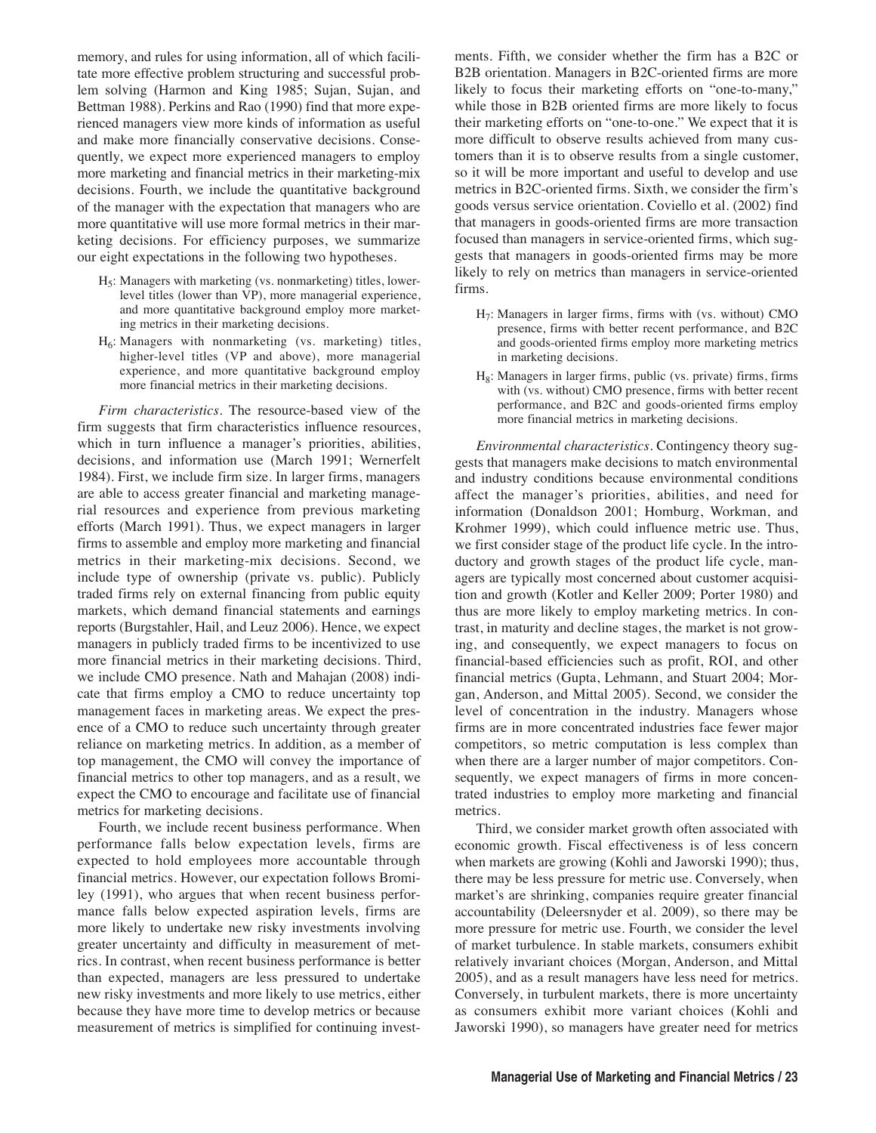memory, and rules for using information, all of which facilitate more effective problem structuring and successful problem solving (Harmon and King 1985; Sujan, Sujan, and Bettman 1988). Perkins and Rao (1990) find that more experienced managers view more kinds of information as useful and make more financially conservative decisions. Consequently, we expect more experienced managers to employ more marketing and financial metrics in their marketing-mix decisions. Fourth, we include the quantitative background of the manager with the expectation that managers who are more quantitative will use more formal metrics in their marketing decisions. For efficiency purposes, we summarize our eight expectations in the following two hypotheses.

- $H<sub>5</sub>$ : Managers with marketing (vs. nonmarketing) titles, lowerlevel titles (lower than VP), more managerial experience, and more quantitative background employ more marketing metrics in their marketing decisions.
- H6: Managers with nonmarketing (vs. marketing) titles, higher-level titles (VP and above), more managerial experience, and more quantitative background employ more financial metrics in their marketing decisions.

*Firm characteristics*. The resource-based view of the firm suggests that firm characteristics influence resources, which in turn influence a manager's priorities, abilities, decisions, and information use (March 1991; Wernerfelt 1984). First, we include firm size. In larger firms, managers are able to access greater financial and marketing managerial resources and experience from previous marketing efforts (March 1991). Thus, we expect managers in larger firms to assemble and employ more marketing and financial metrics in their marketing-mix decisions. Second, we include type of ownership (private vs. public). Publicly traded firms rely on external financing from public equity markets, which demand financial statements and earnings reports (Burgstahler, Hail, and Leuz 2006). Hence, we expect managers in publicly traded firms to be incentivized to use more financial metrics in their marketing decisions. Third, we include CMO presence. Nath and Mahajan (2008) indicate that firms employ a CMO to reduce uncertainty top management faces in marketing areas. We expect the presence of a CMO to reduce such uncertainty through greater reliance on marketing metrics. In addition, as a member of top management, the CMO will convey the importance of financial metrics to other top managers, and as a result, we expect the CMO to encourage and facilitate use of financial metrics for marketing decisions.

Fourth, we include recent business performance. When performance falls below expectation levels, firms are expected to hold employees more accountable through financial metrics. However, our expectation follows Bromiley (1991), who argues that when recent business performance falls below expected aspiration levels, firms are more likely to undertake new risky investments involving greater uncertainty and difficulty in measurement of metrics. In contrast, when recent business performance is better than expected, managers are less pressured to undertake new risky investments and more likely to use metrics, either because they have more time to develop metrics or because measurement of metrics is simplified for continuing investments. Fifth, we consider whether the firm has a B2C or B2B orientation. Managers in B2C-oriented firms are more likely to focus their marketing efforts on "one-to-many," while those in B2B oriented firms are more likely to focus their marketing efforts on "one-to-one." We expect that it is more difficult to observe results achieved from many customers than it is to observe results from a single customer, so it will be more important and useful to develop and use metrics in B2C-oriented firms. Sixth, we consider the firm's goods versus service orientation. Coviello et al. (2002) find that managers in goods-oriented firms are more transaction focused than managers in service-oriented firms, which suggests that managers in goods-oriented firms may be more likely to rely on metrics than managers in service-oriented firms.

- H7: Managers in larger firms, firms with (vs. without) CMO presence, firms with better recent performance, and B2C and goods-oriented firms employ more marketing metrics in marketing decisions.
- $H_8$ : Managers in larger firms, public (vs. private) firms, firms with (vs. without) CMO presence, firms with better recent performance, and B2C and goods-oriented firms employ more financial metrics in marketing decisions.

*Environmental characteristics*. Contingency theory suggests that managers make decisions to match environmental and industry conditions because environmental conditions affect the manager's priorities, abilities, and need for information (Donaldson 2001; Homburg, Workman, and Krohmer 1999), which could influence metric use. Thus, we first consider stage of the product life cycle. In the introductory and growth stages of the product life cycle, managers are typically most concerned about customer acquisition and growth (Kotler and Keller 2009; Porter 1980) and thus are more likely to employ marketing metrics. In contrast, in maturity and decline stages, the market is not growing, and consequently, we expect managers to focus on financial-based efficiencies such as profit, ROI, and other financial metrics (Gupta, Lehmann, and Stuart 2004; Morgan, Anderson, and Mittal 2005). Second, we consider the level of concentration in the industry. Managers whose firms are in more concentrated industries face fewer major competitors, so metric computation is less complex than when there are a larger number of major competitors. Consequently, we expect managers of firms in more concentrated industries to employ more marketing and financial metrics.

Third, we consider market growth often associated with economic growth. Fiscal effectiveness is of less concern when markets are growing (Kohli and Jaworski 1990); thus, there may be less pressure for metric use. Conversely, when market's are shrinking, companies require greater financial accountability (Deleersnyder et al. 2009), so there may be more pressure for metric use. Fourth, we consider the level of market turbulence. In stable markets, consumers exhibit relatively invariant choices (Morgan, Anderson, and Mittal 2005), and as a result managers have less need for metrics. Conversely, in turbulent markets, there is more uncertainty as consumers exhibit more variant choices (Kohli and Jaworski 1990), so managers have greater need for metrics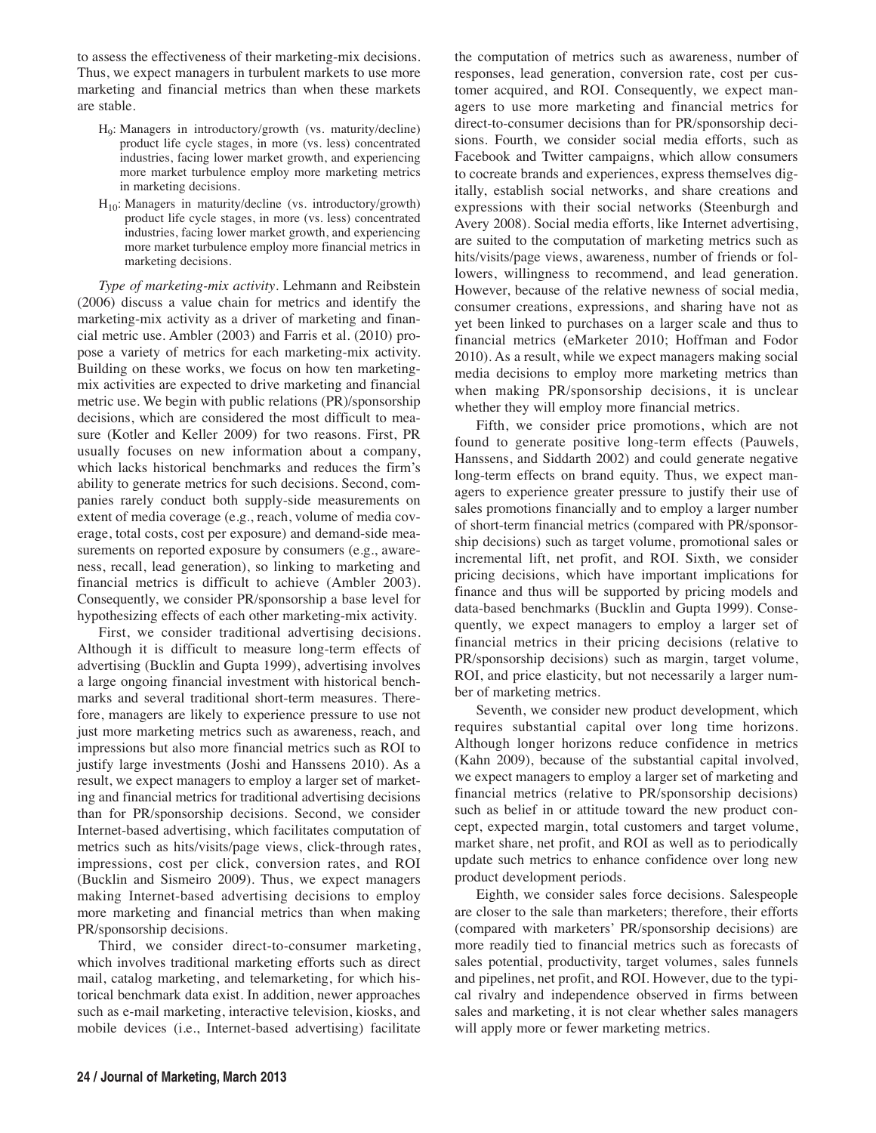to assess the effectiveness of their marketing-mix decisions. Thus, we expect managers in turbulent markets to use more marketing and financial metrics than when these markets are stable.

- H9: Managers in introductory/growth (vs. maturity/decline) product life cycle stages, in more (vs. less) concentrated industries, facing lower market growth, and experiencing more market turbulence employ more marketing metrics in marketing decisions.
- H10: Managers in maturity/decline (vs. introductory/growth) product life cycle stages, in more (vs. less) concentrated industries, facing lower market growth, and experiencing more market turbulence employ more financial metrics in marketing decisions.

*Type of marketing-mix activity*. Lehmann and Reibstein (2006) discuss a value chain for metrics and identify the marketing-mix activity as a driver of marketing and financial metric use. Ambler (2003) and Farris et al. (2010) propose a variety of metrics for each marketing-mix activity. Building on these works, we focus on how ten marketingmix activities are expected to drive marketing and financial metric use. We begin with public relations (PR)/sponsorship decisions, which are considered the most difficult to measure (Kotler and Keller 2009) for two reasons. First, PR usually focuses on new information about a company, which lacks historical benchmarks and reduces the firm's ability to generate metrics for such decisions. Second, companies rarely conduct both supply-side measurements on extent of media coverage (e.g., reach, volume of media coverage, total costs, cost per exposure) and demand-side measurements on reported exposure by consumers (e.g., awareness, recall, lead generation), so linking to marketing and financial metrics is difficult to achieve (Ambler 2003). Consequently, we consider PR/sponsorship a base level for hypothesizing effects of each other marketing-mix activity.

First, we consider traditional advertising decisions. Although it is difficult to measure long-term effects of advertising (Bucklin and Gupta 1999), advertising involves a large ongoing financial investment with historical benchmarks and several traditional short-term measures. Therefore, managers are likely to experience pressure to use not just more marketing metrics such as awareness, reach, and impressions but also more financial metrics such as ROI to justify large investments (Joshi and Hanssens 2010). As a result, we expect managers to employ a larger set of marketing and financial metrics for traditional advertising decisions than for PR/sponsorship decisions. Second, we consider Internet-based advertising, which facilitates computation of metrics such as hits/visits/page views, click-through rates, impressions, cost per click, conversion rates, and ROI (Bucklin and Sismeiro 2009). Thus, we expect managers making Internet-based advertising decisions to employ more marketing and financial metrics than when making PR/sponsorship decisions.

Third, we consider direct-to-consumer marketing, which involves traditional marketing efforts such as direct mail, catalog marketing, and telemarketing, for which historical benchmark data exist. In addition, newer approaches such as e-mail marketing, interactive television, kiosks, and mobile devices (i.e., Internet-based advertising) facilitate

the computation of metrics such as awareness, number of responses, lead generation, conversion rate, cost per customer acquired, and ROI. Consequently, we expect managers to use more marketing and financial metrics for direct-to-consumer decisions than for PR/sponsorship decisions. Fourth, we consider social media efforts, such as Facebook and Twitter campaigns, which allow consumers to cocreate brands and experiences, express themselves digitally, establish social networks, and share creations and expressions with their social networks (Steenburgh and Avery 2008). Social media efforts, like Internet advertising, are suited to the computation of marketing metrics such as hits/visits/page views, awareness, number of friends or followers, willingness to recommend, and lead generation. However, because of the relative newness of social media, consumer creations, expressions, and sharing have not as yet been linked to purchases on a larger scale and thus to financial metrics (eMarketer 2010; Hoffman and Fodor 2010). As a result, while we expect managers making social media decisions to employ more marketing metrics than when making PR/sponsorship decisions, it is unclear whether they will employ more financial metrics.

Fifth, we consider price promotions, which are not found to generate positive long-term effects (Pauwels, Hanssens, and Siddarth 2002) and could generate negative long-term effects on brand equity. Thus, we expect managers to experience greater pressure to justify their use of sales promotions financially and to employ a larger number of short-term financial metrics (compared with PR/sponsorship decisions) such as target volume, promotional sales or incremental lift, net profit, and ROI. Sixth, we consider pricing decisions, which have important implications for finance and thus will be supported by pricing models and data-based benchmarks (Bucklin and Gupta 1999). Consequently, we expect managers to employ a larger set of financial metrics in their pricing decisions (relative to PR/sponsorship decisions) such as margin, target volume, ROI, and price elasticity, but not necessarily a larger number of marketing metrics.

Seventh, we consider new product development, which requires substantial capital over long time horizons. Although longer horizons reduce confidence in metrics (Kahn 2009), because of the substantial capital involved, we expect managers to employ a larger set of marketing and financial metrics (relative to PR/sponsorship decisions) such as belief in or attitude toward the new product concept, expected margin, total customers and target volume, market share, net profit, and ROI as well as to periodically update such metrics to enhance confidence over long new product development periods.

Eighth, we consider sales force decisions. Salespeople are closer to the sale than marketers; therefore, their efforts (compared with marketers' PR/sponsorship decisions) are more readily tied to financial metrics such as forecasts of sales potential, productivity, target volumes, sales funnels and pipelines, net profit, and ROI. However, due to the typical rivalry and independence observed in firms between sales and marketing, it is not clear whether sales managers will apply more or fewer marketing metrics.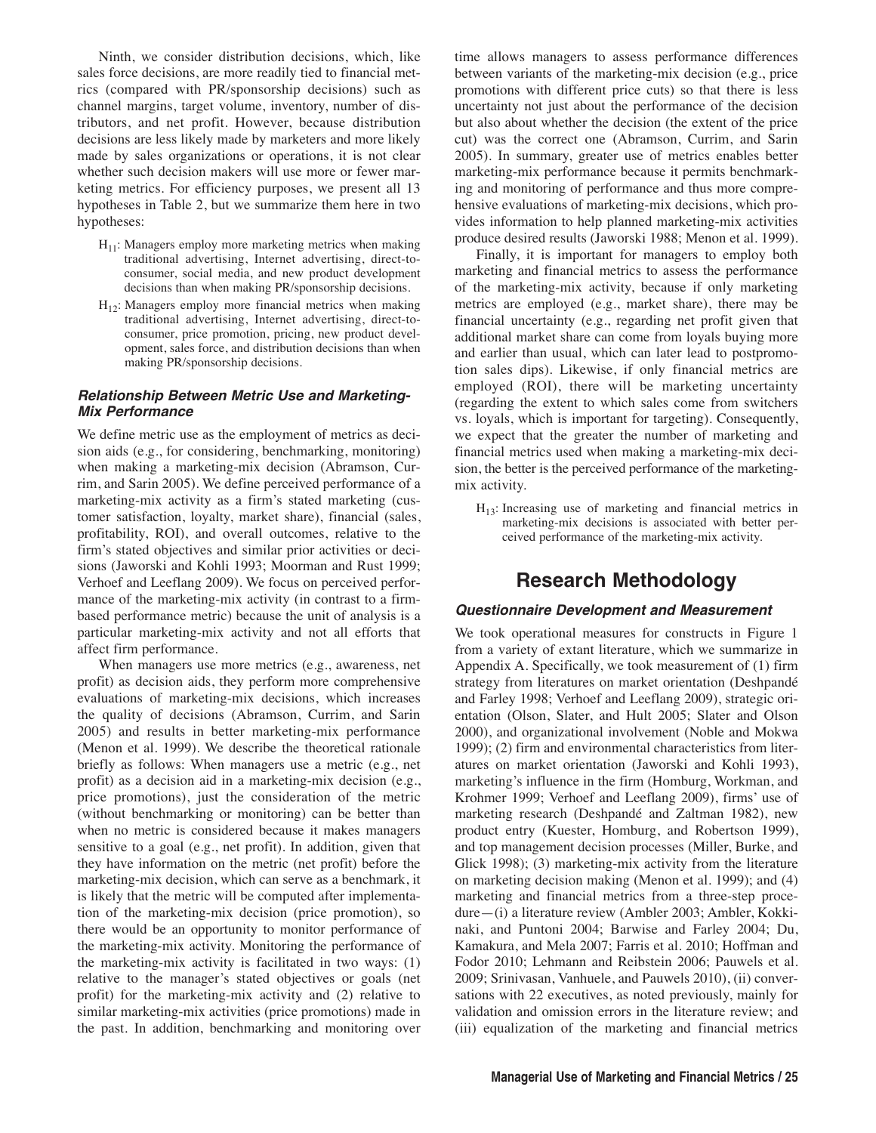Ninth, we consider distribution decisions, which, like sales force decisions, are more readily tied to financial metrics (compared with PR/sponsorship decisions) such as channel margins, target volume, inventory, number of distributors, and net profit. However, because distribution decisions are less likely made by marketers and more likely made by sales organizations or operations, it is not clear whether such decision makers will use more or fewer marketing metrics. For efficiency purposes, we present all 13 hypotheses in Table 2, but we summarize them here in two hypotheses:

- $H_{11}$ : Managers employ more marketing metrics when making traditional advertising, Internet advertising, direct-toconsumer, social media, and new product development decisions than when making PR/sponsorship decisions.
- $H_{12}$ : Managers employ more financial metrics when making traditional advertising, Internet advertising, direct-toconsumer, price promotion, pricing, new product development, sales force, and distribution decisions than when making PR/sponsorship decisions.

#### *Relationship Between Metric Use and Marketing-Mix Performance*

We define metric use as the employment of metrics as decision aids (e.g., for considering, benchmarking, monitoring) when making a marketing-mix decision (Abramson, Currim, and Sarin 2005). We define perceived performance of a marketing-mix activity as a firm's stated marketing (customer satisfaction, loyalty, market share), financial (sales, profitability, ROI), and overall outcomes, relative to the firm's stated objectives and similar prior activities or decisions (Jaworski and Kohli 1993; Moorman and Rust 1999; Verhoef and Leeflang 2009). We focus on perceived performance of the marketing-mix activity (in contrast to a firmbased performance metric) because the unit of analysis is a particular marketing-mix activity and not all efforts that affect firm performance.

When managers use more metrics (e.g., awareness, net profit) as decision aids, they perform more comprehensive evaluations of marketing-mix decisions, which increases the quality of decisions (Abramson, Currim, and Sarin 2005) and results in better marketing-mix performance (Menon et al. 1999). We describe the theoretical rationale briefly as follows: When managers use a metric (e.g., net profit) as a decision aid in a marketing-mix decision (e.g., price promotions), just the consideration of the metric (without benchmarking or monitoring) can be better than when no metric is considered because it makes managers sensitive to a goal (e.g., net profit). In addition, given that they have information on the metric (net profit) before the marketing-mix decision, which can serve as a benchmark, it is likely that the metric will be computed after implementation of the marketing-mix decision (price promotion), so there would be an opportunity to monitor performance of the marketing-mix activity. Monitoring the performance of the marketing-mix activity is facilitated in two ways: (1) relative to the manager's stated objectives or goals (net profit) for the marketing-mix activity and (2) relative to similar marketing-mix activities (price promotions) made in the past. In addition, benchmarking and monitoring over

time allows managers to assess performance differences between variants of the marketing-mix decision (e.g., price promotions with different price cuts) so that there is less uncertainty not just about the performance of the decision but also about whether the decision (the extent of the price cut) was the correct one (Abramson, Currim, and Sarin 2005). In summary, greater use of metrics enables better marketing-mix performance because it permits benchmarking and monitoring of performance and thus more comprehensive evaluations of marketing-mix decisions, which provides information to help planned marketing-mix activities produce desired results (Jaworski 1988; Menon et al. 1999).

Finally, it is important for managers to employ both marketing and financial metrics to assess the performance of the marketing-mix activity, because if only marketing metrics are employed (e.g., market share), there may be financial uncertainty (e.g., regarding net profit given that additional market share can come from loyals buying more and earlier than usual, which can later lead to postpromotion sales dips). Likewise, if only financial metrics are employed (ROI), there will be marketing uncertainty (regarding the extent to which sales come from switchers vs. loyals, which is important for targeting). Consequently, we expect that the greater the number of marketing and financial metrics used when making a marketing-mix decision, the better is the perceived performance of the marketingmix activity.

 $H_{13}$ : Increasing use of marketing and financial metrics in marketing-mix decisions is associated with better perceived performance of the marketing-mix activity.

# **Research Methodology**

#### *Questionnaire Development and Measurement*

We took operational measures for constructs in Figure 1 from a variety of extant literature, which we summarize in Appendix A. Specifically, we took measurement of (1) firm strategy from literatures on market orientation (Deshpandé and Farley 1998; Verhoef and Leeflang 2009), strategic orientation (Olson, Slater, and Hult 2005; Slater and Olson 2000), and organizational involvement (Noble and Mokwa 1999); (2) firm and environmental characteristics from literatures on market orientation (Jaworski and Kohli 1993), marketing's influence in the firm (Homburg, Workman, and Krohmer 1999; Verhoef and Leeflang 2009), firms' use of marketing research (Deshpandé and Zaltman 1982), new product entry (Kuester, Homburg, and Robertson 1999), and top management decision processes (Miller, Burke, and Glick 1998); (3) marketing-mix activity from the literature on marketing decision making (Menon et al. 1999); and (4) marketing and financial metrics from a three-step procedure— (i) a literature review (Ambler 2003; Ambler, Kokkinaki, and Puntoni 2004; Barwise and Farley 2004; Du, Kamakura, and Mela 2007; Farris et al. 2010; Hoffman and Fodor 2010; Lehmann and Reibstein 2006; Pauwels et al. 2009; Srinivasan, Vanhuele, and Pauwels 2010), (ii) conversations with 22 executives, as noted previously, mainly for validation and omission errors in the literature review; and (iii) equalization of the marketing and financial metrics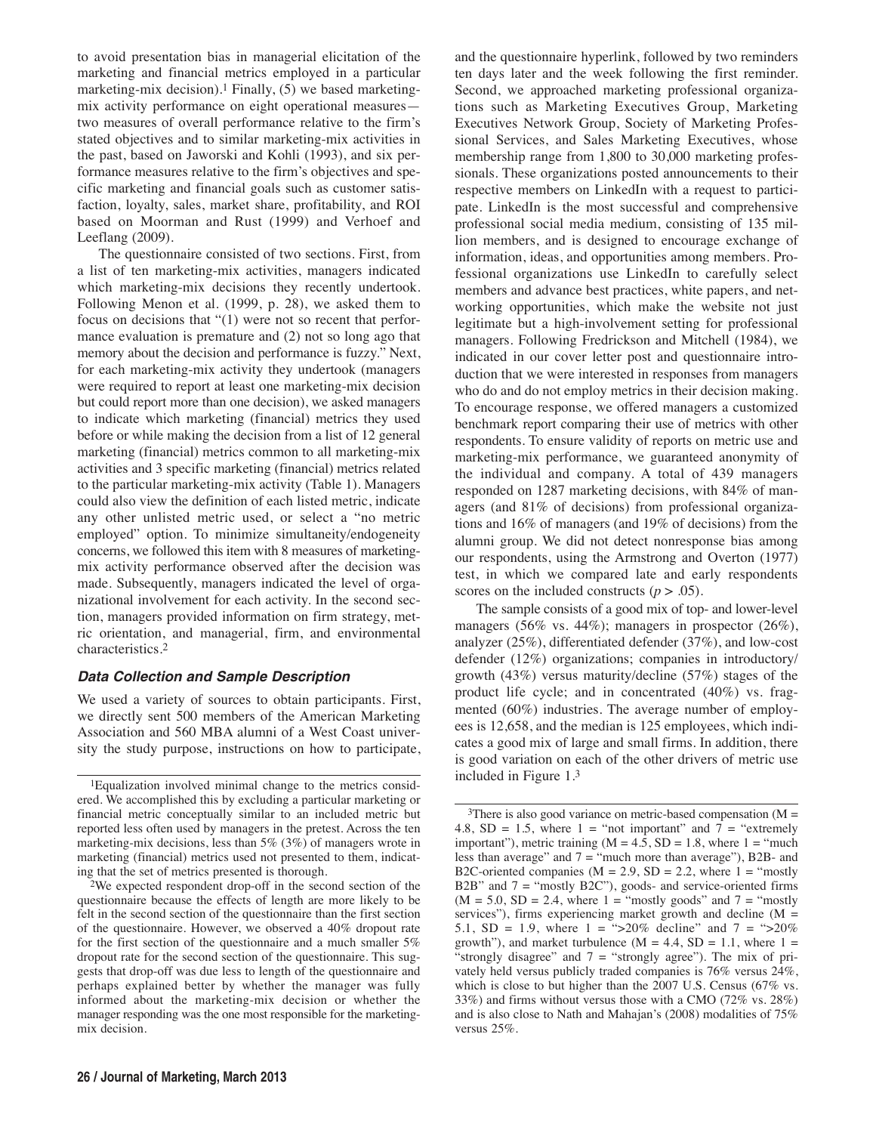to avoid presentation bias in managerial elicitation of the marketing and financial metrics employed in a particular marketing-mix decision).<sup>1</sup> Finally, (5) we based marketingmix activity performance on eight operational measures two measures of overall performance relative to the firm's stated objectives and to similar marketing-mix activities in the past, based on Jaworski and Kohli (1993), and six performance measures relative to the firm's objectives and specific marketing and financial goals such as customer satisfaction, loyalty, sales, market share, profitability, and ROI based on Moorman and Rust (1999) and Verhoef and Leeflang (2009).

The questionnaire consisted of two sections. First, from a list of ten marketing-mix activities, managers indicated which marketing-mix decisions they recently undertook. Following Menon et al. (1999, p. 28), we asked them to focus on decisions that "(1) were not so recent that performance evaluation is premature and (2) not so long ago that memory about the decision and performance is fuzzy." Next, for each marketing-mix activity they undertook (managers were required to report at least one marketing-mix decision but could report more than one decision), we asked managers to indicate which marketing (financial) metrics they used before or while making the decision from a list of 12 general marketing (financial) metrics common to all marketing-mix activities and 3 specific marketing (financial) metrics related to the particular marketing-mix activity (Table 1). Managers could also view the definition of each listed metric, indicate any other unlisted metric used, or select a "no metric employed" option. To minimize simultaneity/endogeneity concerns, we followed this item with 8 measures of marketingmix activity performance observed after the decision was made. Subsequently, managers indicated the level of organizational involvement for each activity. In the second section, managers provided information on firm strategy, metric orientation, and managerial, firm, and environmental characteristics.2

#### *Data Collection and Sample Description*

We used a variety of sources to obtain participants. First, we directly sent 500 members of the American Marketing Association and 560 MBA alumni of a West Coast university the study purpose, instructions on how to participate,

and the questionnaire hyperlink, followed by two reminders ten days later and the week following the first reminder. Second, we approached marketing professional organizations such as Marketing Executives Group, Marketing Executives Network Group, Society of Marketing Professional Services, and Sales Marketing Executives, whose membership range from 1,800 to 30,000 marketing professionals. These organizations posted announcements to their respective members on LinkedIn with a request to participate. LinkedIn is the most successful and comprehensive professional social media medium, consisting of 135 million members, and is designed to encourage exchange of information, ideas, and opportunities among members. Professional organizations use LinkedIn to carefully select members and advance best practices, white papers, and networking opportunities, which make the website not just legitimate but a high-involvement setting for professional managers. Following Fredrickson and Mitchell (1984), we indicated in our cover letter post and questionnaire introduction that we were interested in responses from managers who do and do not employ metrics in their decision making. To encourage response, we offered managers a customized benchmark report comparing their use of metrics with other respondents. To ensure validity of reports on metric use and marketing-mix performance, we guaranteed anonymity of the individual and company. A total of 439 managers responded on 1287 marketing decisions, with 84% of managers (and 81% of decisions) from professional organizations and 16% of managers (and 19% of decisions) from the alumni group. We did not detect nonresponse bias among our respondents, using the Armstrong and Overton (1977) test, in which we compared late and early respondents scores on the included constructs  $(p > .05)$ .

The sample consists of a good mix of top- and lower-level managers (56% vs. 44%); managers in prospector (26%), analyzer (25%), differentiated defender (37%), and low-cost defender (12%) organizations; companies in introductory/ growth (43%) versus maturity/decline (57%) stages of the product life cycle; and in concentrated (40%) vs. fragmented (60%) industries. The average number of employees is 12,658, and the median is 125 employees, which indicates a good mix of large and small firms. In addition, there is good variation on each of the other drivers of metric use included in Figure 1.3

<sup>1</sup>Equalization involved minimal change to the metrics considered. We accomplished this by excluding a particular marketing or financial metric conceptually similar to an included metric but reported less often used by managers in the pretest. Across the ten marketing-mix decisions, less than 5% (3%) of managers wrote in marketing (financial) metrics used not presented to them, indicating that the set of metrics presented is thorough.

<sup>2</sup>We expected respondent drop-off in the second section of the questionnaire because the effects of length are more likely to be felt in the second section of the questionnaire than the first section of the questionnaire. However, we observed a 40% dropout rate for the first section of the questionnaire and a much smaller 5% dropout rate for the second section of the questionnaire. This suggests that drop-off was due less to length of the questionnaire and perhaps explained better by whether the manager was fully informed about the marketing-mix decision or whether the manager responding was the one most responsible for the marketingmix decision.

 $3$ There is also good variance on metric-based compensation ( $M =$ 4.8,  $SD = 1.5$ , where  $1 = \text{``not important''}$  and  $7 = \text{``extremely}$ important"), metric training  $(M = 4.\overline{5}, SD = 1.8$ , where  $1 =$  "much less than average" and  $7 =$  "much more than average"), B2B- and B2C-oriented companies ( $M = 2.9$ ,  $SD = 2.2$ , where  $1 =$  "mostly B2B" and  $7 =$  "mostly B2C"), goods- and service-oriented firms  $(M = 5.0, SD = 2.4, where 1 = "mostly goods" and 7 = "mostly"$ services"), firms experiencing market growth and decline  $(M =$ 5.1, SD = 1.9, where  $1 = \frac{6}{20\%}$  decline" and  $7 = \frac{6}{20\%}$ growth"), and market turbulence  $(M = 4.4, SD = 1.1,$  where  $1 =$ "strongly disagree" and  $7 =$  "strongly agree"). The mix of privately held versus publicly traded companies is 76% versus 24%, which is close to but higher than the 2007 U.S. Census (67% vs. 33%) and firms without versus those with a CMO (72% vs. 28%) and is also close to Nath and Mahajan's (2008) modalities of 75% versus 25%.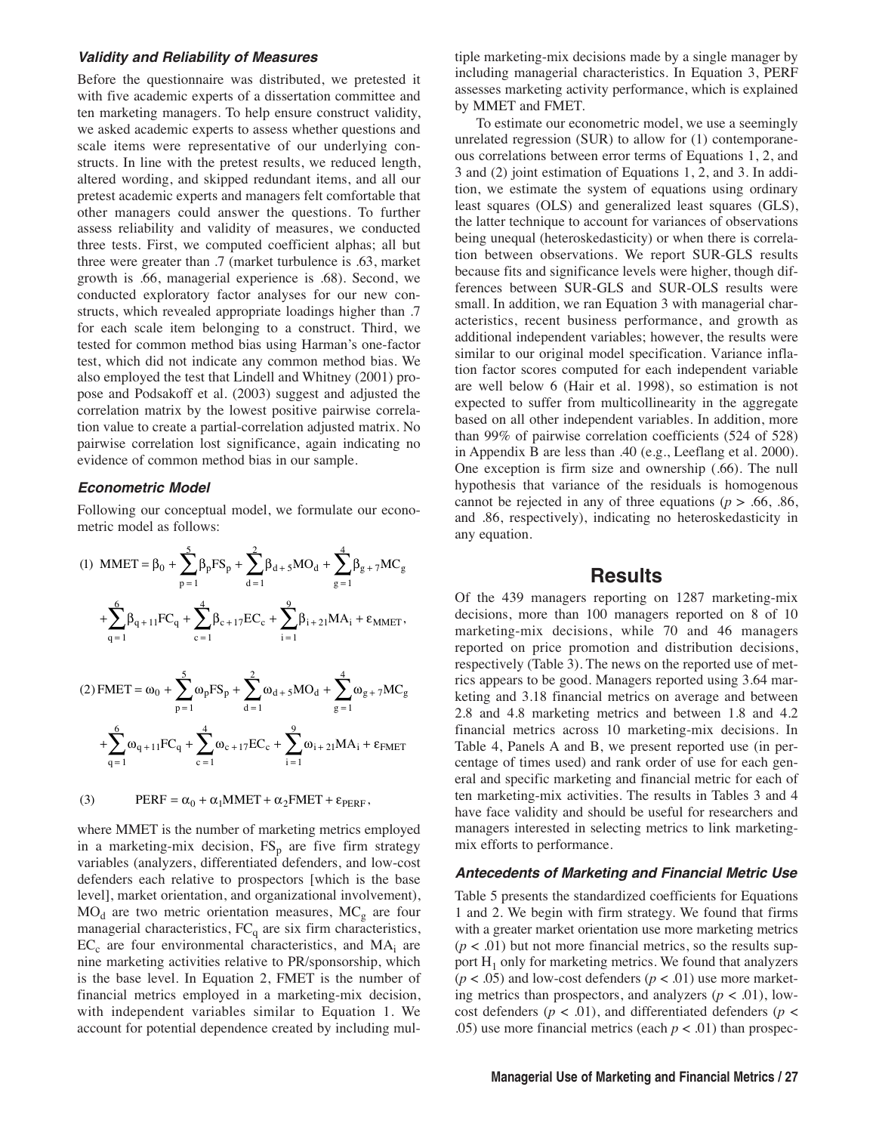#### *Validity and Reliability of Measures*

Before the questionnaire was distributed, we pretested it with five academic experts of a dissertation committee and ten marketing managers. To help ensure construct validity, we asked academic experts to assess whether questions and scale items were representative of our underlying constructs. In line with the pretest results, we reduced length, altered wording, and skipped redundant items, and all our pretest academic experts and managers felt comfortable that other managers could answer the questions. To further assess reliability and validity of measures, we conducted three tests. First, we computed coefficient alphas; all but three were greater than .7 (market turbulence is .63, market growth is .66, managerial experience is .68). Second, we conducted exploratory factor analyses for our new constructs, which revealed appropriate loadings higher than .7 for each scale item belonging to a construct. Third, we tested for common method bias using Harman's one-factor test, which did not indicate any common method bias. We also employed the test that Lindell and Whitney (2001) propose and Podsakoff et al. (2003) suggest and adjusted the correlation matrix by the lowest positive pairwise correlation value to create a partial-correlation adjusted matrix. No pairwise correlation lost significance, again indicating no evidence of common method bias in our sample.

#### *Econometric Model*

Following our conceptual model, we formulate our econometric model as follows:

(1) 
$$
MMET = \beta_0 + \sum_{p=1}^{5} \beta_p FS_p + \sum_{d=1}^{2} \beta_{d+5} MO_d + \sum_{g=1}^{4} \beta_{g+7} MC_g
$$

$$
+ \sum_{q=1}^{6} \beta_{q+11} FC_q + \sum_{c=1}^{4} \beta_{c+17} EC_c + \sum_{i=1}^{9} \beta_{i+21} MA_i + \varepsilon_{MMET},
$$

$$
(2) \text{FMET} = \omega_0 + \sum_{p=1}^{5} \omega_p \text{FS}_p + \sum_{d=1}^{2} \omega_{d+5} \text{MO}_d + \sum_{g=1}^{4} \omega_{g+7} \text{MC}_g
$$

$$
+ \sum_{q=1}^{6} \omega_{q+11} \text{FC}_q + \sum_{c=1}^{4} \omega_{c+17} \text{EC}_c + \sum_{i=1}^{9} \omega_{i+21} \text{MA}_i + \varepsilon_{\text{FMET}}
$$

(3) 
$$
\text{PERF} = \alpha_0 + \alpha_1 \text{MMET} + \alpha_2 \text{FMET} + \varepsilon_{\text{PERF}},
$$

where MMET is the number of marketing metrics employed in a marketing-mix decision,  $FS_p$  are five firm strategy variables (analyzers, differentiated defenders, and low-cost defenders each relative to prospectors [which is the base level], market orientation, and organizational involvement),  $MO_d$  are two metric orientation measures,  $MC_g$  are four managerial characteristics,  $FC_q$  are six firm characteristics,  $EC_c$  are four environmental characteristics, and  $MA_i$  are nine marketing activities relative to PR/sponsorship, which is the base level. In Equation 2, FMET is the number of financial metrics employed in a marketing-mix decision, with independent variables similar to Equation 1. We account for potential dependence created by including multiple marketing-mix decisions made by a single manager by including managerial characteristics. In Equation 3, PERF assesses marketing activity performance, which is explained by MMET and FMET.

To estimate our econometric model, we use a seemingly unrelated regression (SUR) to allow for (1) contemporaneous correlations between error terms of Equations 1, 2, and 3 and (2) joint estimation of Equations 1, 2, and 3. In addition, we estimate the system of equations using ordinary least squares (OLS) and generalized least squares (GLS), the latter technique to account for variances of observations being unequal (heteroskedasticity) or when there is correlation between observations. We report SUR-GLS results because fits and significance levels were higher, though differences between SUR-GLS and SUR-OLS results were small. In addition, we ran Equation 3 with managerial characteristics, recent business performance, and growth as additional independent variables; however, the results were similar to our original model specification. Variance inflation factor scores computed for each independent variable are well below 6 (Hair et al. 1998), so estimation is not expected to suffer from multicollinearity in the aggregate based on all other independent variables. In addition, more than 99% of pairwise correlation coefficients (524 of 528) in Appendix B are less than .40 (e.g., Leeflang et al. 2000). One exception is firm size and ownership (.66). The null hypothesis that variance of the residuals is homogenous cannot be rejected in any of three equations ( $p > .66, .86$ , and .86, respectively), indicating no heteroskedasticity in any equation.

## **Results**

Of the 439 managers reporting on 1287 marketing-mix decisions, more than 100 managers reported on 8 of 10 marketing-mix decisions, while 70 and 46 managers reported on price promotion and distribution decisions, respectively (Table 3). The news on the reported use of metrics appears to be good. Managers reported using 3.64 marketing and 3.18 financial metrics on average and between 2.8 and 4.8 marketing metrics and between 1.8 and 4.2 financial metrics across 10 marketing-mix decisions. In Table 4, Panels A and B, we present reported use (in percentage of times used) and rank order of use for each general and specific marketing and financial metric for each of ten marketing-mix activities. The results in Tables 3 and 4 have face validity and should be useful for researchers and managers interested in selecting metrics to link marketingmix efforts to performance.

#### *Antecedents of Marketing and Financial Metric Use*

Table 5 presents the standardized coefficients for Equations 1 and 2. We begin with firm strategy. We found that firms with a greater market orientation use more marketing metrics  $(p < .01)$  but not more financial metrics, so the results support  $H_1$  only for marketing metrics. We found that analyzers  $(p < .05)$  and low-cost defenders  $(p < .01)$  use more marketing metrics than prospectors, and analyzers ( $p < .01$ ), lowcost defenders ( $p < .01$ ), and differentiated defenders ( $p <$ .05) use more financial metrics (each  $p < .01$ ) than prospec-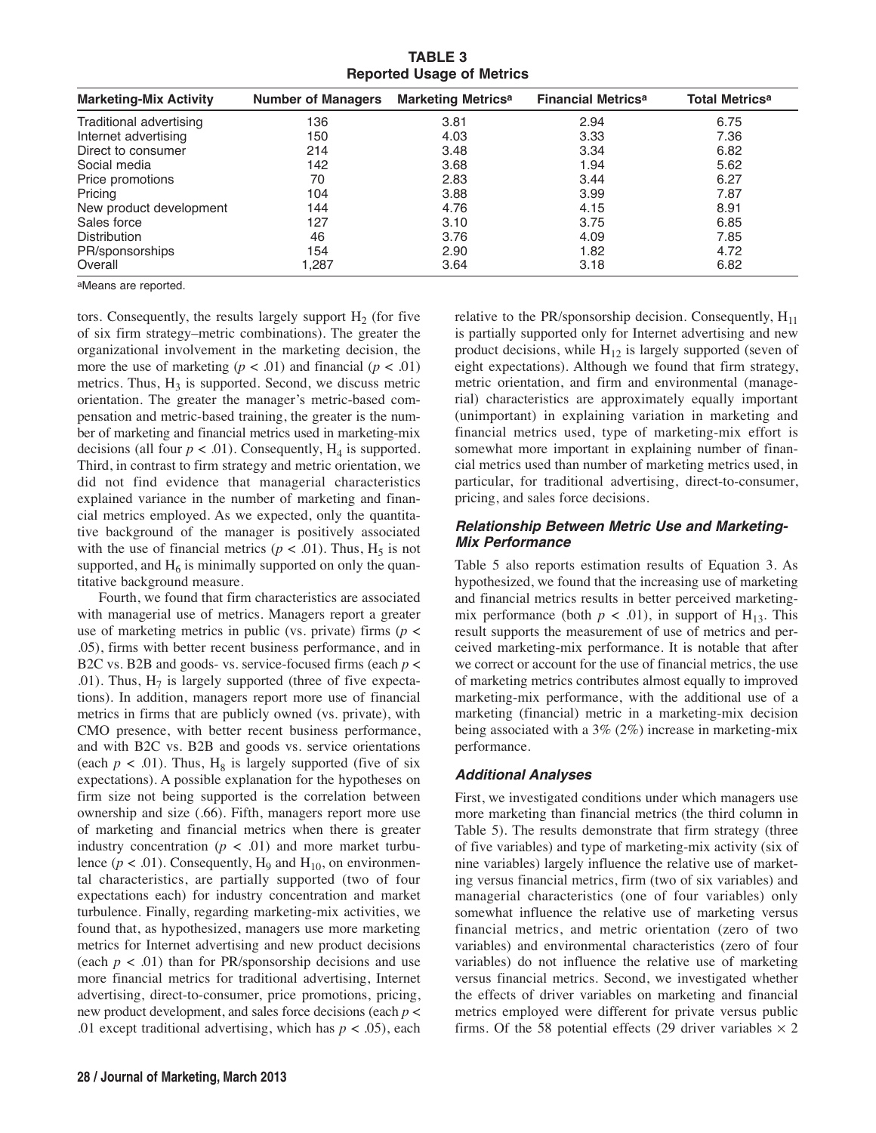**TABLE 3 Reported Usage of Metrics**

| <b>Marketing-Mix Activity</b>  | <b>Number of Managers</b> | <b>Marketing Metricsa</b> | <b>Financial Metricsa</b> | <b>Total Metricsa</b> |
|--------------------------------|---------------------------|---------------------------|---------------------------|-----------------------|
| <b>Traditional advertising</b> | 136                       | 3.81                      | 2.94                      | 6.75                  |
| Internet advertising           | 150                       | 4.03                      | 3.33                      | 7.36                  |
| Direct to consumer             | 214                       | 3.48                      | 3.34                      | 6.82                  |
| Social media                   | 142                       | 3.68                      | 1.94                      | 5.62                  |
| Price promotions               | 70                        | 2.83                      | 3.44                      | 6.27                  |
| Pricing                        | 104                       | 3.88                      | 3.99                      | 7.87                  |
| New product development        | 144                       | 4.76                      | 4.15                      | 8.91                  |
| Sales force                    | 127                       | 3.10                      | 3.75                      | 6.85                  |
| <b>Distribution</b>            | 46                        | 3.76                      | 4.09                      | 7.85                  |
| PR/sponsorships                | 154                       | 2.90                      | 1.82                      | 4.72                  |
| Overall                        | 1.287                     | 3.64                      | 3.18                      | 6.82                  |

aMeans are reported.

tors. Consequently, the results largely support  $H<sub>2</sub>$  (for five of six firm strategy–metric combinations). The greater the organizational involvement in the marketing decision, the more the use of marketing  $(p < .01)$  and financial  $(p < .01)$ metrics. Thus,  $H_3$  is supported. Second, we discuss metric orientation. The greater the manager's metric-based compensation and metric-based training, the greater is the number of marketing and financial metrics used in marketing-mix decisions (all four  $p < .01$ ). Consequently,  $H_4$  is supported. Third, in contrast to firm strategy and metric orientation, we did not find evidence that managerial characteristics explained variance in the number of marketing and financial metrics employed. As we expected, only the quantitative background of the manager is positively associated with the use of financial metrics ( $p < .01$ ). Thus, H<sub>5</sub> is not supported, and  $H_6$  is minimally supported on only the quantitative background measure.

Fourth, we found that firm characteristics are associated with managerial use of metrics. Managers report a greater use of marketing metrics in public (vs. private) firms (*p* < .05), firms with better recent business performance, and in B2C vs. B2B and goods- vs. service-focused firms (each *p* < .01). Thus,  $H_7$  is largely supported (three of five expectations). In addition, managers report more use of financial metrics in firms that are publicly owned (vs. private), with CMO presence, with better recent business performance, and with B2C vs. B2B and goods vs. service orientations (each  $p < .01$ ). Thus, H<sub>8</sub> is largely supported (five of six expectations). A possible explanation for the hypotheses on firm size not being supported is the correlation between ownership and size (.66). Fifth, managers report more use of marketing and financial metrics when there is greater industry concentration ( $p < .01$ ) and more market turbulence ( $p < .01$ ). Consequently, H<sub>9</sub> and H<sub>10</sub>, on environmental characteristics, are partially supported (two of four expectations each) for industry concentration and market turbulence. Finally, regarding marketing-mix activities, we found that, as hypothesized, managers use more marketing metrics for Internet advertising and new product decisions (each  $p < .01$ ) than for PR/sponsorship decisions and use more financial metrics for traditional advertising, Internet advertising, direct-to-consumer, price promotions, pricing, new product development, and sales force decisions (each *p* < .01 except traditional advertising, which has  $p < .05$ ), each

relative to the PR/sponsorship decision. Consequently,  $H_{11}$ is partially supported only for Internet advertising and new product decisions, while  $H_{12}$  is largely supported (seven of eight expectations). Although we found that firm strategy, metric orientation, and firm and environmental (managerial) characteristics are approximately equally important (unimportant) in explaining variation in marketing and financial metrics used, type of marketing-mix effort is somewhat more important in explaining number of financial metrics used than number of marketing metrics used, in particular, for traditional advertising, direct-to-consumer, pricing, and sales force decisions.

#### *Relationship Between Metric Use and Marketing-Mix Performance*

Table 5 also reports estimation results of Equation 3. As hypothesized, we found that the increasing use of marketing and financial metrics results in better perceived marketingmix performance (both  $p < .01$ ), in support of H<sub>13</sub>. This result supports the measurement of use of metrics and perceived marketing-mix performance. It is notable that after we correct or account for the use of financial metrics, the use of marketing metrics contributes almost equally to improved marketing-mix performance, with the additional use of a marketing (financial) metric in a marketing-mix decision being associated with a 3% (2%) increase in marketing-mix performance.

#### *Additional Analyses*

First, we investigated conditions under which managers use more marketing than financial metrics (the third column in Table 5). The results demonstrate that firm strategy (three of five variables) and type of marketing-mix activity (six of nine variables) largely influence the relative use of marketing versus financial metrics, firm (two of six variables) and managerial characteristics (one of four variables) only somewhat influence the relative use of marketing versus financial metrics, and metric orientation (zero of two variables) and environmental characteristics (zero of four variables) do not influence the relative use of marketing versus financial metrics. Second, we investigated whether the effects of driver variables on marketing and financial metrics employed were different for private versus public firms. Of the 58 potential effects (29 driver variables  $\times$  2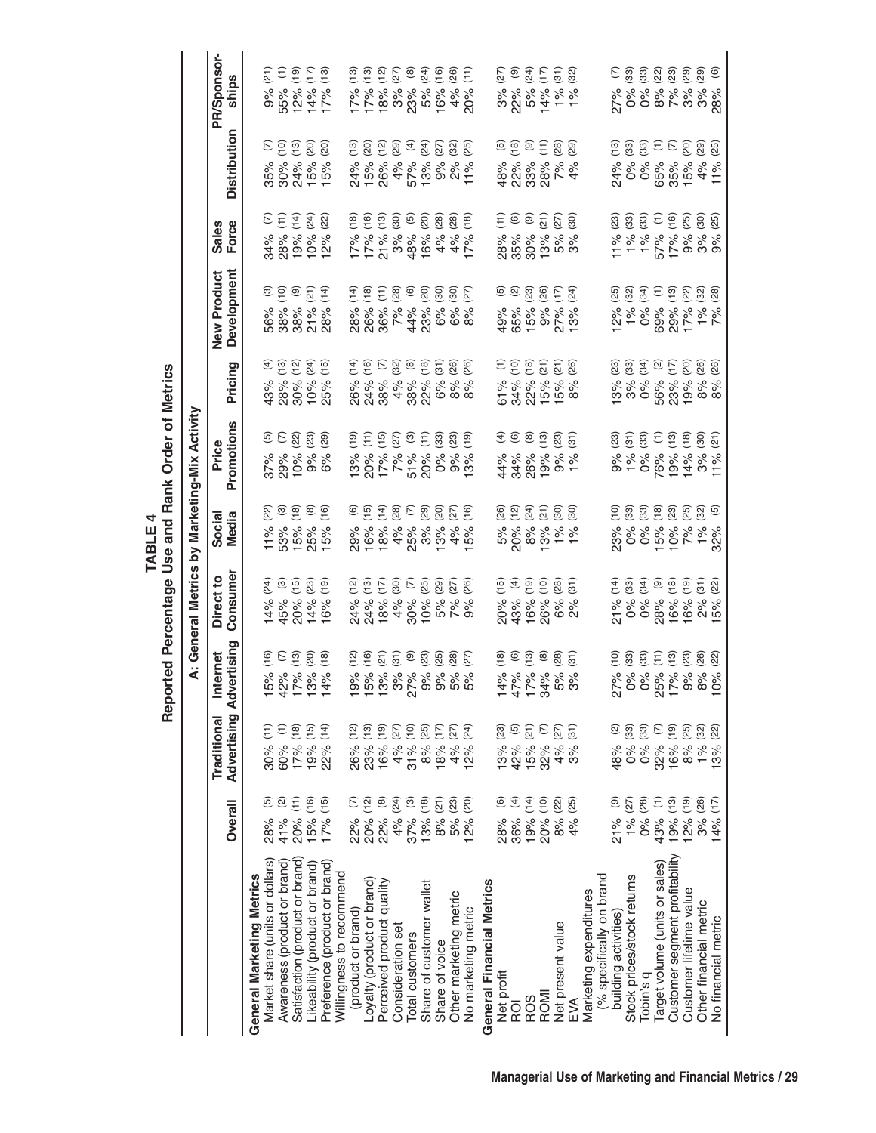TABLE 4<br>Reported Percentage Use and Rank Order of Metrics **Reported Percentage Use and Rank Order of Metrics TABLE 4**

|                                 |                           |                                        |                                                                                                                                                                                                                     |                                                                                                                                                                                                                                                                                                                                                                                                                                                                                                                        |                                         | A: General Metrics by Marketing-Mix Activity                                                                                                         |                                                                                                                                                                                                                                                                                                                                                                                                                                  |                                                                                                                                                                                                                                                                                                                                                                                                                                            |                                                                                                                                                                                                                                                                                                                                                                                                                                                                                                                                  |                                                                                                                                                                                                     |                                                                                                                                                                                                                                                   |
|---------------------------------|---------------------------|----------------------------------------|---------------------------------------------------------------------------------------------------------------------------------------------------------------------------------------------------------------------|------------------------------------------------------------------------------------------------------------------------------------------------------------------------------------------------------------------------------------------------------------------------------------------------------------------------------------------------------------------------------------------------------------------------------------------------------------------------------------------------------------------------|-----------------------------------------|------------------------------------------------------------------------------------------------------------------------------------------------------|----------------------------------------------------------------------------------------------------------------------------------------------------------------------------------------------------------------------------------------------------------------------------------------------------------------------------------------------------------------------------------------------------------------------------------|--------------------------------------------------------------------------------------------------------------------------------------------------------------------------------------------------------------------------------------------------------------------------------------------------------------------------------------------------------------------------------------------------------------------------------------------|----------------------------------------------------------------------------------------------------------------------------------------------------------------------------------------------------------------------------------------------------------------------------------------------------------------------------------------------------------------------------------------------------------------------------------------------------------------------------------------------------------------------------------|-----------------------------------------------------------------------------------------------------------------------------------------------------------------------------------------------------|---------------------------------------------------------------------------------------------------------------------------------------------------------------------------------------------------------------------------------------------------|
|                                 | Overall                   | Advertising Advertising<br>Traditional | nternet                                                                                                                                                                                                             | Consumer<br>Direct to                                                                                                                                                                                                                                                                                                                                                                                                                                                                                                  | Media<br>Social                         | Promotions<br>Price                                                                                                                                  | Pricing                                                                                                                                                                                                                                                                                                                                                                                                                          | New Product<br>Development                                                                                                                                                                                                                                                                                                                                                                                                                 | Sales<br>Force                                                                                                                                                                                                                                                                                                                                                                                                                                                                                                                   | <b>Distribution</b>                                                                                                                                                                                 | PR/Sponsor-<br>ships                                                                                                                                                                                                                              |
| General Marketing Metrics       |                           |                                        |                                                                                                                                                                                                                     |                                                                                                                                                                                                                                                                                                                                                                                                                                                                                                                        |                                         |                                                                                                                                                      |                                                                                                                                                                                                                                                                                                                                                                                                                                  |                                                                                                                                                                                                                                                                                                                                                                                                                                            |                                                                                                                                                                                                                                                                                                                                                                                                                                                                                                                                  |                                                                                                                                                                                                     |                                                                                                                                                                                                                                                   |
| Market share (units or dollars) | $\widehat{5}$<br>28%      | (11)<br>30%                            | $\binom{6}{1}$                                                                                                                                                                                                      | (24)                                                                                                                                                                                                                                                                                                                                                                                                                                                                                                                   | <u>ପ୍</u> ର                             | 37%<br>29%<br>10%                                                                                                                                    |                                                                                                                                                                                                                                                                                                                                                                                                                                  |                                                                                                                                                                                                                                                                                                                                                                                                                                            |                                                                                                                                                                                                                                                                                                                                                                                                                                                                                                                                  |                                                                                                                                                                                                     |                                                                                                                                                                                                                                                   |
| Awareness (product or brand)    | $\widehat{\omega}$<br>41% | $\widehat{E}$<br>60%                   |                                                                                                                                                                                                                     |                                                                                                                                                                                                                                                                                                                                                                                                                                                                                                                        |                                         |                                                                                                                                                      |                                                                                                                                                                                                                                                                                                                                                                                                                                  |                                                                                                                                                                                                                                                                                                                                                                                                                                            |                                                                                                                                                                                                                                                                                                                                                                                                                                                                                                                                  |                                                                                                                                                                                                     |                                                                                                                                                                                                                                                   |
| Satisfaction (product or brand) | (11)<br>20%               | (18)<br>17%                            |                                                                                                                                                                                                                     | 14%<br>45%<br>20%                                                                                                                                                                                                                                                                                                                                                                                                                                                                                                      |                                         | <u>ତ ଚ ରୁ ନ୍</u>                                                                                                                                     |                                                                                                                                                                                                                                                                                                                                                                                                                                  |                                                                                                                                                                                                                                                                                                                                                                                                                                            |                                                                                                                                                                                                                                                                                                                                                                                                                                                                                                                                  | ၉ ခု ခု ခွ                                                                                                                                                                                          |                                                                                                                                                                                                                                                   |
| likeability (product or brand)  | (16)<br>15%               | (15)<br>19%                            | $\widetilde{C}$ $\widetilde{D}$ $\widetilde{D}$<br>ಹಿತ್ಯ ಕಿ<br>ಹಿತ್ತಿ ಕಿ ಹಿ                                                                                                                                         | $0.69$<br>$0.69$<br>$0.69$<br>$0.69$<br>14%                                                                                                                                                                                                                                                                                                                                                                                                                                                                            | $17%$<br>$58%$<br>$58%$<br>$15%$        | 9%                                                                                                                                                   | $\widehat{\tau}$ $\widehat{\mathrm{e}}$ $\widehat{\mathrm{e}}$ $\widehat{\mathrm{e}}$ $\widehat{\mathrm{e}}$ $\widehat{\mathrm{e}}$<br>$\frac{28}{38}$<br>$\frac{28}{38}$<br>$\frac{28}{38}$<br>$\frac{28}{38}$                                                                                                                                                                                                                  | $\widehat{\mathfrak{G}}$ $\widehat{\mathfrak{G}}$ $\widehat{\mathfrak{G}}$ $\widehat{\mathfrak{G}}$<br>ಹಿ ಹಿ ಹಿ ಹಿ<br>ಹಿ ಹಿ ಹಿ ಸ                                                                                                                                                                                                                                                                                                           | $38888888$<br>$7888888$<br>$7288$                                                                                                                                                                                                                                                                                                                                                                                                                                                                                                | $35%$<br>$30%$<br>$24%$<br>$15%$                                                                                                                                                                    | ភូទទួទទួ<br>8%<br>55%%<br>17%                                                                                                                                                                                                                     |
| Preference (product or brand)   | (15)<br>17%               | (14)<br>22%                            | $\frac{1}{2}$<br>$4\%$                                                                                                                                                                                              | 16%                                                                                                                                                                                                                                                                                                                                                                                                                                                                                                                    |                                         | (85)<br>6%                                                                                                                                           |                                                                                                                                                                                                                                                                                                                                                                                                                                  | 28%                                                                                                                                                                                                                                                                                                                                                                                                                                        |                                                                                                                                                                                                                                                                                                                                                                                                                                                                                                                                  | $\widehat{S}$                                                                                                                                                                                       |                                                                                                                                                                                                                                                   |
| Willingness to recommend        |                           |                                        |                                                                                                                                                                                                                     |                                                                                                                                                                                                                                                                                                                                                                                                                                                                                                                        |                                         |                                                                                                                                                      |                                                                                                                                                                                                                                                                                                                                                                                                                                  |                                                                                                                                                                                                                                                                                                                                                                                                                                            |                                                                                                                                                                                                                                                                                                                                                                                                                                                                                                                                  |                                                                                                                                                                                                     |                                                                                                                                                                                                                                                   |
| (product or brand)              | $\widehat{C}$<br>22%      | (12)<br>26%                            |                                                                                                                                                                                                                     |                                                                                                                                                                                                                                                                                                                                                                                                                                                                                                                        |                                         |                                                                                                                                                      |                                                                                                                                                                                                                                                                                                                                                                                                                                  |                                                                                                                                                                                                                                                                                                                                                                                                                                            |                                                                                                                                                                                                                                                                                                                                                                                                                                                                                                                                  |                                                                                                                                                                                                     |                                                                                                                                                                                                                                                   |
| Loyalty (product or brand)      | (12)<br>20%               | (13)<br>23%                            |                                                                                                                                                                                                                     | 8 % % % % %<br>8 % % % % %<br>8 % % % % %                                                                                                                                                                                                                                                                                                                                                                                                                                                                              |                                         | $\frac{288}{1788}$<br>20% $\frac{288}{1788}$                                                                                                         | % % % % %<br>8 % % % % %<br>8 % % % % %                                                                                                                                                                                                                                                                                                                                                                                          | 8%%%%%<br>8%%%%%<br>8%%%                                                                                                                                                                                                                                                                                                                                                                                                                   |                                                                                                                                                                                                                                                                                                                                                                                                                                                                                                                                  |                                                                                                                                                                                                     |                                                                                                                                                                                                                                                   |
| Perceived product quality       | $\circledast$<br>22%      | (19)<br>16%                            |                                                                                                                                                                                                                     |                                                                                                                                                                                                                                                                                                                                                                                                                                                                                                                        |                                         |                                                                                                                                                      |                                                                                                                                                                                                                                                                                                                                                                                                                                  |                                                                                                                                                                                                                                                                                                                                                                                                                                            |                                                                                                                                                                                                                                                                                                                                                                                                                                                                                                                                  |                                                                                                                                                                                                     |                                                                                                                                                                                                                                                   |
| Consideration set               | (24)<br>4%                | (27)<br>4%                             |                                                                                                                                                                                                                     |                                                                                                                                                                                                                                                                                                                                                                                                                                                                                                                        |                                         |                                                                                                                                                      |                                                                                                                                                                                                                                                                                                                                                                                                                                  |                                                                                                                                                                                                                                                                                                                                                                                                                                            |                                                                                                                                                                                                                                                                                                                                                                                                                                                                                                                                  |                                                                                                                                                                                                     |                                                                                                                                                                                                                                                   |
| Total customers                 | $\circledcirc$<br>37%     | (10)<br>31%                            |                                                                                                                                                                                                                     |                                                                                                                                                                                                                                                                                                                                                                                                                                                                                                                        |                                         |                                                                                                                                                      |                                                                                                                                                                                                                                                                                                                                                                                                                                  |                                                                                                                                                                                                                                                                                                                                                                                                                                            |                                                                                                                                                                                                                                                                                                                                                                                                                                                                                                                                  |                                                                                                                                                                                                     |                                                                                                                                                                                                                                                   |
| Share of customer wallet        | (18)<br>13%               | (25)<br>8%                             |                                                                                                                                                                                                                     |                                                                                                                                                                                                                                                                                                                                                                                                                                                                                                                        |                                         |                                                                                                                                                      |                                                                                                                                                                                                                                                                                                                                                                                                                                  |                                                                                                                                                                                                                                                                                                                                                                                                                                            |                                                                                                                                                                                                                                                                                                                                                                                                                                                                                                                                  |                                                                                                                                                                                                     |                                                                                                                                                                                                                                                   |
| Share of voice                  | (21)<br>8%                | (17)<br>18%                            | <u>ត្តត្តត្តត្ត</u><br>*********<br>********                                                                                                                                                                        | ត្តក្តួកត្តត្ត                                                                                                                                                                                                                                                                                                                                                                                                                                                                                                         |                                         | ទូទូទូទូទូទូទូ<br>$\delta$                                                                                                                           | $\begin{array}{cccccc}\n\mathbf{1} & \mathbf{1} & \mathbf{1} & \mathbf{1} & \mathbf{1} & \mathbf{1} & \mathbf{1} & \mathbf{1} & \mathbf{1} & \mathbf{1} & \mathbf{1} & \mathbf{1} & \mathbf{1} & \mathbf{1} & \mathbf{1} & \mathbf{1} & \mathbf{1} & \mathbf{1} & \mathbf{1} & \mathbf{1} & \mathbf{1} & \mathbf{1} & \mathbf{1} & \mathbf{1} & \mathbf{1} & \mathbf{1} & \mathbf{1} & \mathbf{1} & \mathbf{1} & \mathbf{1} & \$ | $\begin{array}{cccccc} \widehat{\tau} & \widehat{\mathrm{e}} & \widehat{\tau} & \widehat{\mathrm{e}} & \widehat{\mathrm{e}} & \widehat{\mathrm{e}} & \widehat{\mathrm{e}} & \widehat{\mathrm{e}} & \widehat{\mathrm{e}} & \widehat{\mathrm{e}} & \widehat{\mathrm{e}} & \widehat{\mathrm{e}} & \widehat{\mathrm{e}} & \widehat{\mathrm{e}} & \widehat{\mathrm{e}} \end{array}$                                                             | $\begin{array}{cccccccccc} \widehat{\mathbf{e}} & \widehat{\mathbf{e}} & \widehat{\mathbf{e}} & \widehat{\mathbf{e}} & \widehat{\mathbf{e}} & \widehat{\mathbf{e}} & \widehat{\mathbf{e}} & \widehat{\mathbf{e}} & \widehat{\mathbf{e}} & \widehat{\mathbf{e}} & \widehat{\mathbf{e}} & \widehat{\mathbf{e}} & \widehat{\mathbf{e}} & \widehat{\mathbf{e}} & \widehat{\mathbf{e}} & \widehat{\mathbf{e}} & \widehat{\mathbf{e}} & \widehat{\mathbf{e}} & \widehat{\mathbf{e}} & \widehat{\mathbf{e}} & \widehat{\mathbf{e}} & \$ | ลิลิลิริสิธิลิลิ<br>อิลิยิลิริสิธิลิ                                                                                                                                                                | $\widetilde{P}$ $\widetilde{P}$ $\widetilde{Q}$ $\widetilde{Q}$ $\widetilde{Q}$ $\widetilde{Q}$ $\widetilde{Q}$ $\widetilde{Q}$ $\widetilde{Q}$ $\widetilde{Q}$ $\widetilde{Q}$ $\widetilde{Q}$ $\widetilde{Q}$ $\widetilde{Q}$ $\widetilde{Q}$   |
| Other marketing metric          | (23)<br>5%                | (27)<br>4%                             |                                                                                                                                                                                                                     | $\frac{8}{6}$                                                                                                                                                                                                                                                                                                                                                                                                                                                                                                          |                                         | $9\%$                                                                                                                                                | နို့ နို့ နိ                                                                                                                                                                                                                                                                                                                                                                                                                     | 6%                                                                                                                                                                                                                                                                                                                                                                                                                                         |                                                                                                                                                                                                                                                                                                                                                                                                                                                                                                                                  |                                                                                                                                                                                                     |                                                                                                                                                                                                                                                   |
| No marketing metric             | (20)<br>12%               | (24)<br>$12\%$                         | $\widetilde{Z}$                                                                                                                                                                                                     | (36)<br>$\frac{6}{6}$                                                                                                                                                                                                                                                                                                                                                                                                                                                                                                  |                                         | $3\%$                                                                                                                                                | (26)                                                                                                                                                                                                                                                                                                                                                                                                                             | $8\%$                                                                                                                                                                                                                                                                                                                                                                                                                                      |                                                                                                                                                                                                                                                                                                                                                                                                                                                                                                                                  | $1\frac{6}{6}$                                                                                                                                                                                      |                                                                                                                                                                                                                                                   |
| General Financial Metrics       |                           |                                        |                                                                                                                                                                                                                     |                                                                                                                                                                                                                                                                                                                                                                                                                                                                                                                        |                                         |                                                                                                                                                      |                                                                                                                                                                                                                                                                                                                                                                                                                                  |                                                                                                                                                                                                                                                                                                                                                                                                                                            |                                                                                                                                                                                                                                                                                                                                                                                                                                                                                                                                  |                                                                                                                                                                                                     |                                                                                                                                                                                                                                                   |
| Net profit                      | $\circlede$<br>28%        |                                        | $\frac{1}{2}$                                                                                                                                                                                                       | $\overline{5}$                                                                                                                                                                                                                                                                                                                                                                                                                                                                                                         | (26)                                    | $\widehat{\mathcal{F}}$                                                                                                                              |                                                                                                                                                                                                                                                                                                                                                                                                                                  |                                                                                                                                                                                                                                                                                                                                                                                                                                            | $\left(\begin{smallmatrix}1\1\end{smallmatrix}\right)$                                                                                                                                                                                                                                                                                                                                                                                                                                                                           |                                                                                                                                                                                                     | $\widetilde{S}$                                                                                                                                                                                                                                   |
| <b>ROI</b>                      | $\widehat{f}$<br>36%      | $13% (23)$<br>42% (5)                  |                                                                                                                                                                                                                     |                                                                                                                                                                                                                                                                                                                                                                                                                                                                                                                        |                                         | 438%<br>438%                                                                                                                                         |                                                                                                                                                                                                                                                                                                                                                                                                                                  |                                                                                                                                                                                                                                                                                                                                                                                                                                            |                                                                                                                                                                                                                                                                                                                                                                                                                                                                                                                                  |                                                                                                                                                                                                     |                                                                                                                                                                                                                                                   |
| <b>ROS</b>                      | (14)<br>19%               | $15%$ (21)                             |                                                                                                                                                                                                                     |                                                                                                                                                                                                                                                                                                                                                                                                                                                                                                                        |                                         |                                                                                                                                                      |                                                                                                                                                                                                                                                                                                                                                                                                                                  |                                                                                                                                                                                                                                                                                                                                                                                                                                            |                                                                                                                                                                                                                                                                                                                                                                                                                                                                                                                                  |                                                                                                                                                                                                     |                                                                                                                                                                                                                                                   |
| ROMI                            | (10)<br>20%               | $\tilde{z}$<br>32%                     | 69985<br>8<br>8 8 8 8 8 8<br>1 7 8 8 8 9                                                                                                                                                                            | $E \oplus E \oplus E$                                                                                                                                                                                                                                                                                                                                                                                                                                                                                                  | 23.5.5.5<br>8888888<br>88982            | $\circledcirc$ $\circledcirc$ $\circledcirc$ $\circledcirc$<br>19%                                                                                   | ខទ្ទត្ត<br>8%%%%%<br>53%2%%                                                                                                                                                                                                                                                                                                                                                                                                      | <u> ១ ១ ត្តូ តូ ក្នុ ត្</u>                                                                                                                                                                                                                                                                                                                                                                                                                | $\circ$ $\circ$ $\frac{1}{2}$ $\frac{1}{2}$ $\frac{1}{2}$<br>8 % % % % %<br>8 9 9 9 9 9 9 9                                                                                                                                                                                                                                                                                                                                                                                                                                      | $\begin{array}{ccc}\n\circ & \circ & \circ & \circ & \circ \\ \circ & \circ & \circ & \circ & \circ \\ \circ & \circ & \circ & \circ & \circ\n\end{array}$<br>% % % % % %<br>8 % % % % %<br>4 N 3 N | 0.60000000000000                                                                                                                                                                                                                                  |
| Net present value               | (22)<br>$\frac{8%}{4%}$   | 4% (27)                                |                                                                                                                                                                                                                     | 6%<br>2%                                                                                                                                                                                                                                                                                                                                                                                                                                                                                                               |                                         | 9%                                                                                                                                                   |                                                                                                                                                                                                                                                                                                                                                                                                                                  |                                                                                                                                                                                                                                                                                                                                                                                                                                            |                                                                                                                                                                                                                                                                                                                                                                                                                                                                                                                                  |                                                                                                                                                                                                     |                                                                                                                                                                                                                                                   |
| EVA                             | (25)                      | (31)<br>3%                             |                                                                                                                                                                                                                     |                                                                                                                                                                                                                                                                                                                                                                                                                                                                                                                        |                                         | $\frac{5}{6}$                                                                                                                                        | (26)                                                                                                                                                                                                                                                                                                                                                                                                                             | 8%%%%%<br>65%%%%                                                                                                                                                                                                                                                                                                                                                                                                                           |                                                                                                                                                                                                                                                                                                                                                                                                                                                                                                                                  |                                                                                                                                                                                                     |                                                                                                                                                                                                                                                   |
| Marketing expenditures          |                           |                                        |                                                                                                                                                                                                                     |                                                                                                                                                                                                                                                                                                                                                                                                                                                                                                                        |                                         |                                                                                                                                                      |                                                                                                                                                                                                                                                                                                                                                                                                                                  |                                                                                                                                                                                                                                                                                                                                                                                                                                            |                                                                                                                                                                                                                                                                                                                                                                                                                                                                                                                                  |                                                                                                                                                                                                     |                                                                                                                                                                                                                                                   |
| (% specifically on brand        |                           |                                        |                                                                                                                                                                                                                     |                                                                                                                                                                                                                                                                                                                                                                                                                                                                                                                        |                                         |                                                                                                                                                      |                                                                                                                                                                                                                                                                                                                                                                                                                                  |                                                                                                                                                                                                                                                                                                                                                                                                                                            |                                                                                                                                                                                                                                                                                                                                                                                                                                                                                                                                  |                                                                                                                                                                                                     |                                                                                                                                                                                                                                                   |
| building activities)            | $\circledcirc$<br>21%     | $\widehat{\omega}$<br>48%              | (10)                                                                                                                                                                                                                | (14)                                                                                                                                                                                                                                                                                                                                                                                                                                                                                                                   | <u>(10</u>                              | (52)                                                                                                                                                 | <u>බූ</u>                                                                                                                                                                                                                                                                                                                                                                                                                        |                                                                                                                                                                                                                                                                                                                                                                                                                                            |                                                                                                                                                                                                                                                                                                                                                                                                                                                                                                                                  |                                                                                                                                                                                                     |                                                                                                                                                                                                                                                   |
| Stock prices/stock returns      | (27)<br>$\frac{106}{106}$ | 0% (33)                                |                                                                                                                                                                                                                     |                                                                                                                                                                                                                                                                                                                                                                                                                                                                                                                        |                                         |                                                                                                                                                      | $\widehat{33}$                                                                                                                                                                                                                                                                                                                                                                                                                   |                                                                                                                                                                                                                                                                                                                                                                                                                                            |                                                                                                                                                                                                                                                                                                                                                                                                                                                                                                                                  |                                                                                                                                                                                                     |                                                                                                                                                                                                                                                   |
| Tobin's q                       | (28)                      | (33)<br>0%                             |                                                                                                                                                                                                                     |                                                                                                                                                                                                                                                                                                                                                                                                                                                                                                                        |                                         | 8 % %<br>0 %                                                                                                                                         |                                                                                                                                                                                                                                                                                                                                                                                                                                  |                                                                                                                                                                                                                                                                                                                                                                                                                                            |                                                                                                                                                                                                                                                                                                                                                                                                                                                                                                                                  |                                                                                                                                                                                                     |                                                                                                                                                                                                                                                   |
| Target volume (units or sales)  | $\widehat{\tau}$<br>43%   | $\overline{C}$<br>32%                  |                                                                                                                                                                                                                     |                                                                                                                                                                                                                                                                                                                                                                                                                                                                                                                        |                                         |                                                                                                                                                      |                                                                                                                                                                                                                                                                                                                                                                                                                                  |                                                                                                                                                                                                                                                                                                                                                                                                                                            |                                                                                                                                                                                                                                                                                                                                                                                                                                                                                                                                  |                                                                                                                                                                                                     |                                                                                                                                                                                                                                                   |
| Customer segment profitability  | (13)<br>19%               | 16% (19)                               |                                                                                                                                                                                                                     |                                                                                                                                                                                                                                                                                                                                                                                                                                                                                                                        |                                         | 76%<br>19%                                                                                                                                           |                                                                                                                                                                                                                                                                                                                                                                                                                                  |                                                                                                                                                                                                                                                                                                                                                                                                                                            |                                                                                                                                                                                                                                                                                                                                                                                                                                                                                                                                  | 8%%%%%<br>0%%%%%                                                                                                                                                                                    |                                                                                                                                                                                                                                                   |
| Customer lifetime value         | (19)<br>12%               | (25)<br>8%                             | $\overset{\frown}{3}$ $\overset{\frown}{2}$ $\overset{\frown}{2}$ $\overset{\frown}{2}$ $\overset{\frown}{3}$ $\overset{\frown}{3}$ $\overset{\frown}{3}$ $\overset{\frown}{3}$<br>)<br>၂<br>၂<br>၂ ၁ ၁ ၂ ၂ ၁ ၁ ၁ ၂ | $\begin{array}{ccc} & \overbrace{30} & \overbrace{30} & \overbrace{30} & \overbrace{30} & \overbrace{30} & \overbrace{30} & \overbrace{30} & \overbrace{30} & \overbrace{30} & \overbrace{30} & \overbrace{30} & \overbrace{30} & \overbrace{30} & \overbrace{30} & \overbrace{30} & \overbrace{30} & \overbrace{30} & \overbrace{30} & \overbrace{30} & \overbrace{30} & \overbrace{30} & \overbrace{30} & \overbrace{30} & \overbrace{30} & \overbrace{30} & \overbrace{30} & \overbrace{$<br>21% 8% 8%<br>20% 8% 8% | <u> ສ ສ ສ ສ ສ ສ ສ</u><br>88888888888888 | $\widehat{a}$ , $\widehat{a}$ , $\widehat{b}$ , $\widehat{c}$ , $\widehat{c}$ , $\widehat{c}$ , $\widehat{c}$ , $\widehat{c}$ , $\widehat{c}$<br>14% | $\begin{array}{c} 0.9768 \\ 0.9768 \\ 0.9768 \\ \end{array}$                                                                                                                                                                                                                                                                                                                                                                     | $\begin{smallmatrix} 0 & 0 & \frac{\sqrt{3}}{2} & \frac{\sqrt{3}}{2} & \frac{\sqrt{3}}{2} & \frac{\sqrt{3}}{2} & \frac{\sqrt{3}}{2} & \frac{\sqrt{3}}{2} & \frac{\sqrt{3}}{2} & \frac{\sqrt{3}}{2} & \frac{\sqrt{3}}{2} & \frac{\sqrt{3}}{2} & \frac{\sqrt{3}}{2} & \frac{\sqrt{3}}{2} & \frac{\sqrt{3}}{2} & \frac{\sqrt{3}}{2} & \frac{\sqrt{3}}{2} & \frac{\sqrt{3}}{2} & \frac{\sqrt{3}}{2} & \frac{\sqrt{3}}{2} & \frac{\sqrt{3}}{2}$ | <u>ສີ ສີ ສີ 5 6 6 6 6 7</u><br>$78888888$<br>$72988888$                                                                                                                                                                                                                                                                                                                                                                                                                                                                          | $\widehat{P}_{1}$ $\widehat{S}_{2}$ $\widehat{S}_{3}$ $\widehat{S}_{4}$ $\widehat{S}_{5}$ $\widehat{S}_{6}$ $\widehat{S}_{7}$ $\widehat{S}_{8}$ $\widehat{S}_{9}$                                   | $\in$ $\mathop{\mathrm{gr}}\nolimits$ $\mathop{\mathrm{gr}}\nolimits$ $\mathop{\mathrm{gr}}\nolimits$ $\mathop{\mathrm{gr}}\nolimits$ $\mathop{\mathrm{gr}}\nolimits$ $\mathop{\mathrm{gr}}\nolimits$ $\mathop{\mathrm{gr}}\nolimits$<br>******** |
| Other financial metric          | (26)<br>3%                | (32)<br>$19%$<br>13%                   |                                                                                                                                                                                                                     | $\frac{2\%}{5\%}$                                                                                                                                                                                                                                                                                                                                                                                                                                                                                                      |                                         | $3%$<br>11%                                                                                                                                          | 8%<br>8%                                                                                                                                                                                                                                                                                                                                                                                                                         |                                                                                                                                                                                                                                                                                                                                                                                                                                            |                                                                                                                                                                                                                                                                                                                                                                                                                                                                                                                                  | $4%$<br>11%                                                                                                                                                                                         |                                                                                                                                                                                                                                                   |
| No financial metric             | (17)                      | (22)                                   |                                                                                                                                                                                                                     |                                                                                                                                                                                                                                                                                                                                                                                                                                                                                                                        |                                         |                                                                                                                                                      |                                                                                                                                                                                                                                                                                                                                                                                                                                  |                                                                                                                                                                                                                                                                                                                                                                                                                                            |                                                                                                                                                                                                                                                                                                                                                                                                                                                                                                                                  |                                                                                                                                                                                                     |                                                                                                                                                                                                                                                   |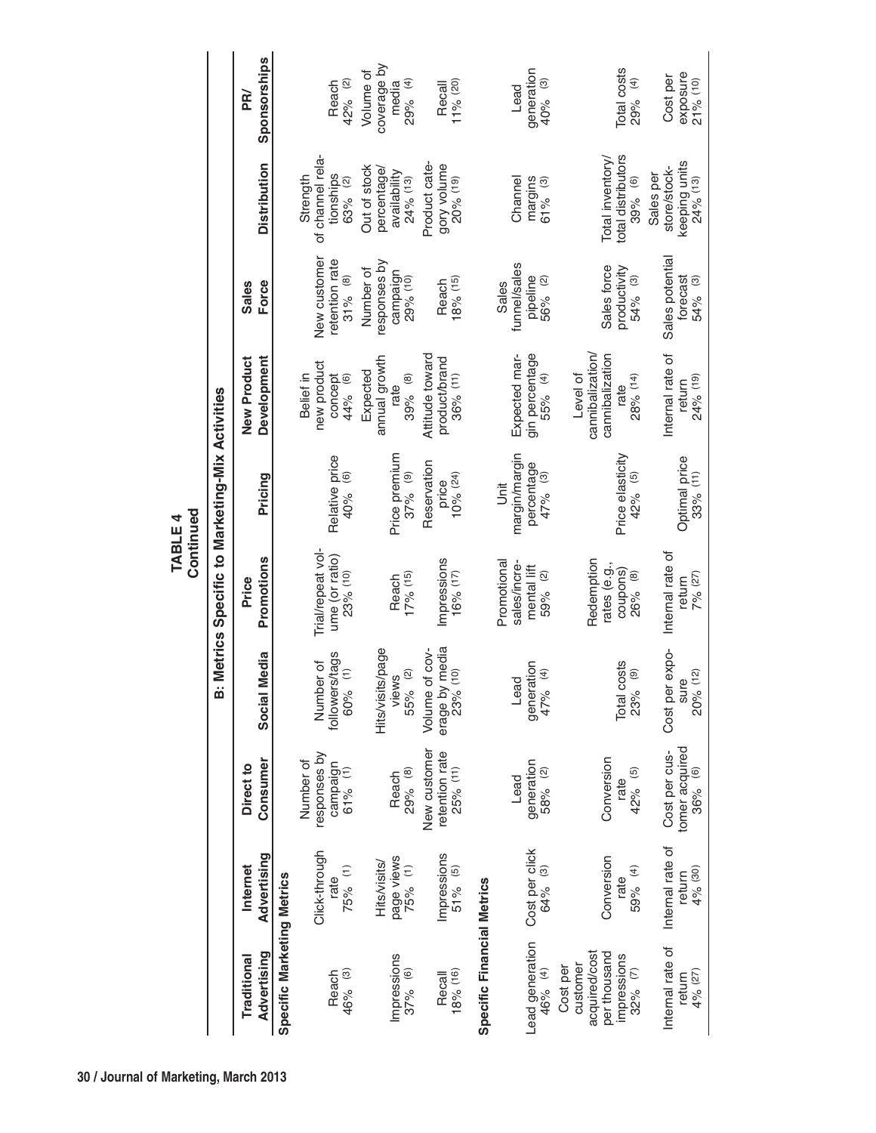|         |                                                              | Consumer<br>Direct to<br>Advertising<br>Internet | Specific Marketing Metrics | responses by<br>Number of<br>campaign<br>$61%$ (1)<br>Click-through<br>$75%$ (1)<br>rate | 29% (8)<br>Reach<br>page views<br>75% (1)<br>Hits/visits/ | New customer<br>retention rate<br>25% (11)<br>Impressions<br>$51\%$ (5) | generation<br>$\widehat{a}$<br>Lead<br>58%<br>Cost per click<br>$\widehat{\mathcal{C}}$<br>Specific Financial Metrics<br>64%<br>Lead generation | Conversion<br>42% (5)<br>rate<br>Conversion<br>59% (4)<br>rate<br>acquired/cost | tomer acquired<br>Cost per cus-<br>Internal rate of<br>return<br>$4% (30)$<br>Internal rate of |                                                                         |                                                   |                                         |
|---------|--------------------------------------------------------------|--------------------------------------------------|----------------------------|------------------------------------------------------------------------------------------|-----------------------------------------------------------|-------------------------------------------------------------------------|-------------------------------------------------------------------------------------------------------------------------------------------------|---------------------------------------------------------------------------------|------------------------------------------------------------------------------------------------|-------------------------------------------------------------------------|---------------------------------------------------|-----------------------------------------|
|         |                                                              | <b>Media</b><br>Social                           |                            | followers/tags<br>Number of<br>$\widehat{(\mathbf{1})}$<br>60%                           | Hits/visits/page<br>$\widehat{\text{2}}$<br>views<br>55%  | erage by media<br>Volume of cov-<br>(10)<br>23%                         | generation<br>$\widehat{\mathcal{F}}$<br>Lead<br>47%                                                                                            | Total costs<br>$\circledcirc$<br>23%                                            | Cost per expo-<br>sure                                                                         |                                                                         |                                                   |                                         |
|         | B: Metrics Specific to Marketing-Mix Activities<br>Continued |                                                  |                            |                                                                                          | Promotions<br>Price                                       |                                                                         | Trial/repeat vol-<br>ume (or ratio)<br>23% (10)                                                                                                 | Reach<br>17% (15)                                                               | Impressions<br>$16%$ (17)                                                                      | Promotional<br>sales/incre-<br>mental lift<br>$\widehat{\infty}$<br>59% | Redemption<br>rates (e.g.,<br>coupons)<br>26% (8) | Internal rate of<br>return<br>7% $(27)$ |
| TABLE 4 |                                                              | Pricing                                          |                            | Relative price<br>$\widehat{e}$<br>40%                                                   | Price premium<br>$37%$ (9)                                | Reservation<br>10% (24)<br>price                                        | margin/margin<br>percentage<br>$\widehat{\mathcal{C}}$<br>jnit<br>47%                                                                           | Price elasticity<br>42% (5)                                                     | Optimal price<br>33% (11)                                                                      |                                                                         |                                                   |                                         |
|         |                                                              | New Product<br><b>Development</b>                |                            | new product<br>Belief in<br>concept<br>44% (6)                                           | annual growth<br>Expected<br>39% (8)<br>rate              | Attitude toward<br>product/brand<br>$36%$ (11)                          | gin percentage<br>Expected mar-<br>55% (4)                                                                                                      | cannibalization/<br>cannibalization<br>Level of<br>28% (14)<br>rate             | Internal rate of<br>return<br>24% (19)                                                         |                                                                         |                                                   |                                         |
|         |                                                              | Force<br><b>Sales</b>                            |                            | New customer<br>retention rate<br>$31\%$ (8)                                             | responses by<br>Number of<br>campaign<br>29% (10)         | Reach<br>18% (15)                                                       | funnel/sales<br>pipeline<br>56% (2)<br>Sales<br>56%                                                                                             | Sales force<br>productivity<br>54% (3)                                          | Sales potential<br>forecast                                                                    |                                                                         |                                                   |                                         |
|         |                                                              | <b>Distribution</b>                              |                            | of channel rela-<br>tionships<br>Strength<br>63% (2)                                     | Out of stock<br>percentage/<br>availability<br>$24%$ (13) | Product cate-<br>gory volume<br>$20%$ (19)                              | margins<br>$61\%$ (3)<br>Channel                                                                                                                | total distributors<br>Total inventory/<br>39% (6)                               | keeping units<br>24% (13)<br>store/stock-<br>Sales per                                         |                                                                         |                                                   |                                         |
|         |                                                              | Sponsorships<br><b>R</b>                         |                            | 42% (2)<br>Reach                                                                         | coverage by<br>Volume of<br>29% (4)<br>media              | 11% (20)<br>Recall                                                      | generation<br>40% (3)<br>Lead                                                                                                                   | Total costs<br>29% (4)                                                          | exposure<br>21% (10)<br>Cost per                                                               |                                                                         |                                                   |                                         |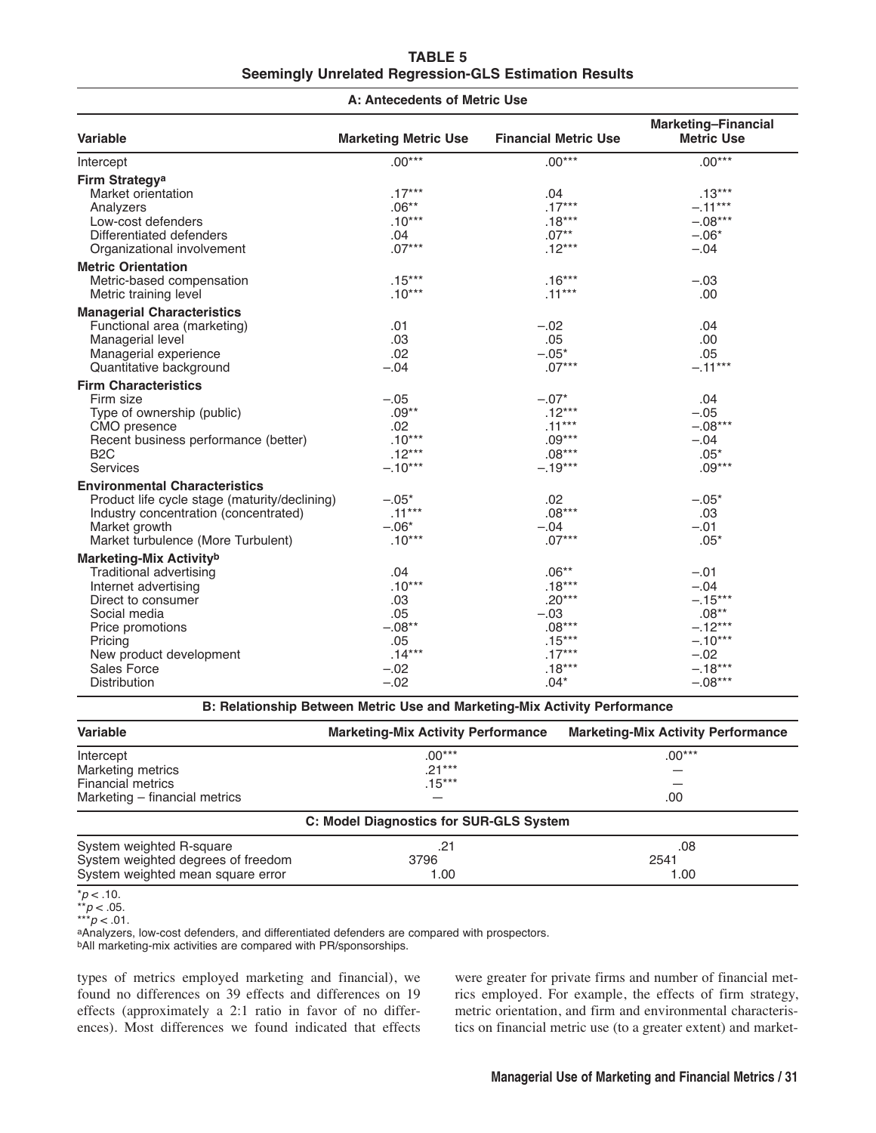|                                                                                                                                                                                                                                | A. Allieceuellis OI Metric Ose                                                   |                                                                                                      |                                                                                                        |
|--------------------------------------------------------------------------------------------------------------------------------------------------------------------------------------------------------------------------------|----------------------------------------------------------------------------------|------------------------------------------------------------------------------------------------------|--------------------------------------------------------------------------------------------------------|
| Variable                                                                                                                                                                                                                       | <b>Marketing Metric Use</b>                                                      | <b>Financial Metric Use</b>                                                                          | <b>Marketing-Financial</b><br><b>Metric Use</b>                                                        |
| Intercept                                                                                                                                                                                                                      | $.00***$                                                                         | $.00***$                                                                                             | $.00***$                                                                                               |
| Firm Strategy <sup>a</sup><br>Market orientation<br>Analyzers<br>Low-cost defenders<br>Differentiated defenders<br>Organizational involvement                                                                                  | $.17***$<br>$.06**$<br>$.10***$<br>.04<br>$.07***$                               | .04<br>$.17***$<br>$.18***$<br>$.07***$<br>$.12***$                                                  | $.13***$<br>$-.11***$<br>$-.08***$<br>$-.06*$<br>$-.04$                                                |
| <b>Metric Orientation</b><br>Metric-based compensation<br>Metric training level                                                                                                                                                | $.15***$<br>$.10***$                                                             | $.16***$<br>$.11***$                                                                                 | $-.03$<br>.00                                                                                          |
| <b>Managerial Characteristics</b><br>Functional area (marketing)<br>Managerial level<br>Managerial experience<br>Quantitative background                                                                                       | .01<br>.03<br>.02<br>$-.04$                                                      | $-.02$<br>.05<br>$-.05*$<br>$.07***$                                                                 | .04<br>.00<br>.05<br>$-.11***$                                                                         |
| <b>Firm Characteristics</b><br>Firm size<br>Type of ownership (public)<br>CMO presence<br>Recent business performance (better)<br>B <sub>2</sub> C<br>Services                                                                 | $-.05$<br>$.09**$<br>.02<br>$.10***$<br>$.12***$<br>$-.10***$                    | $-.07*$<br>$.12***$<br>$.11***$<br>$.09***$<br>$.08***$<br>$-.19***$                                 | .04<br>$-.05$<br>$-.08***$<br>$-.04$<br>$.05*$<br>$.09***$                                             |
| <b>Environmental Characteristics</b><br>Product life cycle stage (maturity/declining)<br>Industry concentration (concentrated)<br>Market growth<br>Market turbulence (More Turbulent)                                          | $-.05*$<br>$.11***$<br>$-.06*$<br>$.10***$                                       | .02<br>$.08***$<br>$-.04$<br>$.07***$                                                                | $-.05*$<br>.03<br>$-.01$<br>$.05*$                                                                     |
| <b>Marketing-Mix Activityb</b><br><b>Traditional advertising</b><br>Internet advertising<br>Direct to consumer<br>Social media<br>Price promotions<br>Pricing<br>New product development<br>Sales Force<br><b>Distribution</b> | .04<br>$.10***$<br>.03<br>.05<br>$-.08**$<br>.05<br>$.14***$<br>$-.02$<br>$-.02$ | $.06***$<br>$.18***$<br>$.20***$<br>$-.03$<br>$.08***$<br>$.15***$<br>$.17***$<br>$.18***$<br>$.04*$ | $-.01$<br>$-.04$<br>$-.15***$<br>$.08**$<br>$-.12***$<br>$-.10***$<br>$-.02$<br>$-.18***$<br>$-.08***$ |

**TABLE 5 Seemingly Unrelated Regression-GLS Estimation Results**

**A: Antecedents of Metric Use**

**B: Relationship Between Metric Use and Marketing-Mix Activity Performance**

| Variable                           | <b>Marketing-Mix Activity Performance</b>      | <b>Marketing-Mix Activity Performance</b> |
|------------------------------------|------------------------------------------------|-------------------------------------------|
| Intercept                          | $.00***$                                       | $.00***$                                  |
| Marketing metrics                  | $.21***$                                       |                                           |
| <b>Financial metrics</b>           | $15***$                                        |                                           |
| Marketing - financial metrics      |                                                | .00                                       |
|                                    | <b>C: Model Diagnostics for SUR-GLS System</b> |                                           |
| System weighted R-square           | .21                                            | .08                                       |
| System weighted degrees of freedom | 3796                                           | 2541                                      |
| System weighted mean square error  | 1.00                                           | 1.00                                      |

\**p* < .10.

\*\*\**p* < .01.

aAnalyzers, low-cost defenders, and differentiated defenders are compared with prospectors.

bAll marketing-mix activities are compared with PR/sponsorships.

types of metrics employed marketing and financial), we found no differences on 39 effects and differences on 19 effects (approximately a 2:1 ratio in favor of no differences). Most differences we found indicated that effects

were greater for private firms and number of financial metrics employed. For example, the effects of firm strategy, metric orientation, and firm and environmental characteristics on financial metric use (to a greater extent) and market-

<sup>\*\*</sup>*p* < .05.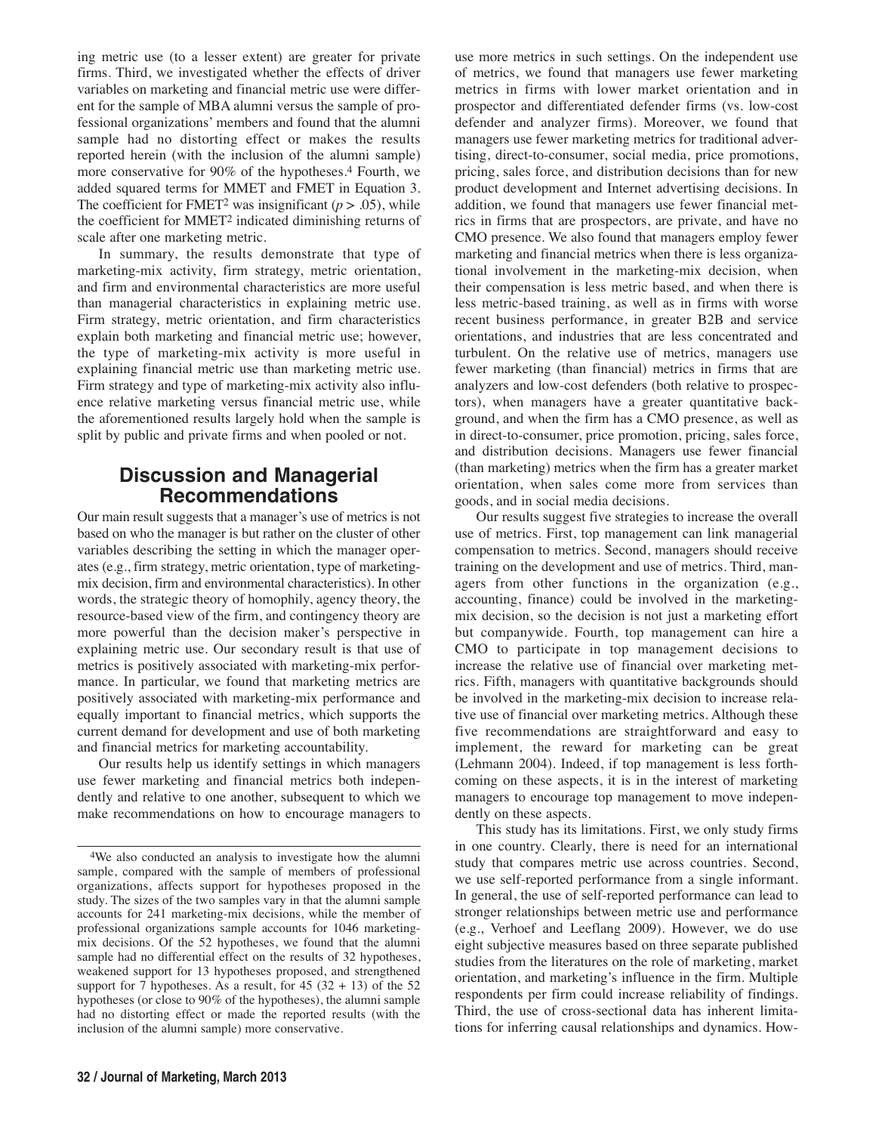ing metric use (to a lesser extent) are greater for private firms. Third, we investigated whether the effects of driver variables on marketing and financial metric use were different for the sample of MBA alumni versus the sample of professional organizations' members and found that the alumni sample had no distorting effect or makes the results reported herein (with the inclusion of the alumni sample) more conservative for 90% of the hypotheses.4 Fourth, we added squared terms for MMET and FMET in Equation 3. The coefficient for FMET<sup>2</sup> was insignificant ( $p > .05$ ), while the coefficient for MMET2 indicated diminishing returns of scale after one marketing metric.

In summary, the results demonstrate that type of marketing-mix activity, firm strategy, metric orientation, and firm and environmental characteristics are more useful than managerial characteristics in explaining metric use. Firm strategy, metric orientation, and firm characteristics explain both marketing and financial metric use; however, the type of marketing-mix activity is more useful in explaining financial metric use than marketing metric use. Firm strategy and type of marketing-mix activity also influence relative marketing versus financial metric use, while the aforementioned results largely hold when the sample is split by public and private firms and when pooled or not.

# **Discussion and Managerial Recommendations**

Our main result suggests that a manager's use of metrics is not based on who the manager is but rather on the cluster of other variables describing the setting in which the manager operates (e.g., firm strategy, metric orientation, type of marketingmix decision, firm and environmental characteristics). In other words, the strategic theory of homophily, agency theory, the resource-based view of the firm, and contingency theory are more powerful than the decision maker's perspective in explaining metric use. Our secondary result is that use of metrics is positively associated with marketing-mix performance. In particular, we found that marketing metrics are positively associated with marketing-mix performance and equally important to financial metrics, which supports the current demand for development and use of both marketing and financial metrics for marketing accountability.

Our results help us identify settings in which managers use fewer marketing and financial metrics both independently and relative to one another, subsequent to which we make recommendations on how to encourage managers to use more metrics in such settings. On the independent use of metrics, we found that managers use fewer marketing metrics in firms with lower market orientation and in prospector and differentiated defender firms (vs. low-cost defender and analyzer firms). Moreover, we found that managers use fewer marketing metrics for traditional advertising, direct-to-consumer, social media, price promotions, pricing, sales force, and distribution decisions than for new product development and Internet advertising decisions. In addition, we found that managers use fewer financial metrics in firms that are prospectors, are private, and have no CMO presence. We also found that managers employ fewer marketing and financial metrics when there is less organizational involvement in the marketing-mix decision, when their compensation is less metric based, and when there is less metric-based training, as well as in firms with worse recent business performance, in greater B2B and service orientations, and industries that are less concentrated and turbulent. On the relative use of metrics, managers use fewer marketing (than financial) metrics in firms that are analyzers and low-cost defenders (both relative to prospectors), when managers have a greater quantitative background, and when the firm has a CMO presence, as well as in direct-to-consumer, price promotion, pricing, sales force, and distribution decisions. Managers use fewer financial (than marketing) metrics when the firm has a greater market orientation, when sales come more from services than goods, and in social media decisions.

Our results suggest five strategies to increase the overall use of metrics. First, top management can link managerial compensation to metrics. Second, managers should receive training on the development and use of metrics. Third, managers from other functions in the organization (e.g., accounting, finance) could be involved in the marketingmix decision, so the decision is not just a marketing effort but companywide. Fourth, top management can hire a CMO to participate in top management decisions to increase the relative use of financial over marketing metrics. Fifth, managers with quantitative backgrounds should be involved in the marketing-mix decision to increase relative use of financial over marketing metrics. Although these five recommendations are straightforward and easy to implement, the reward for marketing can be great (Lehmann 2004). Indeed, if top management is less forthcoming on these aspects, it is in the interest of marketing managers to encourage top management to move independently on these aspects.

This study has its limitations. First, we only study firms in one country. Clearly, there is need for an international study that compares metric use across countries. Second, we use self-reported performance from a single informant. In general, the use of self-reported performance can lead to stronger relationships between metric use and performance (e.g., Verhoef and Leeflang 2009). However, we do use eight subjective measures based on three separate published studies from the literatures on the role of marketing, market orientation, and marketing's influence in the firm. Multiple respondents per firm could increase reliability of findings. Third, the use of cross-sectional data has inherent limitations for inferring causal relationships and dynamics. How-

<sup>4</sup>We also conducted an analysis to investigate how the alumni sample, compared with the sample of members of professional organizations, affects support for hypotheses proposed in the study. The sizes of the two samples vary in that the alumni sample accounts for 241 marketing-mix decisions, while the member of professional organizations sample accounts for 1046 marketingmix decisions. Of the 52 hypotheses, we found that the alumni sample had no differential effect on the results of 32 hypotheses, weakened support for 13 hypotheses proposed, and strengthened support for 7 hypotheses. As a result, for  $45$  ( $32 + 13$ ) of the  $52$ hypotheses (or close to 90% of the hypotheses), the alumni sample had no distorting effect or made the reported results (with the inclusion of the alumni sample) more conservative.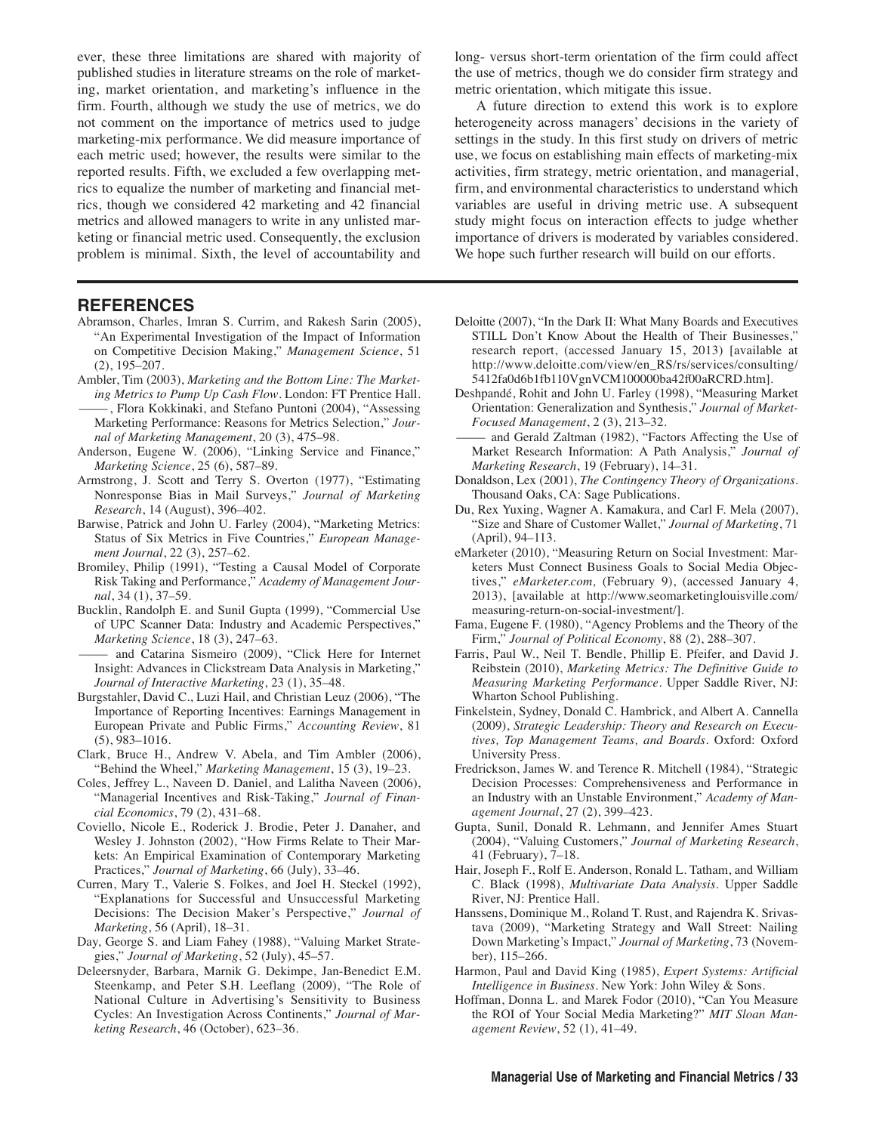ever, these three limitations are shared with majority of published studies in literature streams on the role of marketing, market orientation, and marketing's influence in the firm. Fourth, although we study the use of metrics, we do not comment on the importance of metrics used to judge marketing-mix performance. We did measure importance of each metric used; however, the results were similar to the reported results. Fifth, we excluded a few overlapping metrics to equalize the number of marketing and financial metrics, though we considered 42 marketing and 42 financial metrics and allowed managers to write in any unlisted marketing or financial metric used. Consequently, the exclusion problem is minimal. Sixth, the level of accountability and

#### **REFERENCES**

- Abramson, Charles, Imran S. Currim, and Rakesh Sarin (2005), "An Experimental Investigation of the Impact of Information on Competitive Decision Making," *Management Science*, 51 (2), 195–207.
- Ambler, Tim (2003), *Marketing and the Bottom Line: The Marketing Metrics to Pump Up Cash Flow*. London: FT Prentice Hall. -, Flora Kokkinaki, and Stefano Puntoni (2004), "Assessing Marketing Performance: Reasons for Metrics Selection," *Journal of Marketing Management*, 20 (3), 475–98.
- Anderson, Eugene W. (2006), "Linking Service and Finance," *Marketing Science*, 25 (6), 587–89.
- Armstrong, J. Scott and Terry S. Overton (1977), "Estimating Nonresponse Bias in Mail Surveys," *Journal of Marketing Research*, 14 (August), 396–402.
- Barwise, Patrick and John U. Farley (2004), "Marketing Metrics: Status of Six Metrics in Five Countries," *European Management Journal*, 22 (3), 257–62.
- Bromiley, Philip (1991), "Testing a Causal Model of Corporate Risk Taking and Performance," *Academy of Management Journal*, 34 (1), 37–59.
- Bucklin, Randolph E. and Sunil Gupta (1999), "Commercial Use of UPC Scanner Data: Industry and Academic Perspectives," *Marketing Science*, 18 (3), 247–63.
- and Catarina Sismeiro (2009), "Click Here for Internet Insight: Advances in Clickstream Data Analysis in Marketing," *Journal of Interactive Marketing*, 23 (1), 35–48.
- Burgstahler, David C., Luzi Hail, and Christian Leuz (2006), "The Importance of Reporting Incentives: Earnings Management in European Private and Public Firms," *Accounting Review*, 81 (5), 983–1016.
- Clark, Bruce H., Andrew V. Abela, and Tim Ambler (2006), "Behind the Wheel," *Marketing Management*, 15 (3), 19–23.
- Coles, Jeffrey L., Naveen D. Daniel, and Lalitha Naveen (2006), "Managerial Incentives and Risk-Taking," *Journal of Financial Economics*, 79 (2), 431–68.
- Coviello, Nicole E., Roderick J. Brodie, Peter J. Danaher, and Wesley J. Johnston (2002), "How Firms Relate to Their Markets: An Empirical Examination of Contemporary Marketing Practices," *Journal of Marketing*, 66 (July), 33–46.
- Curren, Mary T., Valerie S. Folkes, and Joel H. Steckel (1992), "Explanations for Successful and Unsuccessful Marketing Decisions: The Decision Maker's Perspective," *Journal of Marketing*, 56 (April), 18–31.
- Day, George S. and Liam Fahey (1988), "Valuing Market Strategies," *Journal of Marketing*, 52 (July), 45–57.
- Deleersnyder, Barbara, Marnik G. Dekimpe, Jan-Benedict E.M. Steenkamp, and Peter S.H. Leeflang (2009), "The Role of National Culture in Advertising's Sensitivity to Business Cycles: An Investigation Across Continents," *Journal of Marketing Research*, 46 (October), 623–36.

long- versus short-term orientation of the firm could affect the use of metrics, though we do consider firm strategy and metric orientation, which mitigate this issue.

A future direction to extend this work is to explore heterogeneity across managers' decisions in the variety of settings in the study. In this first study on drivers of metric use, we focus on establishing main effects of marketing-mix activities, firm strategy, metric orientation, and managerial, firm, and environmental characteristics to understand which variables are useful in driving metric use. A subsequent study might focus on interaction effects to judge whether importance of drivers is moderated by variables considered. We hope such further research will build on our efforts.

- Deloitte (2007), "In the Dark II: What Many Boards and Executives STILL Don't Know About the Health of Their Businesses," research report, (accessed January 15, 2013) [available at http://www.deloitte.com/view/en\_RS/rs/services/consulting/ 5412fa0d6b1fb110VgnVCM 100000ba42f00aRCRD.htm].
- Deshpandé, Rohit and John U. Farley (1998), "Measuring Market Orientation: Generalization and Synthesis," *Journal of Market-Focused Management*, 2 (3), 213–32.
	- and Gerald Zaltman (1982), "Factors Affecting the Use of Market Research Information: A Path Analysis," *Journal of Marketing Research*, 19 (February), 14–31.
- Donaldson, Lex (2001), *The Contingency Theory of Organizations*. Thousand Oaks, CA: Sage Publications.
- Du, Rex Yuxing, Wagner A. Kamakura, and Carl F. Mela (2007), "Size and Share of Customer Wallet," *Journal of Marketing*, 71 (April), 94–113.
- eMarketer (2010), "Measuring Return on Social Investment: Marketers Must Connect Business Goals to Social Media Objectives," *eMarketer.com,* (February 9), (accessed January 4, 2013), [available at http://www.seomarketinglouisville.com/ measuring-return-on-social-investment/].
- Fama, Eugene F. (1980), "Agency Problems and the Theory of the Firm," *Journal of Political Economy*, 88 (2), 288–307.
- Farris, Paul W., Neil T. Bendle, Phillip E. Pfeifer, and David J. Reibstein (2010), *Marketing Metrics: The Definitive Guide to Measuring Marketing Performance*. Upper Saddle River, NJ: Wharton School Publishing.
- Finkelstein, Sydney, Donald C. Hambrick, and Albert A. Cannella (2009), *Strategic Leadership: Theory and Research on Executives, Top Management Teams, and Boards*. Oxford: Oxford University Press.
- Fredrickson, James W. and Terence R. Mitchell (1984), "Strategic Decision Processes: Comprehensiveness and Performance in an Industry with an Unstable Environment," *Academy of Management Journal*, 27 (2), 399–423.
- Gupta, Sunil, Donald R. Lehmann, and Jennifer Ames Stuart (2004), "Valuing Customers," *Journal of Marketing Research*, 41 (February), 7–18.
- Hair, Joseph F., Rolf E. Anderson, Ronald L. Tatham, and William C. Black (1998), *Multivariate Data Analysis*. Upper Saddle River, NJ: Prentice Hall.
- Hanssens, Dominique M., Roland T. Rust, and Rajendra K. Srivastava (2009), "Marketing Strategy and Wall Street: Nailing Down Marketing's Impact," *Journal of Marketing*, 73 (November), 115–266.
- Harmon, Paul and David King (1985), *Expert Systems: Artificial Intelligence in Business*. New York: John Wiley & Sons.
- Hoffman, Donna L. and Marek Fodor (2010), "Can You Measure the ROI of Your Social Media Marketing?" *MIT Sloan Management Review*, 52 (1), 41–49.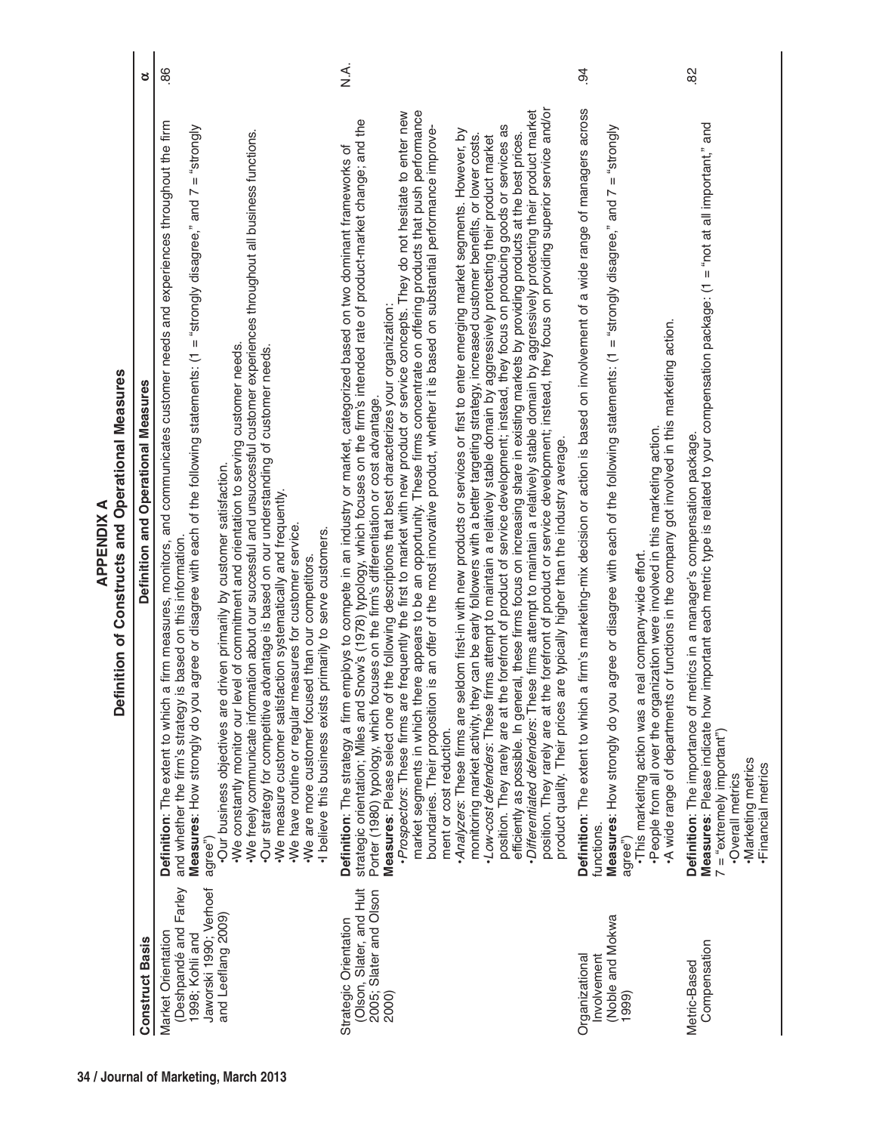|                                                                        | ಠ                                   | 86                                                                                                                                                                                                                                                                                                                                                                                                                                                                                                                                                                                                                                                                                                                                                                                                                                                                                                                                                                                                                      | <<br>≥<br>Z                                                                                                                                                                                                                                                                                                                                                                                                                                                                                                                                                                                                                                                                                                                                                                                                                                                                                                                                                                                                                                                                                                                                                                                                                                                                                                                                                                                                                                                                                                                                                                                                                                                                                                                                                                                                                                                                                                                                                                                 | 94                                                                                                                                                                                                                                                                                                                                                                                                                                                                                                                                                       | $\frac{8}{2}$                                                                                                                                                                                                                                                                                                     |
|------------------------------------------------------------------------|-------------------------------------|-------------------------------------------------------------------------------------------------------------------------------------------------------------------------------------------------------------------------------------------------------------------------------------------------------------------------------------------------------------------------------------------------------------------------------------------------------------------------------------------------------------------------------------------------------------------------------------------------------------------------------------------------------------------------------------------------------------------------------------------------------------------------------------------------------------------------------------------------------------------------------------------------------------------------------------------------------------------------------------------------------------------------|---------------------------------------------------------------------------------------------------------------------------------------------------------------------------------------------------------------------------------------------------------------------------------------------------------------------------------------------------------------------------------------------------------------------------------------------------------------------------------------------------------------------------------------------------------------------------------------------------------------------------------------------------------------------------------------------------------------------------------------------------------------------------------------------------------------------------------------------------------------------------------------------------------------------------------------------------------------------------------------------------------------------------------------------------------------------------------------------------------------------------------------------------------------------------------------------------------------------------------------------------------------------------------------------------------------------------------------------------------------------------------------------------------------------------------------------------------------------------------------------------------------------------------------------------------------------------------------------------------------------------------------------------------------------------------------------------------------------------------------------------------------------------------------------------------------------------------------------------------------------------------------------------------------------------------------------------------------------------------------------|----------------------------------------------------------------------------------------------------------------------------------------------------------------------------------------------------------------------------------------------------------------------------------------------------------------------------------------------------------------------------------------------------------------------------------------------------------------------------------------------------------------------------------------------------------|-------------------------------------------------------------------------------------------------------------------------------------------------------------------------------------------------------------------------------------------------------------------------------------------------------------------|
| Definition of Constructs and Operational Measures<br><b>APPENDIX A</b> | Definition and Operational Measures | firm measures, monitors, and communicates customer needs and experiences throughout the firm<br>agree or disagree with each of the following statements: (1 = "strongly disagree," and 7 = "strongly<br>We freely communicate information about our successful and unsuccessful customer experiences throughout all business functions.<br>We constantly monitor our level of commitment and orientation to serving customer needs.<br>· Our strategy for competitive advantage is based on our understanding of customer needs.<br>Our business objectives are driven primarily by customer satisfaction.<br>. We measure customer satisfaction systematically and frequently.<br>. We have routine or regular measures for customer service.<br>I believe this business exists primarily to serve customers.<br>and whether the firm's strategy is based on this information<br>. We are more customer focused than our competitors.<br>Definition: The extent to which a<br>Measures: How strongly do you<br>agree") | position. They rarely are at the forefront of product or service development; instead, they focus on providing superior service and/or<br>Differentiated defenders: These firms attempt to maintain a relatively stable domain by aggressively protecting their product market<br>market segments in which there appears to be an opportunity. These firms concentrate on offering products that push performance<br>·Prospectors: These firms are frequently the first to market with new product or service concepts. They do not hesitate to enter new<br>strategic orientation; Miles and Snow's (1978) typology, which focuses on the firm's intended rate of product-market change; and the<br>position. They rarely are at the forefront of product of service development; instead, they focus on producing goods or services as<br>boundaries. Their proposition is an offer of the most innovative product, whether it is based on substantial performance improve-<br>Analyzers: These firms are seldom first-in with new products or services or first to enter emerging market segments. However, by<br>monitoring market activity, they can be early followers with a better targeting strategy, increased customer benefits, or lower costs.<br>efficiently as possible. In general, these firms focus on increasing share in existing markets by providing products at the best prices.<br>·Low-cost defenders: These firms attempt to maintain a relatively stable domain by aggressively protecting their product market<br>Definition: The strategy a firm employs to compete in an industry or market, categorized based on two dominant frameworks of<br>the following descriptions that best characterizes your organization:<br>Porter (1980) typology, which focuses on the firm's differentiation or cost advantage.<br>product quality. Their prices are typically higher than the industry average.<br>Measures: Please select one of<br>ment or cost reduction. | firm's marketing-mix decision or action is based on involvement of a wide range of managers across<br>agree or disagree with each of the following statements: (1 = "strongly disagree," and 7 = "strongly<br>A wide range of departments or functions in the company got involved in this marketing action.<br>·People from all over the organization were involved in this marketing action.<br>. This marketing action was a real company-wide effort.<br>Definition: The extent to which a<br>Measures: How strongly do you<br>functions.<br>agree") | Measures: Please indicate how important each metric type is related to your compensation package: (1 = "not at all important," and<br>Definition: The importance of metrics in a manager's compensation package.<br>$7 = "extremely important")$<br>. Marketing metrics<br>·Financial metrics<br>•Overall metrics |
|                                                                        | <b>Construct Basis</b>              | Farley<br>Jaworski 1990; Verhoef<br>and Leeflang 2009)<br>(Deshpandé and<br>Market Orientation<br>1998; Kohli and                                                                                                                                                                                                                                                                                                                                                                                                                                                                                                                                                                                                                                                                                                                                                                                                                                                                                                       | (Olson, Slater, and Hult<br>2005; Slater and Olson<br>Strategic Orientation<br>2000)                                                                                                                                                                                                                                                                                                                                                                                                                                                                                                                                                                                                                                                                                                                                                                                                                                                                                                                                                                                                                                                                                                                                                                                                                                                                                                                                                                                                                                                                                                                                                                                                                                                                                                                                                                                                                                                                                                        | (Noble and Mokwa<br>Organizational<br>Involvement<br>1999)                                                                                                                                                                                                                                                                                                                                                                                                                                                                                               | Compensation<br>Metric-Based                                                                                                                                                                                                                                                                                      |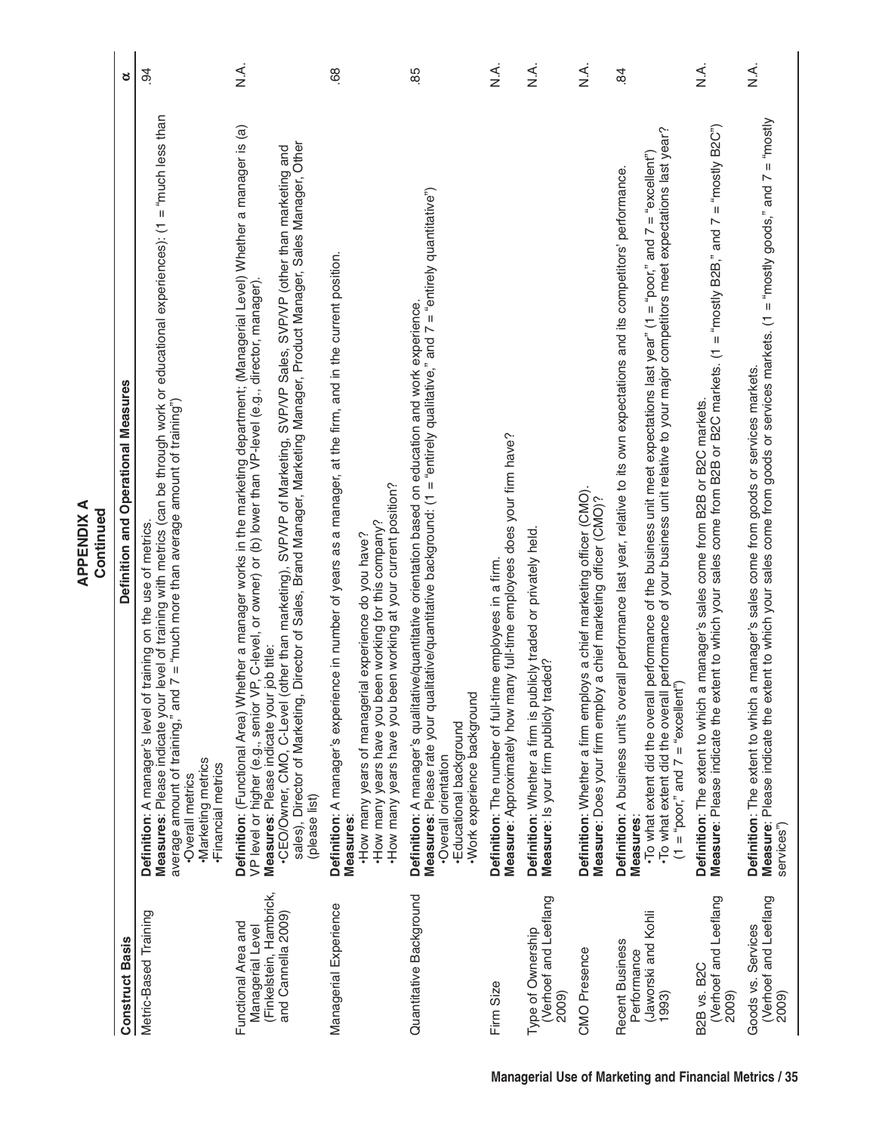|                                                                                          | <b>APPENDIX A</b><br>Continued                                                                                                                                                                                                                                                                                                                                                                                                                                                                                                                                   |                  |
|------------------------------------------------------------------------------------------|------------------------------------------------------------------------------------------------------------------------------------------------------------------------------------------------------------------------------------------------------------------------------------------------------------------------------------------------------------------------------------------------------------------------------------------------------------------------------------------------------------------------------------------------------------------|------------------|
| <b>Construct Basis</b>                                                                   | Definition and Operational Measures                                                                                                                                                                                                                                                                                                                                                                                                                                                                                                                              | ಠ                |
| Metric-Based Training                                                                    | level of training with metrics (can be through work or educational experiences): (1 = "much less than<br>$7 =$ "much more than average amount of training")<br>training on the use of metrics<br>Measures: Please indicate your I<br>average amount of training," and<br>Definition: A manager's level of<br>. Marketing metrics<br>·Financial metrics<br>.Overall metrics                                                                                                                                                                                       | $\ddot{9}$       |
| (Finkelstein, Hambrick,<br>and Cannella 2009)<br>Functional Area and<br>Managerial Level | <b>Definition</b> : (Functional Area) Whether a manager works in the marketing department; (Managerial Level) Whether a manager is (a)<br>VP level or higher (e.g., senior VP, C-level, or owner) or (b) lower than VP-level (e.g., dir<br>Director of Sales, Brand Manager, Marketing Manager, Product Manager, Sales Manager, Other<br>•CEO/Owner, CMO, C-Level (other than marketing), SVP/VP of Marketing, SVP/VP Sales, SVP/VP (other than marketing and<br>job title:<br>Measures: Please indicate your<br>sales), Director of Marketing,<br>(please list) | ≮.<br>Z          |
| Managerial Experience                                                                    | Definition: A manager's experience in number of years as a manager, at the firm, and in the current position.<br>. How many years have you been working at your current position?<br>. How many years have you been working for this company?<br>. How many years of managerial experience do you have?<br>Measures:                                                                                                                                                                                                                                             | 89.              |
| Quantitative Background                                                                  | Measures: Please rate your qualitative/quantitative background: (1 = "entirely qualitative," and 7 = "entirely quantitative")<br>Definition: A manager's qualitative/quantitative orientation based on education and work experience.<br>·Work experience background<br>·Educational background<br>Overall orientation                                                                                                                                                                                                                                           | 85               |
| Firm Size                                                                                | Measure: Approximately how many full-time employees does your firm have?<br>Definition: The number of full-time employees in a firm.                                                                                                                                                                                                                                                                                                                                                                                                                             | $\leq$           |
| Verhoef and Leeflang<br>Type of Ownership<br>2009)                                       | Definition: Whether a firm is publicly traded or privately held<br>Measure: Is your firm publicly traded?                                                                                                                                                                                                                                                                                                                                                                                                                                                        | $\frac{1}{2}$    |
| <b>CMO</b> Presence                                                                      | Definition: Whether a firm employs a chief marketing officer (CMO).<br>a chief marketing officer (CMO)?<br>Measure: Does your firm employ                                                                                                                                                                                                                                                                                                                                                                                                                        | $\frac{1}{2}$    |
| (Jaworski and Kohli<br>Recent Business<br>Performance<br>1993)                           | performance of your business unit relative to your major competitors meet expectations last year?<br>performance of the business unit meet expectations last year" (1 = "poor," and 7 = "excellent")<br>Definition: A business unit's overall performance last year, relative to its own expectations and its competitors' performance.<br>$(1 = "poor," and 7 = "excellent")$<br>. To what extent did the overall<br>. To what extent did the overall<br><b>Measures:</b>                                                                                       | $\overline{8}$   |
| (Verhoef and Leeflang<br>B2B vs. B2C<br>2009)                                            | Measure: Please indicate the extent to which your sales come from B2B or B2C markets. (1 = "mostly B2B," and 7 = "mostly B2C")<br>manager's sales come from B2B or B2C markets.<br>Definition: The extent to which a                                                                                                                                                                                                                                                                                                                                             | $\sum_{i=1}^{n}$ |
| (Verhoef and Leeflang<br>Goods vs. Services<br>2009)                                     | ent to which your sales come from goods or services markets. (1 = "mostly goods," and 7 = "mostly<br>Definition: The extent to which a manager's sales come from goods or services markets.<br>Measure: Please indicate the ext<br>services")                                                                                                                                                                                                                                                                                                                    | $\frac{1}{2}$    |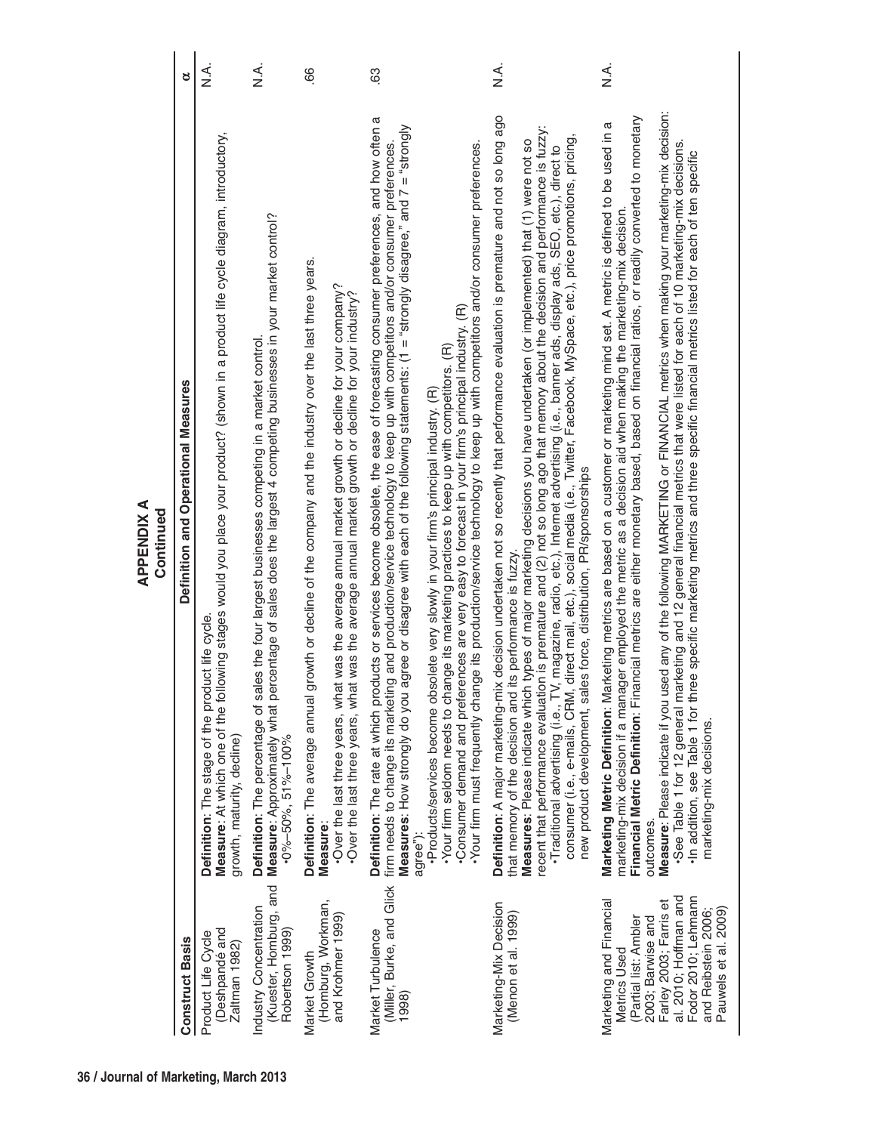| ⋖ |  |
|---|--|
| è |  |
|   |  |
|   |  |
|   |  |

|                                | ಠ                                   | $\vec{\leq}$                                                                                                                                                                                                        | <<br>≥<br>Z                                                                                                                                                                                                                                   | 86                                                                                                                                                                                                                                                                                                                                   | 8                                                                                                                                                                                                                                                                                                                                                                                                                                                                                                                                                                                                                                                                                                                                                                                                                                             | $\sum_{i=1}^{n}$                                                                                                                                                                                                                                                                                                                                                                                                                                                                                                                                                                                                                                                                                                                                                                                                                    | $\frac{1}{2}$                                                                                                                                                                                                                                                                                                                                                                                                                                                                                                                                                                                                                                                                       |
|--------------------------------|-------------------------------------|---------------------------------------------------------------------------------------------------------------------------------------------------------------------------------------------------------------------|-----------------------------------------------------------------------------------------------------------------------------------------------------------------------------------------------------------------------------------------------|--------------------------------------------------------------------------------------------------------------------------------------------------------------------------------------------------------------------------------------------------------------------------------------------------------------------------------------|-----------------------------------------------------------------------------------------------------------------------------------------------------------------------------------------------------------------------------------------------------------------------------------------------------------------------------------------------------------------------------------------------------------------------------------------------------------------------------------------------------------------------------------------------------------------------------------------------------------------------------------------------------------------------------------------------------------------------------------------------------------------------------------------------------------------------------------------------|-------------------------------------------------------------------------------------------------------------------------------------------------------------------------------------------------------------------------------------------------------------------------------------------------------------------------------------------------------------------------------------------------------------------------------------------------------------------------------------------------------------------------------------------------------------------------------------------------------------------------------------------------------------------------------------------------------------------------------------------------------------------------------------------------------------------------------------|-------------------------------------------------------------------------------------------------------------------------------------------------------------------------------------------------------------------------------------------------------------------------------------------------------------------------------------------------------------------------------------------------------------------------------------------------------------------------------------------------------------------------------------------------------------------------------------------------------------------------------------------------------------------------------------|
| <b>APPENDIX A</b><br>Continued | Definition and Operational Measures | Measure: At which one of the following stages would you place your product? (shown in a product life cycle diagram, introductory,<br>Definition: The stage of the product life cycle.<br>growth, maturity, decline) | Measure: Approximately what percentage of sales does the largest 4 competing businesses in your market control?<br>Definition: The percentage of sales the four largest businesses competing in a market control.<br>$-0\% - 50\%$ , 51%-100% | Definition: The average annual growth or decline of the company and the industry over the last three years.<br>•Over the last three years, what was the average annual market growth or decline for your company?<br>•Over the last three years, what was the average annual market growth or decline for your industry?<br>Measure: | Definition: The rate at which products or services become obsolete, the ease of forecasting consumer preferences, and how often a<br>Measures: How strongly do you agree or disagree with each of the following statements: (1 = "strongly disagree," and 7 = "strongly<br>firm needs to change its marketing and production/service technology to keep up with competitors and/or consumer preferences.<br>Your firm must frequently change its production/service technology to keep up with competitors and/or consumer preferences.<br>Consumer demand and preferences are very easy to forecast in your firm's principal industry. (R)<br>Your firm seldom needs to change its marketing practices to keep up with competitors. (R)<br>·Products/services become obsolete very slowly in your firm's principal industry. (R)<br>agree"): | Definition: A major marketing-mix decision undertaken not so recently that performance evaluation is premature and not so long ago<br>recent that performance evaluation is premature and (2) not so long ago that memory about the decision and performance is fuzzy:<br>direct mail, etc.), social media (i.e., Twitter, Facebook, MySpace, etc.), price promotions, pricing,<br>Measures: Please indicate which types of major marketing decisions you have undertaken (or implemented) that (1) were not so<br>·Traditional advertising (i.e., TV, magazine, radio, etc.), Internet advertising (i.e., banner ads, display ads, SEO, etc.), direct to<br>les force, distribution, PR/sponsorships<br>that memory of the decision and its performance is fuzzy.<br>consumer (i.e., e-mails, CRM,<br>new product development, sal | Measure: Please indicate if you used any of the following MARKETING or FINANCIAL metrics when making your marketing-mix decision:<br>Financial Metric Definition: Financial metrics are either monetary based, based on financial ratios, or readily converted to monetary<br>Marketing Metric Definition: Marketing metrics are based on a customer or marketing mind set. A metric is defined to be used in a<br>·See Table 1 for 12 general marketing and 12 general financial metrics that were listed for each of 10 marketing-mix decisions.<br>marketing-mix decision if a manager employed the metric as a decision aid when making the marketing-mix decision<br>outcomes. |
|                                | <b>Construct Basis</b>              | (Deshpandé and<br>Product Life Cycle<br>Zaltman 1982)                                                                                                                                                               | (Kuester, Homburg, and<br>Industry Concentration<br>Robertson 1999)                                                                                                                                                                           | (Homburg, Workman,<br>and Krohmer 1999)<br>Market Growth                                                                                                                                                                                                                                                                             | (Miller, Burke, and Glick<br>Market Turbulence<br>1998)                                                                                                                                                                                                                                                                                                                                                                                                                                                                                                                                                                                                                                                                                                                                                                                       | Marketing-Mix Decision<br>(Menon et al. 1999)                                                                                                                                                                                                                                                                                                                                                                                                                                                                                                                                                                                                                                                                                                                                                                                       | al. 2010; Hoffman and<br>Marketing and Financial<br>Farley 2003; Farris et<br>(Partial list: Ambler<br>2003; Barwise and<br>Metrics Used                                                                                                                                                                                                                                                                                                                                                                                                                                                                                                                                            |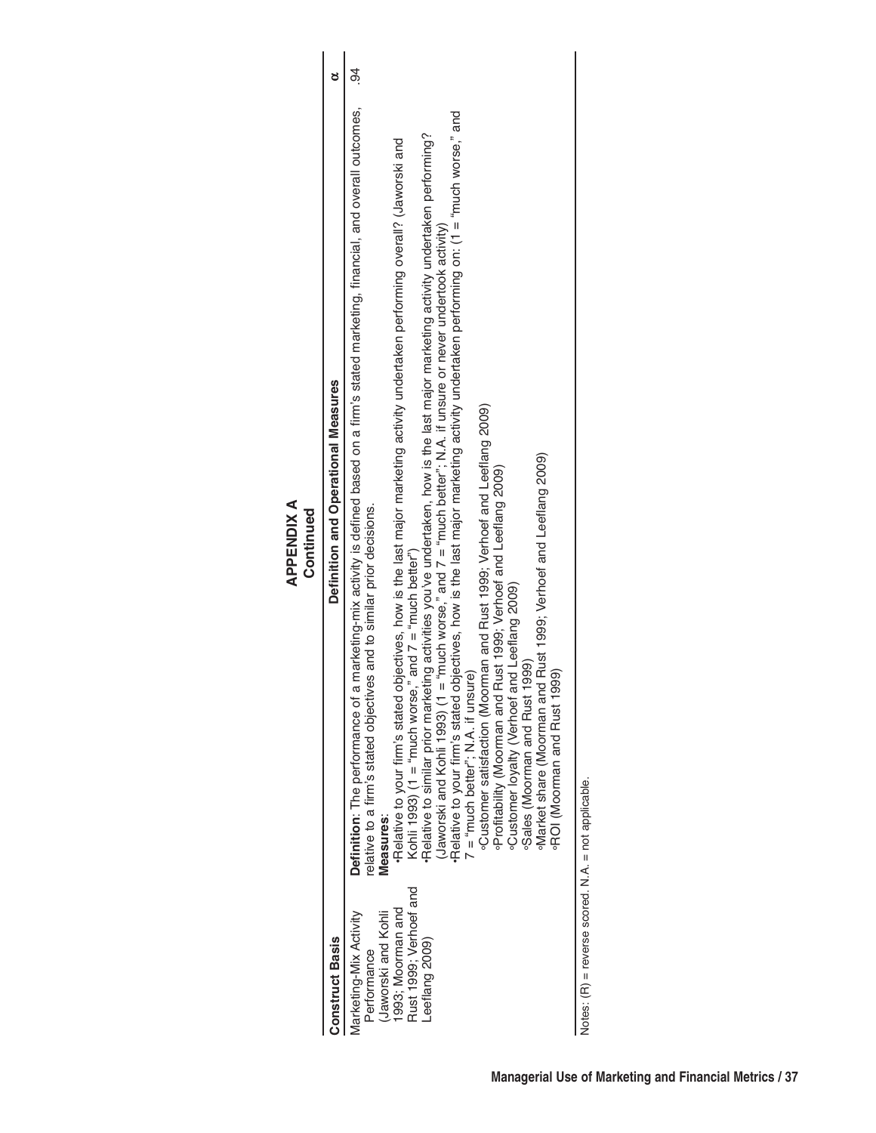| <b>Construct Basis</b>                                                                                                       | Definition and Operational Measures<br><b>APPENDIX A</b><br>Continued                                                                                                                                                                                                                                                                                                                                                                                                                                                                                                                                                                                                                                                                                                                                                                                                                                                                                                                                                                                                                                                                                                                                                                                       | ರ  |
|------------------------------------------------------------------------------------------------------------------------------|-------------------------------------------------------------------------------------------------------------------------------------------------------------------------------------------------------------------------------------------------------------------------------------------------------------------------------------------------------------------------------------------------------------------------------------------------------------------------------------------------------------------------------------------------------------------------------------------------------------------------------------------------------------------------------------------------------------------------------------------------------------------------------------------------------------------------------------------------------------------------------------------------------------------------------------------------------------------------------------------------------------------------------------------------------------------------------------------------------------------------------------------------------------------------------------------------------------------------------------------------------------|----|
| Rust 1999; Verhoef and<br>1993; Moorman and<br>Jaworski and Kohli<br>Marketing-Mix Activity<br>Leeflang 2009)<br>Performance | a marketing-mix activity is defined based on a firm's stated marketing, financial, and overall outcomes,<br>Relative to your firm's stated objectives, how is the last major marketing activity undertaken performing on: (1 = "much worse," and<br>Relative to similar prior marketing activities you've undertaken, how is the last major marketing activity undertaken performing?<br>Relative to your firm's stated objectives, how is the last major marketing activity undertaken performing overall? (Jaworski and<br>= "much worse," and 7 = "much better"; N.A. if unsure or never undertook activity)<br>°Customer satisfaction (Moorman and Rust 1999; Verhoef and Leeflang 2009)<br>nd Rust 1999; Verhoef and Leeflang 2009)<br>Profitability (Moorman and Rust 1999; Verhoef and Leeflang 2009)<br>relative to a firm's stated objectives and to similar prior decisions.<br>Kohli 1993) (1 = "much worse," and $7$ = "much better")<br>and Leeflang 2009)<br>1999)<br>999)<br>$7 = "much better"; NA if unsafeure)$<br>Definition: The performance of<br>Jaworski and Kohli 1993) (1<br><b>Customer loyalty (Verhoef</b><br><b>Sales (Moorman and Rust</b><br>·Market share (Moorman ar<br><b>ROI (Moorman and Rust 1</b><br><b>Measures:</b> | 94 |
| Notes: (R) = reverse scored. N.A. = not applicable.                                                                          |                                                                                                                                                                                                                                                                                                                                                                                                                                                                                                                                                                                                                                                                                                                                                                                                                                                                                                                                                                                                                                                                                                                                                                                                                                                             |    |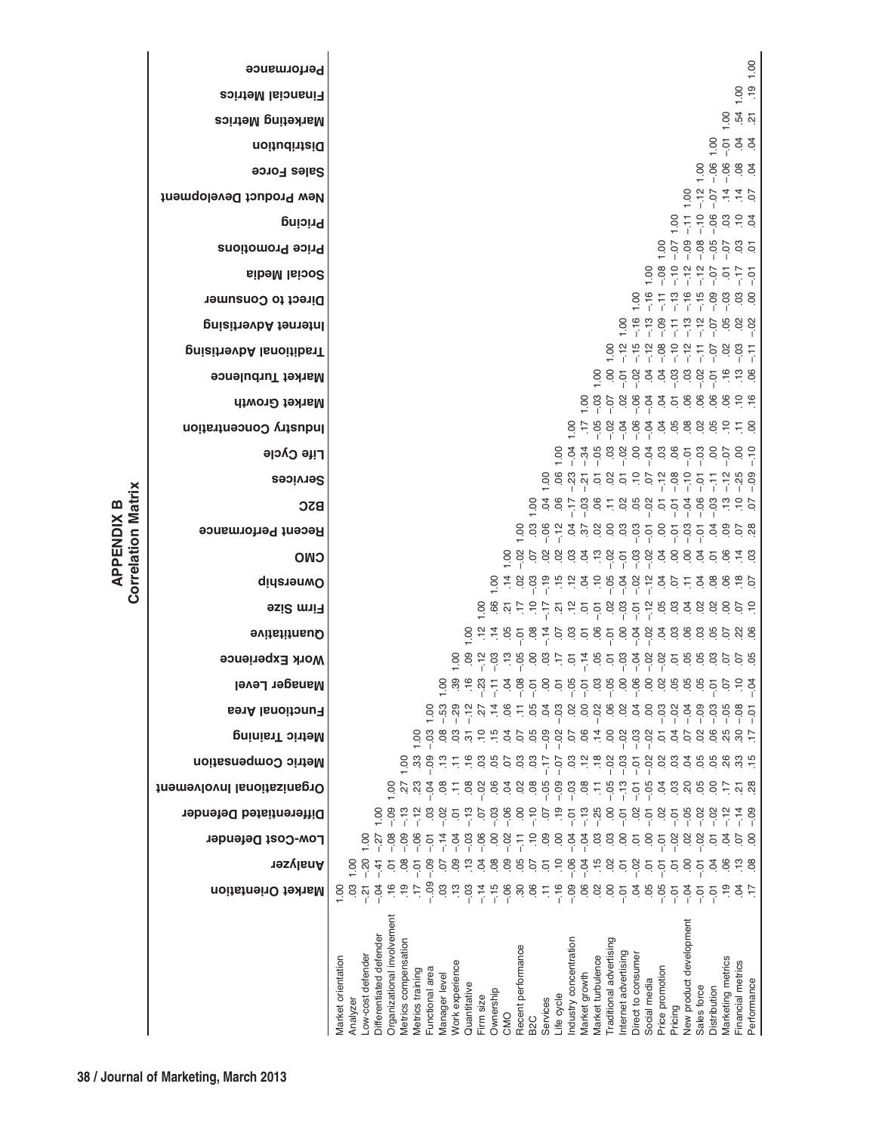|                                       | Performance                    |                                                                                                                                                                                                                                                                                                                                                                                                                                                                                           |  |  |  |
|---------------------------------------|--------------------------------|-------------------------------------------------------------------------------------------------------------------------------------------------------------------------------------------------------------------------------------------------------------------------------------------------------------------------------------------------------------------------------------------------------------------------------------------------------------------------------------------|--|--|--|
|                                       | <b>Financial Metrics</b>       | $1.00$<br>$.19$ 1.00                                                                                                                                                                                                                                                                                                                                                                                                                                                                      |  |  |  |
|                                       | Marketing Metrics              | $\frac{1}{2}$ $\frac{1}{4}$ $\frac{1}{2}$                                                                                                                                                                                                                                                                                                                                                                                                                                                 |  |  |  |
|                                       | noitudintid                    | 6544                                                                                                                                                                                                                                                                                                                                                                                                                                                                                      |  |  |  |
|                                       | <b>Sales Force</b>             | 69883                                                                                                                                                                                                                                                                                                                                                                                                                                                                                     |  |  |  |
|                                       | New Product Development        | $7 - 0$<br>$7 - 0$<br>$7 - 0$<br>$7 - 0$<br>$7 - 0$<br>$7 - 0$                                                                                                                                                                                                                                                                                                                                                                                                                            |  |  |  |
|                                       | <b>Pricing</b>                 | 57798993                                                                                                                                                                                                                                                                                                                                                                                                                                                                                  |  |  |  |
|                                       | <b>Price Promotions</b>        | $\begin{array}{cccccccccc} 8 & 8 & 8 & 8 & 8 & 8 & 8 & 5 \\ 9 & 6 & 8 & 8 & 8 & 8 & 8 & 5 \\ \end{array}$                                                                                                                                                                                                                                                                                                                                                                                 |  |  |  |
|                                       | Social Media                   |                                                                                                                                                                                                                                                                                                                                                                                                                                                                                           |  |  |  |
|                                       | Direct to Consumer             |                                                                                                                                                                                                                                                                                                                                                                                                                                                                                           |  |  |  |
|                                       | <b>pnisithevbA</b> femeth      |                                                                                                                                                                                                                                                                                                                                                                                                                                                                                           |  |  |  |
|                                       | pnisithevbA lsnoitibs1T        |                                                                                                                                                                                                                                                                                                                                                                                                                                                                                           |  |  |  |
|                                       | <b>Market Turbulence</b>       | 58583388552                                                                                                                                                                                                                                                                                                                                                                                                                                                                               |  |  |  |
|                                       | Market Growth                  |                                                                                                                                                                                                                                                                                                                                                                                                                                                                                           |  |  |  |
|                                       | Industry Concentration         |                                                                                                                                                                                                                                                                                                                                                                                                                                                                                           |  |  |  |
|                                       | <b>Life Cycle</b>              |                                                                                                                                                                                                                                                                                                                                                                                                                                                                                           |  |  |  |
|                                       | Services                       |                                                                                                                                                                                                                                                                                                                                                                                                                                                                                           |  |  |  |
|                                       | <b>B<sub>2</sub>C</b>          | $\begin{array}{cccccccccccccc} 8 & 8 & 8 & 1 & 8 & 8 & 1 & 8 & 8 & 8 & 1 & 8 & 8 & 8 & 1 & 8 & 8 & 8 & 1 & 8 & 8 & 1 & 8 & 8 & 1 & 8 & 8 & 1 & 8 & 8 & 1 & 8 & 1 & 8 & 1 & 8 & 1 & 8 & 1 & 8 & 1 & 8 & 1 & 8 & 1 & 8 & 1 & 8 & 1 & 8 & 1 & 8 & 1 & 8 & 1 & 8 & 1 & 8 & 1 & 8 & 1 & 8 & 1 & 8 & 1 & 8 & 1 & 8 & 1 & 8 &$                                                                                                                                                                   |  |  |  |
| <b>APPENDIX B</b>                     | <b>Recent Performance</b>      | $\begin{array}{c}\n 8 \\  8 \\  9 \\  1\n \end{array}\n \begin{array}{c}\n 8 \\  7 \\  8 \\  9 \\  1\n \end{array}\n \begin{array}{c}\n 8 \\  7 \\  8 \\  9 \\  1\n \end{array}\n \begin{array}{c}\n 8 \\  7 \\  8 \\  1\n \end{array}\n \begin{array}{c}\n 8 \\  7 \\  1\n \end{array}\n \begin{array}{c}\n 8 \\  7 \\  1\n \end{array}\n \end{array}\n \begin{array}{c}\n 8 \\  7 \\  1\n \end{array}\n \begin{array}{c}\n 8 \\  7 \\  1\n \end{array}\n \end{array}\n \begin{array}{c$ |  |  |  |
|                                       | <b>CMO</b>                     |                                                                                                                                                                                                                                                                                                                                                                                                                                                                                           |  |  |  |
| <b>Correlation Matrix</b>             | Ownership                      | $3788888885$                                                                                                                                                                                                                                                                                                                                                                                                                                                                              |  |  |  |
|                                       | Firm Size                      |                                                                                                                                                                                                                                                                                                                                                                                                                                                                                           |  |  |  |
|                                       | <b>Quantitative</b>            | $39478587878585878788888588588$                                                                                                                                                                                                                                                                                                                                                                                                                                                           |  |  |  |
|                                       | <b>Work Experience</b>         |                                                                                                                                                                                                                                                                                                                                                                                                                                                                                           |  |  |  |
|                                       | <b>Manager Level</b>           | $\frac{5}{6}$ exercise de la partida de la partida de la partida de la partida de la partida de la partida de la p<br>De la partida de la partida de la partida de la partida de la partida de la partida de la partida de la partid                                                                                                                                                                                                                                                      |  |  |  |
|                                       | Functional Area                | 64898988<br>S<br>- 05<br>$\vec{y}$ $\vec{z}$ is<br>Ę<br>$-03$<br>ლ<br>⊦<br>စ္ပ္ ဗ္<br>S.<br>- 02<br>$-0.9$<br>ვ<br>−<br>$-0.7$<br>- 53<br>$-5$<br>$rac{6}{1}$                                                                                                                                                                                                                                                                                                                             |  |  |  |
|                                       | Metric Training                | 5.88858787<br>$\overline{0}$<br>25<br>8889555<br>$\dot{q}$<br>S.<br>S.<br>8<br>- 03<br>-.02<br>ō.<br>S.<br>Ë                                                                                                                                                                                                                                                                                                                                                                              |  |  |  |
|                                       | Metric Compensation            | 8Ò<br>g g<br>8.9.9.8.5.8.8<br>ප<br>8.<br>89.<br>$\ddot{5}$<br>္က ၁<br>಼<br>F<br>Š<br>$\tilde{f}$<br>g<br>ĕ.<br>Ċ.<br>÷.<br>$-0.7$                                                                                                                                                                                                                                                                                                                                                         |  |  |  |
|                                       | tnemevlovnl lanoits inspio     | $\dot{q}$ $\dot{q}$ $\dot{q}$ $\dot{q}$ $\dot{q}$<br>$\begin{array}{cccccccccc} 8 & 8 & 8 & \mp & 8 & 8 & 5 & 8 & 8 & 8 & 8 \\ \hline 1 & 1 & 1 & 1 & 1 & 1 & 1 & 1 & 1 \\ \hline 1 & 1 & 1 & 1 & 1 & 1 & 1 & 1 & 1 \\ \end{array}$<br>S<br>ង ឌ ន់<br>$\overline{\mathrm{0}}$<br>Ę<br>$\ddot{\circ}$<br>$-02$<br>8<br>F.<br>$\frac{8}{1}$                                                                                                                                                 |  |  |  |
|                                       | <b>Differentiated Defender</b> | $8892597798595$<br>$50 - 70$<br>S.<br>Sci-<br>ō<br>္<br>$-5$<br>$-02$<br>$-0.9$<br>50<br>င္း<br>흓<br>$-0.5$<br>$-02$<br>$\frac{5}{1}$                                                                                                                                                                                                                                                                                                                                                     |  |  |  |
|                                       | <b>Low-Cost Defender</b>       | 87798877888558<br>$\frac{1}{6}$ $\frac{1}{6}$ $\frac{1}{6}$ $\frac{1}{6}$ $\frac{1}{6}$ $\frac{1}{6}$<br>$-14$<br>င္ ဗု<br>$8\frac{8}{1}$<br>ā<br>S.<br>5.8<br>$-27$<br>$-18$<br>50<br>$-0.5$                                                                                                                                                                                                                                                                                             |  |  |  |
|                                       | Analyzer                       | $-20$<br>58.7588855579<br>5.858<br>ō<br>$-5$<br><u>s</u> s<br>ී.<br>ී.<br>$-41$<br>$-5$<br>ġ.                                                                                                                                                                                                                                                                                                                                                                                             |  |  |  |
|                                       | <b>Market Orientation</b>      | 60.<br>ខុ ត្<br>$-0.4$<br>$\frac{6}{1}$<br>$\frac{9}{7}$ .<br>$\begin{array}{c} 8 \overline{16} \\ 6 \overline{16} \\ 1 \end{array}$<br>8.8779888857<br>F.<br>$\frac{9}{2}$<br>0.100<br>$-14$<br>$\frac{15}{10}$<br>$\frac{1}{2}$ $\frac{1}{2}$ $\frac{1}{2}$ $\frac{1}{2}$ $\frac{1}{2}$ $\frac{1}{2}$ $\frac{1}{2}$<br>$-0$<br>-oʻ<br>$\vec{a}$ is                                                                                                                                      |  |  |  |
|                                       |                                | Organizational involvement                                                                                                                                                                                                                                                                                                                                                                                                                                                                |  |  |  |
|                                       |                                | New product development<br>Differentiated defender<br>Industry concentration<br>Traditional advertising<br>Metrics compensation<br>Recent performance                                                                                                                                                                                                                                                                                                                                     |  |  |  |
|                                       |                                |                                                                                                                                                                                                                                                                                                                                                                                                                                                                                           |  |  |  |
|                                       |                                | Internet advertising<br>Direct to consumer<br>Low-cost defender<br>Market turbulence<br>Market orientation<br>Marketing metrics<br>Financial metrics<br>Work experience<br>Price promotion<br>Functional area<br>Metrics training<br>Market growth<br>Manager level<br>Social media<br>Performance<br>Quantitative<br>Sales force<br>Distribution<br>Ownership<br>Life cycle<br>Firm size<br>Analyzer<br>Services<br>Pricing<br>CMO<br>B <sub>2C</sub>                                    |  |  |  |
|                                       |                                |                                                                                                                                                                                                                                                                                                                                                                                                                                                                                           |  |  |  |
| 38 / Journal of Marketing, March 2013 |                                |                                                                                                                                                                                                                                                                                                                                                                                                                                                                                           |  |  |  |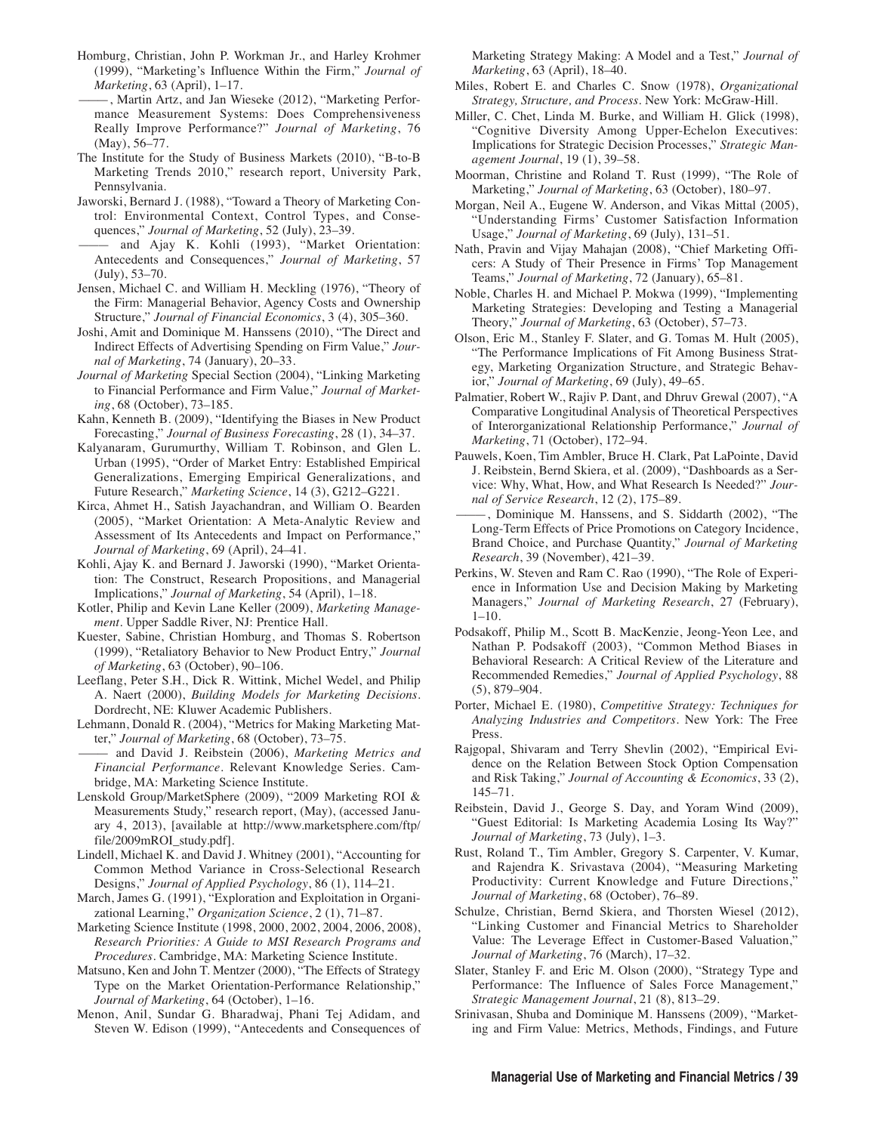- Homburg, Christian, John P. Workman Jr., and Harley Krohmer (1999), "Marketing's Influence Within the Firm," *Journal of Marketing*, 63 (April), 1–17.
- ———, Martin Artz, and Jan Wieseke (2012), "Marketing Performance Measurement Systems: Does Comprehensiveness Really Improve Performance?" *Journal of Marketing*, 76 (May), 56–77.
- The Institute for the Study of Business Markets (2010), "B-to-B Marketing Trends 2010," research report, University Park, Pennsylvania.
- Jaworski, Bernard J. (1988), "Toward a Theory of Marketing Control: Environmental Context, Control Types, and Consequences," *Journal of Marketing*, 52 (July), 23–39.
- and Ajay K. Kohli (1993), "Market Orientation: Antecedents and Consequences," *Journal of Marketing*, 57 (July), 53–70.
- Jensen, Michael C. and William H. Meckling (1976), "Theory of the Firm: Managerial Behavior, Agency Costs and Ownership Structure," *Journal of Financial Economics*, 3 (4), 305–360.
- Joshi, Amit and Dominique M. Hanssens (2010), "The Direct and Indirect Effects of Advertising Spending on Firm Value," *Journal of Marketing*, 74 (January), 20–33.
- *Journal of Marketing* Special Section (2004), "Linking Marketing to Financial Performance and Firm Value," *Journal of Marketing*, 68 (October), 73–185.
- Kahn, Kenneth B. (2009), "Identifying the Biases in New Product Forecasting," *Journal of Business Forecasting*, 28 (1), 34–37.
- Kalyanaram, Gurumurthy, William T. Robinson, and Glen L. Urban (1995), "Order of Market Entry: Established Empirical Generalizations, Emerging Empirical Generalizations, and Future Research," *Marketing Science*, 14 (3), G212–G221.
- Kirca, Ahmet H., Satish Jayachandran, and William O. Bearden (2005), "Market Orientation: A Meta-Analytic Review and Assessment of Its Antecedents and Impact on Performance," *Journal of Marketing*, 69 (April), 24–41.
- Kohli, Ajay K. and Bernard J. Jaworski (1990), "Market Orientation: The Construct, Research Propositions, and Managerial Implications," *Journal of Marketing*, 54 (April), 1–18.
- Kotler, Philip and Kevin Lane Keller (2009), *Marketing Management*. Upper Saddle River, NJ: Prentice Hall.
- Kuester, Sabine, Christian Homburg, and Thomas S. Robertson (1999), "Retaliatory Behavior to New Product Entry," *Journal of Marketing*, 63 (October), 90–106.
- Leeflang, Peter S.H., Dick R. Wittink, Michel Wedel, and Philip A. Naert (2000), *Building Models for Marketing Decisions*. Dordrecht, NE: Kluwer Academic Publishers.
- Lehmann, Donald R. (2004), "Metrics for Making Marketing Matter," *Journal of Marketing*, 68 (October), 73–75.
- ——— and David J. Reibstein (2006), *Marketing Metrics and Financial Performance*. Relevant Knowledge Series. Cambridge, MA: Marketing Science Institute.
- Lenskold Group/MarketSphere (2009), "2009 Marketing ROI & Measurements Study," research report, (May), (accessed January 4, 2013), [available at http://www.marketsphere.com/ftp/ file/2009mROI\_study.pdf].
- Lindell, Michael K. and David J. Whitney (2001), "Accounting for Common Method Variance in Cross-Selectional Research Designs," *Journal of Applied Psychology*, 86 (1), 114–21.
- March, James G. (1991), "Exploration and Exploitation in Organizational Learning," *Organization Science*, 2 (1), 71–87.
- Marketing Science Institute (1998, 2000, 2002, 2004, 2006, 2008), *Research Priorities: A Guide to MSI Research Programs and Procedures*. Cambridge, MA: Marketing Science Institute.
- Matsuno, Ken and John T. Mentzer (2000), "The Effects of Strategy Type on the Market Orientation-Performance Relationship," *Journal of Marketing*, 64 (October), 1–16.
- Menon, Anil, Sundar G. Bharadwaj, Phani Tej Adidam, and Steven W. Edison (1999), "Antecedents and Consequences of

Marketing Strategy Making: A Model and a Test," *Journal of Marketing*, 63 (April), 18–40.

- Miles, Robert E. and Charles C. Snow (1978), *Organizational Strategy, Structure, and Process*. New York: McGraw-Hill.
- Miller, C. Chet, Linda M. Burke, and William H. Glick (1998), "Cognitive Diversity Among Upper-Echelon Executives: Implications for Strategic Decision Processes," *Strategic Management Journal*, 19 (1), 39–58.
- Moorman, Christine and Roland T. Rust (1999), "The Role of Marketing," *Journal of Marketing*, 63 (October), 180–97.
- Morgan, Neil A., Eugene W. Anderson, and Vikas Mittal (2005), "Understanding Firms' Customer Satisfaction Information Usage," *Journal of Marketing*, 69 (July), 131–51.
- Nath, Pravin and Vijay Mahajan (2008), "Chief Marketing Officers: A Study of Their Presence in Firms' Top Management Teams," *Journal of Marketing*, 72 (January), 65–81.
- Noble, Charles H. and Michael P. Mokwa (1999), "Implementing Marketing Strategies: Developing and Testing a Managerial Theory," *Journal of Marketing*, 63 (October), 57–73.
- Olson, Eric M., Stanley F. Slater, and G. Tomas M. Hult (2005), "The Performance Implications of Fit Among Business Strategy, Marketing Organization Structure, and Strategic Behavior," *Journal of Marketing*, 69 (July), 49–65.
- Palmatier, Robert W., Rajiv P. Dant, and Dhruv Grewal (2007), "A Comparative Longitudinal Analysis of Theoretical Perspectives of Interorganizational Relationship Performance," *Journal of Marketing*, 71 (October), 172–94.
- Pauwels, Koen, Tim Ambler, Bruce H. Clark, Pat LaPointe, David J. Reibstein, Bernd Skiera, et al. (2009), "Dashboards as a Service: Why, What, How, and What Research Is Needed?" *Journal of Service Research*, 12 (2), 175–89.
- ———, Dominique M. Hanssens, and S. Siddarth (2002), "The Long-Term Effects of Price Promotions on Category Incidence, Brand Choice, and Purchase Quantity," *Journal of Marketing Research*, 39 (November), 421–39.
- Perkins, W. Steven and Ram C. Rao (1990), "The Role of Experience in Information Use and Decision Making by Marketing Managers," *Journal of Marketing Research*, 27 (February),  $1-10$ .
- Podsakoff, Philip M., Scott B. MacKenzie, Jeong-Yeon Lee, and Nathan P. Podsakoff (2003), "Common Method Biases in Behavioral Research: A Critical Review of the Literature and Recommended Remedies," *Journal of Applied Psychology*, 88 (5), 879–904.
- Porter, Michael E. (1980), *Competitive Strategy: Techniques for Analyzing Industries and Competitors*. New York: The Free Press.
- Rajgopal, Shivaram and Terry Shevlin (2002), "Empirical Evidence on the Relation Between Stock Option Compensation and Risk Taking," *Journal of Accounting & Economics*, 33 (2), 145–71.
- Reibstein, David J., George S. Day, and Yoram Wind (2009), "Guest Editorial: Is Marketing Academia Losing Its Way?" *Journal of Marketing*, 73 (July), 1–3.
- Rust, Roland T., Tim Ambler, Gregory S. Carpenter, V. Kumar, and Rajendra K. Srivastava (2004), "Measuring Marketing Productivity: Current Knowledge and Future Directions,' *Journal of Marketing*, 68 (October), 76–89.
- Schulze, Christian, Bernd Skiera, and Thorsten Wiesel (2012), "Linking Customer and Financial Metrics to Shareholder Value: The Leverage Effect in Customer-Based Valuation," *Journal of Marketing*, 76 (March), 17–32.
- Slater, Stanley F. and Eric M. Olson (2000), "Strategy Type and Performance: The Influence of Sales Force Management," *Strategic Management Journal*, 21 (8), 813–29.
- Srinivasan, Shuba and Dominique M. Hanssens (2009), "Marketing and Firm Value: Metrics, Methods, Findings, and Future